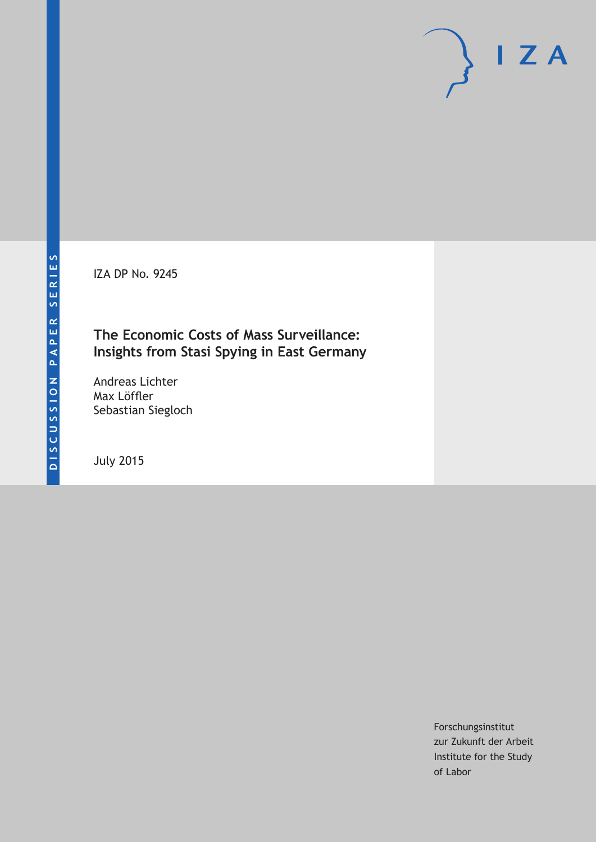IZA DP No. 9245

# **The Economic Costs of Mass Surveillance: Insights from Stasi Spying in East Germany**

Andreas Lichter Max Löffler Sebastian Siegloch

July 2015

Forschungsinstitut zur Zukunft der Arbeit Institute for the Study of Labor

 $I Z A$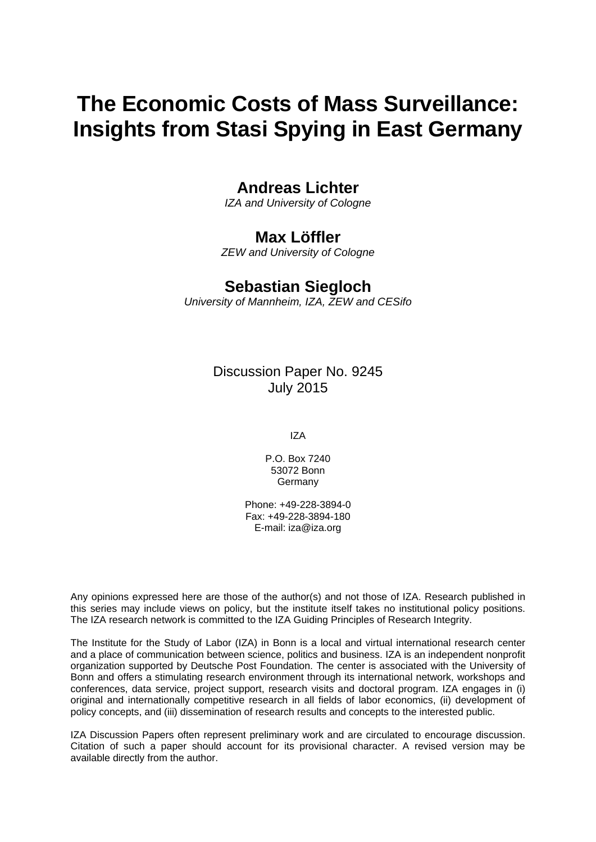# **The Economic Costs of Mass Surveillance: Insights from Stasi Spying in East Germany**

# **Andreas Lichter**

*IZA and University of Cologne* 

# **Max Löffler**

*ZEW and University of Cologne* 

# **Sebastian Siegloch**

*University of Mannheim, IZA, ZEW and CESifo*

Discussion Paper No. 9245 July 2015

IZA

P.O. Box 7240 53072 Bonn Germany

Phone: +49-228-3894-0 Fax: +49-228-3894-180 E-mail: iza@iza.org

Any opinions expressed here are those of the author(s) and not those of IZA. Research published in this series may include views on policy, but the institute itself takes no institutional policy positions. The IZA research network is committed to the IZA Guiding Principles of Research Integrity.

The Institute for the Study of Labor (IZA) in Bonn is a local and virtual international research center and a place of communication between science, politics and business. IZA is an independent nonprofit organization supported by Deutsche Post Foundation. The center is associated with the University of Bonn and offers a stimulating research environment through its international network, workshops and conferences, data service, project support, research visits and doctoral program. IZA engages in (i) original and internationally competitive research in all fields of labor economics, (ii) development of policy concepts, and (iii) dissemination of research results and concepts to the interested public.

IZA Discussion Papers often represent preliminary work and are circulated to encourage discussion. Citation of such a paper should account for its provisional character. A revised version may be available directly from the author.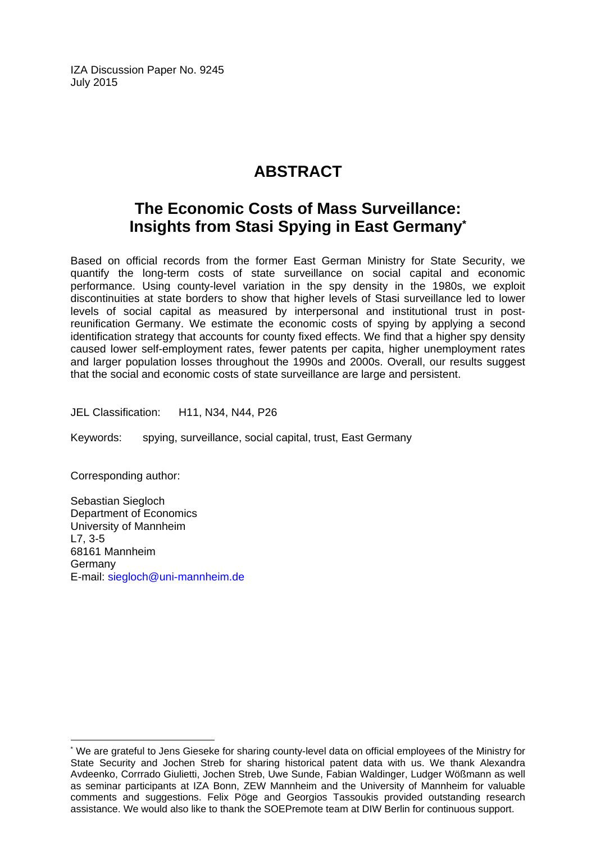IZA Discussion Paper No. 9245 July 2015

# **ABSTRACT**

# **The Economic Costs of Mass Surveillance: Insights from Stasi Spying in East Germany\***

Based on official records from the former East German Ministry for State Security, we quantify the long-term costs of state surveillance on social capital and economic performance. Using county-level variation in the spy density in the 1980s, we exploit discontinuities at state borders to show that higher levels of Stasi surveillance led to lower levels of social capital as measured by interpersonal and institutional trust in postreunification Germany. We estimate the economic costs of spying by applying a second identification strategy that accounts for county fixed effects. We find that a higher spy density caused lower self-employment rates, fewer patents per capita, higher unemployment rates and larger population losses throughout the 1990s and 2000s. Overall, our results suggest that the social and economic costs of state surveillance are large and persistent.

JEL Classification: H11, N34, N44, P26

Keywords: spying, surveillance, social capital, trust, East Germany

Corresponding author:

 $\overline{\phantom{a}}$ 

Sebastian Siegloch Department of Economics University of Mannheim L7, 3-5 68161 Mannheim Germany E-mail: siegloch@uni-mannheim.de

<sup>\*</sup> We are grateful to Jens Gieseke for sharing county-level data on official employees of the Ministry for State Security and Jochen Streb for sharing historical patent data with us. We thank Alexandra Avdeenko, Corrrado Giulietti, Jochen Streb, Uwe Sunde, Fabian Waldinger, Ludger Wößmann as well as seminar participants at IZA Bonn, ZEW Mannheim and the University of Mannheim for valuable comments and suggestions. Felix Pöge and Georgios Tassoukis provided outstanding research assistance. We would also like to thank the SOEPremote team at DIW Berlin for continuous support.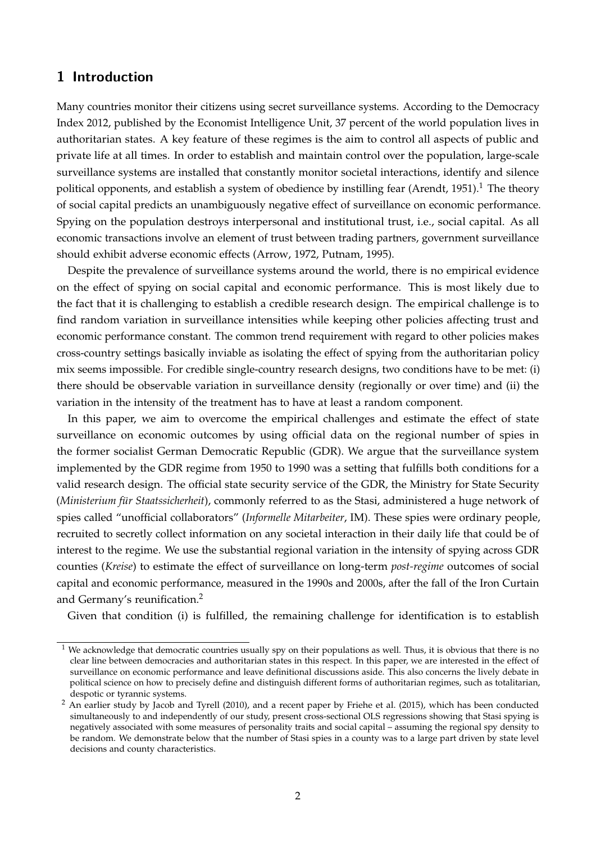### **1 Introduction**

Many countries monitor their citizens using secret surveillance systems. According to the Democracy Index 2012, published by the Economist Intelligence Unit, 37 percent of the world population lives in authoritarian states. A key feature of these regimes is the aim to control all aspects of public and private life at all times. In order to establish and maintain control over the population, large-scale surveillance systems are installed that constantly monitor societal interactions, identify and silence political opponents, and establish a system of obedience by instilling fear [\(Arendt, 1951\)](#page-28-0).<sup>[1](#page-3-0)</sup> The theory of social capital predicts an unambiguously negative effect of surveillance on economic performance. Spying on the population destroys interpersonal and institutional trust, i.e., social capital. As all economic transactions involve an element of trust between trading partners, government surveillance should exhibit adverse economic effects [\(Arrow, 1972,](#page-28-1) [Putnam, 1995\)](#page-30-0).

Despite the prevalence of surveillance systems around the world, there is no empirical evidence on the effect of spying on social capital and economic performance. This is most likely due to the fact that it is challenging to establish a credible research design. The empirical challenge is to find random variation in surveillance intensities while keeping other policies affecting trust and economic performance constant. The common trend requirement with regard to other policies makes cross-country settings basically inviable as isolating the effect of spying from the authoritarian policy mix seems impossible. For credible single-country research designs, two conditions have to be met: (i) there should be observable variation in surveillance density (regionally or over time) and (ii) the variation in the intensity of the treatment has to have at least a random component.

In this paper, we aim to overcome the empirical challenges and estimate the effect of state surveillance on economic outcomes by using official data on the regional number of spies in the former socialist German Democratic Republic (GDR). We argue that the surveillance system implemented by the GDR regime from 1950 to 1990 was a setting that fulfills both conditions for a valid research design. The official state security service of the GDR, the Ministry for State Security (*Ministerium für Staatssicherheit*), commonly referred to as the Stasi, administered a huge network of spies called "unofficial collaborators" (*Informelle Mitarbeiter*, IM). These spies were ordinary people, recruited to secretly collect information on any societal interaction in their daily life that could be of interest to the regime. We use the substantial regional variation in the intensity of spying across GDR counties (*Kreise*) to estimate the effect of surveillance on long-term *post-regime* outcomes of social capital and economic performance, measured in the 1990s and 2000s, after the fall of the Iron Curtain and Germany's reunification.[2](#page-3-1)

Given that condition (i) is fulfilled, the remaining challenge for identification is to establish

<span id="page-3-0"></span> $1$  We acknowledge that democratic countries usually spy on their populations as well. Thus, it is obvious that there is no clear line between democracies and authoritarian states in this respect. In this paper, we are interested in the effect of surveillance on economic performance and leave definitional discussions aside. This also concerns the lively debate in political science on how to precisely define and distinguish different forms of authoritarian regimes, such as totalitarian, despotic or tyrannic systems.

<span id="page-3-1"></span><sup>&</sup>lt;sup>2</sup> An earlier study by [Jacob and Tyrell](#page-29-0) [\(2010\)](#page-29-0), and a recent paper by [Friehe et al.](#page-28-2) [\(2015\)](#page-28-2), which has been conducted simultaneously to and independently of our study, present cross-sectional OLS regressions showing that Stasi spying is negatively associated with some measures of personality traits and social capital – assuming the regional spy density to be random. We demonstrate below that the number of Stasi spies in a county was to a large part driven by state level decisions and county characteristics.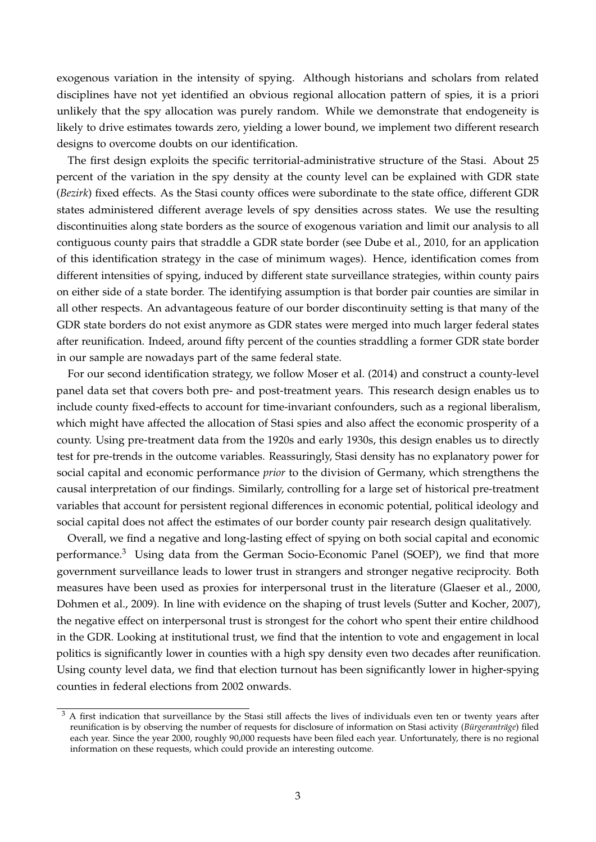exogenous variation in the intensity of spying. Although historians and scholars from related disciplines have not yet identified an obvious regional allocation pattern of spies, it is a priori unlikely that the spy allocation was purely random. While we demonstrate that endogeneity is likely to drive estimates towards zero, yielding a lower bound, we implement two different research designs to overcome doubts on our identification.

The first design exploits the specific territorial-administrative structure of the Stasi. About 25 percent of the variation in the spy density at the county level can be explained with GDR state (*Bezirk*) fixed effects. As the Stasi county offices were subordinate to the state office, different GDR states administered different average levels of spy densities across states. We use the resulting discontinuities along state borders as the source of exogenous variation and limit our analysis to all contiguous county pairs that straddle a GDR state border (see [Dube et al., 2010,](#page-28-3) for an application of this identification strategy in the case of minimum wages). Hence, identification comes from different intensities of spying, induced by different state surveillance strategies, within county pairs on either side of a state border. The identifying assumption is that border pair counties are similar in all other respects. An advantageous feature of our border discontinuity setting is that many of the GDR state borders do not exist anymore as GDR states were merged into much larger federal states after reunification. Indeed, around fifty percent of the counties straddling a former GDR state border in our sample are nowadays part of the same federal state.

For our second identification strategy, we follow [Moser et al.](#page-29-1) [\(2014\)](#page-29-1) and construct a county-level panel data set that covers both pre- and post-treatment years. This research design enables us to include county fixed-effects to account for time-invariant confounders, such as a regional liberalism, which might have affected the allocation of Stasi spies and also affect the economic prosperity of a county. Using pre-treatment data from the 1920s and early 1930s, this design enables us to directly test for pre-trends in the outcome variables. Reassuringly, Stasi density has no explanatory power for social capital and economic performance *prior* to the division of Germany, which strengthens the causal interpretation of our findings. Similarly, controlling for a large set of historical pre-treatment variables that account for persistent regional differences in economic potential, political ideology and social capital does not affect the estimates of our border county pair research design qualitatively.

Overall, we find a negative and long-lasting effect of spying on both social capital and economic performance.[3](#page-4-0) Using data from the German Socio-Economic Panel (SOEP), we find that more government surveillance leads to lower trust in strangers and stronger negative reciprocity. Both measures have been used as proxies for interpersonal trust in the literature [\(Glaeser et al., 2000,](#page-29-2) [Dohmen et al., 2009\)](#page-28-4). In line with evidence on the shaping of trust levels [\(Sutter and Kocher, 2007\)](#page-30-1), the negative effect on interpersonal trust is strongest for the cohort who spent their entire childhood in the GDR. Looking at institutional trust, we find that the intention to vote and engagement in local politics is significantly lower in counties with a high spy density even two decades after reunification. Using county level data, we find that election turnout has been significantly lower in higher-spying counties in federal elections from 2002 onwards.

<span id="page-4-0"></span> $3$  A first indication that surveillance by the Stasi still affects the lives of individuals even ten or twenty years after reunification is by observing the number of requests for disclosure of information on Stasi activity (*Bürgeranträge*) filed each year. Since the year 2000, roughly 90,000 requests have been filed each year. Unfortunately, there is no regional information on these requests, which could provide an interesting outcome.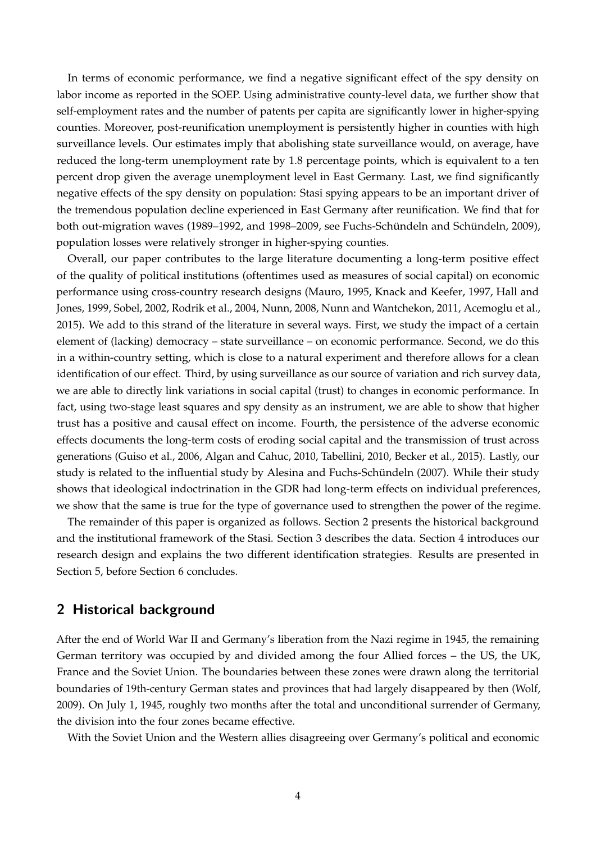In terms of economic performance, we find a negative significant effect of the spy density on labor income as reported in the SOEP. Using administrative county-level data, we further show that self-employment rates and the number of patents per capita are significantly lower in higher-spying counties. Moreover, post-reunification unemployment is persistently higher in counties with high surveillance levels. Our estimates imply that abolishing state surveillance would, on average, have reduced the long-term unemployment rate by 1.8 percentage points, which is equivalent to a ten percent drop given the average unemployment level in East Germany. Last, we find significantly negative effects of the spy density on population: Stasi spying appears to be an important driver of the tremendous population decline experienced in East Germany after reunification. We find that for both out-migration waves (1989–1992, and 1998–2009, see Fuchs-Schündeln and Schündeln, [2009\)](#page-28-5), population losses were relatively stronger in higher-spying counties.

Overall, our paper contributes to the large literature documenting a long-term positive effect of the quality of political institutions (oftentimes used as measures of social capital) on economic performance using cross-country research designs [\(Mauro, 1995,](#page-29-3) [Knack and Keefer, 1997,](#page-29-4) [Hall and](#page-29-5) [Jones, 1999,](#page-29-5) [Sobel, 2002,](#page-30-2) [Rodrik et al., 2004,](#page-30-3) [Nunn, 2008,](#page-29-6) [Nunn and Wantchekon, 2011,](#page-29-7) [Acemoglu et al.,](#page-28-6) [2015\)](#page-28-6). We add to this strand of the literature in several ways. First, we study the impact of a certain element of (lacking) democracy – state surveillance – on economic performance. Second, we do this in a within-country setting, which is close to a natural experiment and therefore allows for a clean identification of our effect. Third, by using surveillance as our source of variation and rich survey data, we are able to directly link variations in social capital (trust) to changes in economic performance. In fact, using two-stage least squares and spy density as an instrument, we are able to show that higher trust has a positive and causal effect on income. Fourth, the persistence of the adverse economic effects documents the long-term costs of eroding social capital and the transmission of trust across generations [\(Guiso et al., 2006,](#page-29-8) [Algan and Cahuc, 2010,](#page-28-7) [Tabellini, 2010,](#page-30-4) [Becker et al., 2015\)](#page-28-8). Lastly, our study is related to the influential study by Alesina and Fuchs-Schündeln [\(2007\)](#page-28-9). While their study shows that ideological indoctrination in the GDR had long-term effects on individual preferences, we show that the same is true for the type of governance used to strengthen the power of the regime.

The remainder of this paper is organized as follows. Section [2](#page-5-0) presents the historical background and the institutional framework of the Stasi. Section [3](#page-8-0) describes the data. Section [4](#page-11-0) introduces our research design and explains the two different identification strategies. Results are presented in Section [5,](#page-17-0) before Section [6](#page-27-0) concludes.

### <span id="page-5-0"></span>**2 Historical background**

After the end of World War II and Germany's liberation from the Nazi regime in 1945, the remaining German territory was occupied by and divided among the four Allied forces – the US, the UK, France and the Soviet Union. The boundaries between these zones were drawn along the territorial boundaries of 19th-century German states and provinces that had largely disappeared by then [\(Wolf,](#page-30-5) [2009\)](#page-30-5). On July 1, 1945, roughly two months after the total and unconditional surrender of Germany, the division into the four zones became effective.

With the Soviet Union and the Western allies disagreeing over Germany's political and economic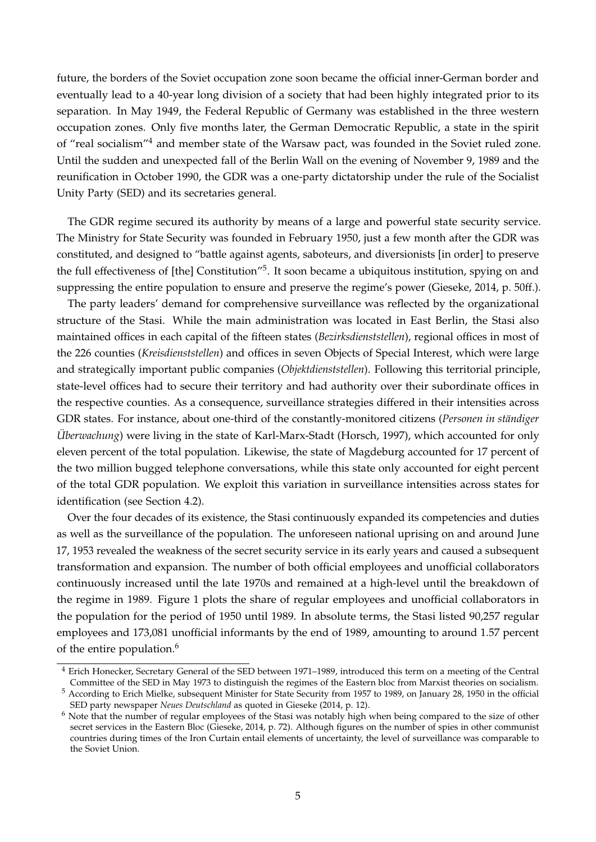future, the borders of the Soviet occupation zone soon became the official inner-German border and eventually lead to a 40-year long division of a society that had been highly integrated prior to its separation. In May 1949, the Federal Republic of Germany was established in the three western occupation zones. Only five months later, the German Democratic Republic, a state in the spirit of "real socialism"[4](#page-6-0) and member state of the Warsaw pact, was founded in the Soviet ruled zone. Until the sudden and unexpected fall of the Berlin Wall on the evening of November 9, 1989 and the reunification in October 1990, the GDR was a one-party dictatorship under the rule of the Socialist Unity Party (SED) and its secretaries general.

The GDR regime secured its authority by means of a large and powerful state security service. The Ministry for State Security was founded in February 1950, just a few month after the GDR was constituted, and designed to "battle against agents, saboteurs, and diversionists [in order] to preserve the full effectiveness of [the] Constitution"<sup>[5](#page-6-1)</sup>. It soon became a ubiquitous institution, spying on and suppressing the entire population to ensure and preserve the regime's power [\(Gieseke, 2014,](#page-28-10) p. 50ff.).

The party leaders' demand for comprehensive surveillance was reflected by the organizational structure of the Stasi. While the main administration was located in East Berlin, the Stasi also maintained offices in each capital of the fifteen states (*Bezirksdienststellen*), regional offices in most of the 226 counties (*Kreisdienststellen*) and offices in seven Objects of Special Interest, which were large and strategically important public companies (*Objektdienststellen*). Following this territorial principle, state-level offices had to secure their territory and had authority over their subordinate offices in the respective counties. As a consequence, surveillance strategies differed in their intensities across GDR states. For instance, about one-third of the constantly-monitored citizens (*Personen in ständiger Überwachung*) were living in the state of Karl-Marx-Stadt [\(Horsch, 1997\)](#page-29-9), which accounted for only eleven percent of the total population. Likewise, the state of Magdeburg accounted for 17 percent of the two million bugged telephone conversations, while this state only accounted for eight percent of the total GDR population. We exploit this variation in surveillance intensities across states for identification (see Section [4.2\)](#page-14-0).

Over the four decades of its existence, the Stasi continuously expanded its competencies and duties as well as the surveillance of the population. The unforeseen national uprising on and around June 17, 1953 revealed the weakness of the secret security service in its early years and caused a subsequent transformation and expansion. The number of both official employees and unofficial collaborators continuously increased until the late 1970s and remained at a high-level until the breakdown of the regime in 1989. Figure [1](#page-7-0) plots the share of regular employees and unofficial collaborators in the population for the period of 1950 until 1989. In absolute terms, the Stasi listed 90,257 regular employees and 173,081 unofficial informants by the end of 1989, amounting to around 1.57 percent of the entire population.<sup>[6](#page-6-2)</sup>

<span id="page-6-0"></span><sup>&</sup>lt;sup>4</sup> Erich Honecker, Secretary General of the SED between 1971–1989, introduced this term on a meeting of the Central Committee of the SED in May 1973 to distinguish the regimes of the Eastern bloc from Marxist theories on socialism.

<span id="page-6-1"></span><sup>5</sup> According to Erich Mielke, subsequent Minister for State Security from 1957 to 1989, on January 28, 1950 in the official SED party newspaper *Neues Deutschland* as quoted in [Gieseke](#page-28-10) [\(2014,](#page-28-10) p. 12).

<span id="page-6-2"></span><sup>&</sup>lt;sup>6</sup> Note that the number of regular employees of the Stasi was notably high when being compared to the size of other secret services in the Eastern Bloc [\(Gieseke, 2014,](#page-28-10) p. 72). Although figures on the number of spies in other communist countries during times of the Iron Curtain entail elements of uncertainty, the level of surveillance was comparable to the Soviet Union.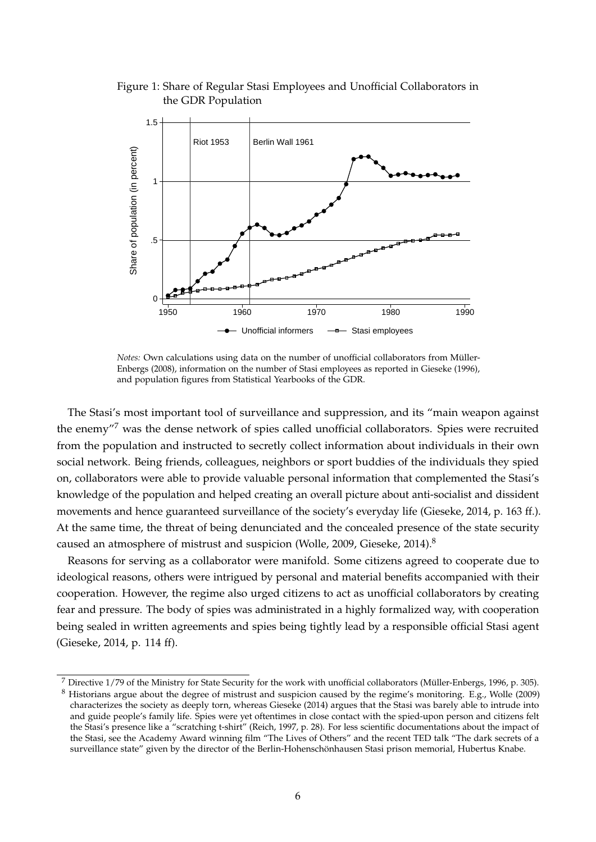<span id="page-7-0"></span>Figure 1: Share of Regular Stasi Employees and Unofficial Collaborators in the GDR Population



*Notes:* Own calculations using data on the number of unofficial collaborators from Müller-[Enbergs](#page-29-10) [\(2008\)](#page-29-10), information on the number of Stasi employees as reported in [Gieseke](#page-28-11) [\(1996\)](#page-28-11), and population figures from Statistical Yearbooks of the GDR.

The Stasi's most important tool of surveillance and suppression, and its "main weapon against the enemy"[7](#page-7-1) was the dense network of spies called unofficial collaborators. Spies were recruited from the population and instructed to secretly collect information about individuals in their own social network. Being friends, colleagues, neighbors or sport buddies of the individuals they spied on, collaborators were able to provide valuable personal information that complemented the Stasi's knowledge of the population and helped creating an overall picture about anti-socialist and dissident movements and hence guaranteed surveillance of the society's everyday life [\(Gieseke, 2014,](#page-28-10) p. 163 ff.). At the same time, the threat of being denunciated and the concealed presence of the state security caused an atmosphere of mistrust and suspicion [\(Wolle, 2009,](#page-30-6) [Gieseke, 2014\)](#page-28-10).<sup>[8](#page-7-2)</sup>

Reasons for serving as a collaborator were manifold. Some citizens agreed to cooperate due to ideological reasons, others were intrigued by personal and material benefits accompanied with their cooperation. However, the regime also urged citizens to act as unofficial collaborators by creating fear and pressure. The body of spies was administrated in a highly formalized way, with cooperation being sealed in written agreements and spies being tightly lead by a responsible official Stasi agent [\(Gieseke, 2014,](#page-28-10) p. 114 ff).

<span id="page-7-2"></span><span id="page-7-1"></span> $7$  Directive  $1/79$  of the Ministry for State Security for the work with unofficial collaborators (Müller-Enbergs, 1996, p. 305). <sup>8</sup> Historians argue about the degree of mistrust and suspicion caused by the regime's monitoring. E.g., [Wolle](#page-30-6) [\(2009\)](#page-30-6) characterizes the society as deeply torn, whereas [Gieseke](#page-28-10) [\(2014\)](#page-28-10) argues that the Stasi was barely able to intrude into and guide people's family life. Spies were yet oftentimes in close contact with the spied-upon person and citizens felt the Stasi's presence like a "scratching t-shirt" [\(Reich, 1997,](#page-30-7) p. 28). For less scientific documentations about the impact of the Stasi, see the Academy Award winning film "The Lives of Others" and the recent TED talk ["The dark secrets of a](https://www.ted.com/talks/hubertus_knabe_the_dark_secrets_of_a_surveillance_state) [surveillance state"](https://www.ted.com/talks/hubertus_knabe_the_dark_secrets_of_a_surveillance_state) given by the director of the Berlin-Hohenschönhausen Stasi prison memorial, Hubertus Knabe.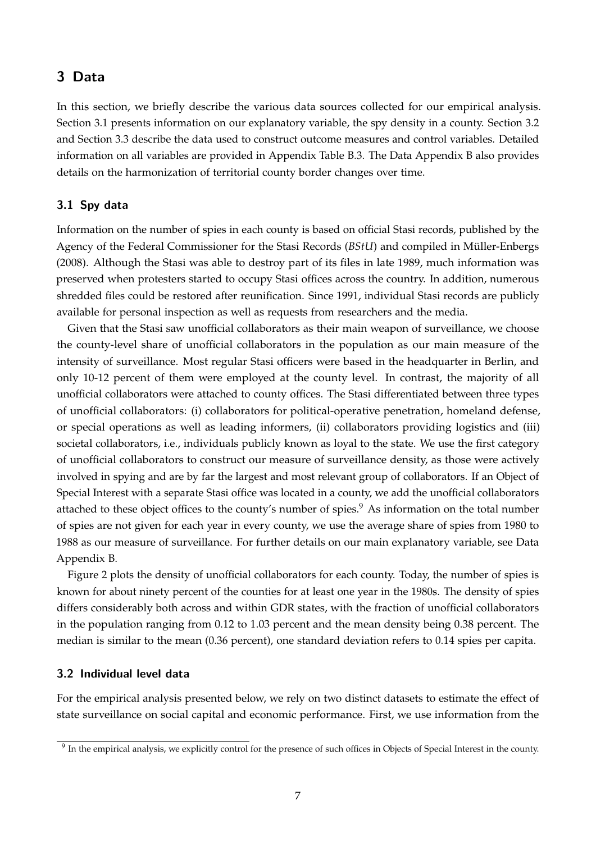# <span id="page-8-0"></span>**3 Data**

In this section, we briefly describe the various data sources collected for our empirical analysis. Section [3.1](#page-8-1) presents information on our explanatory variable, the spy density in a county. Section [3.2](#page-8-2) and Section [3.3](#page-10-0) describe the data used to construct outcome measures and control variables. Detailed information on all variables are provided in Appendix Table [B.3.](#page-41-0) The Data Appendix [B](#page-40-0) also provides details on the harmonization of territorial county border changes over time.

#### <span id="page-8-1"></span>**3.1 Spy data**

Information on the number of spies in each county is based on official Stasi records, published by the Agency of the Federal Commissioner for the Stasi Records (*BStU*) and compiled in Müller-Enbergs [\(2008\)](#page-29-10). Although the Stasi was able to destroy part of its files in late 1989, much information was preserved when protesters started to occupy Stasi offices across the country. In addition, numerous shredded files could be restored after reunification. Since 1991, individual Stasi records are publicly available for personal inspection as well as requests from researchers and the media.

Given that the Stasi saw unofficial collaborators as their main weapon of surveillance, we choose the county-level share of unofficial collaborators in the population as our main measure of the intensity of surveillance. Most regular Stasi officers were based in the headquarter in Berlin, and only 10-12 percent of them were employed at the county level. In contrast, the majority of all unofficial collaborators were attached to county offices. The Stasi differentiated between three types of unofficial collaborators: (i) collaborators for political-operative penetration, homeland defense, or special operations as well as leading informers, (ii) collaborators providing logistics and (iii) societal collaborators, i.e., individuals publicly known as loyal to the state. We use the first category of unofficial collaborators to construct our measure of surveillance density, as those were actively involved in spying and are by far the largest and most relevant group of collaborators. If an Object of Special Interest with a separate Stasi office was located in a county, we add the unofficial collaborators attached to these object offices to the county's number of spies.<sup>[9](#page-8-3)</sup> As information on the total number of spies are not given for each year in every county, we use the average share of spies from 1980 to 1988 as our measure of surveillance. For further details on our main explanatory variable, see Data Appendix [B.](#page-40-0)

Figure [2](#page-9-0) plots the density of unofficial collaborators for each county. Today, the number of spies is known for about ninety percent of the counties for at least one year in the 1980s. The density of spies differs considerably both across and within GDR states, with the fraction of unofficial collaborators in the population ranging from 0.12 to 1.03 percent and the mean density being 0.38 percent. The median is similar to the mean (0.36 percent), one standard deviation refers to 0.14 spies per capita.

#### <span id="page-8-2"></span>**3.2 Individual level data**

For the empirical analysis presented below, we rely on two distinct datasets to estimate the effect of state surveillance on social capital and economic performance. First, we use information from the

<span id="page-8-3"></span> $9$  In the empirical analysis, we explicitly control for the presence of such offices in Objects of Special Interest in the county.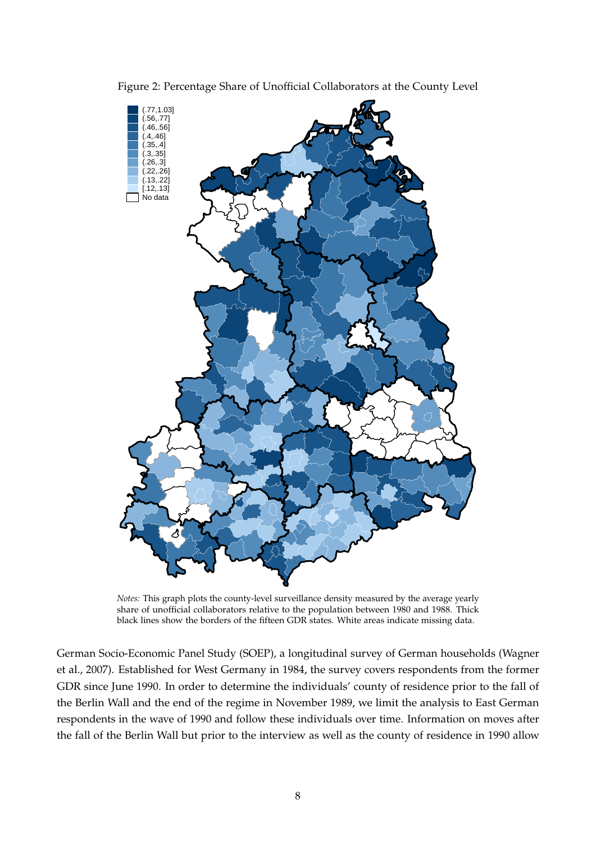

<span id="page-9-0"></span>Figure 2: Percentage Share of Unofficial Collaborators at the County Level

*Notes:* This graph plots the county-level surveillance density measured by the average yearly share of unofficial collaborators relative to the population between 1980 and 1988. Thick black lines show the borders of the fifteen GDR states. White areas indicate missing data.

German Socio-Economic Panel Study (SOEP), a longitudinal survey of German households [\(Wagner](#page-30-8) [et al., 2007\)](#page-30-8). Established for West Germany in 1984, the survey covers respondents from the former GDR since June 1990. In order to determine the individuals' county of residence prior to the fall of the Berlin Wall and the end of the regime in November 1989, we limit the analysis to East German respondents in the wave of 1990 and follow these individuals over time. Information on moves after the fall of the Berlin Wall but prior to the interview as well as the county of residence in 1990 allow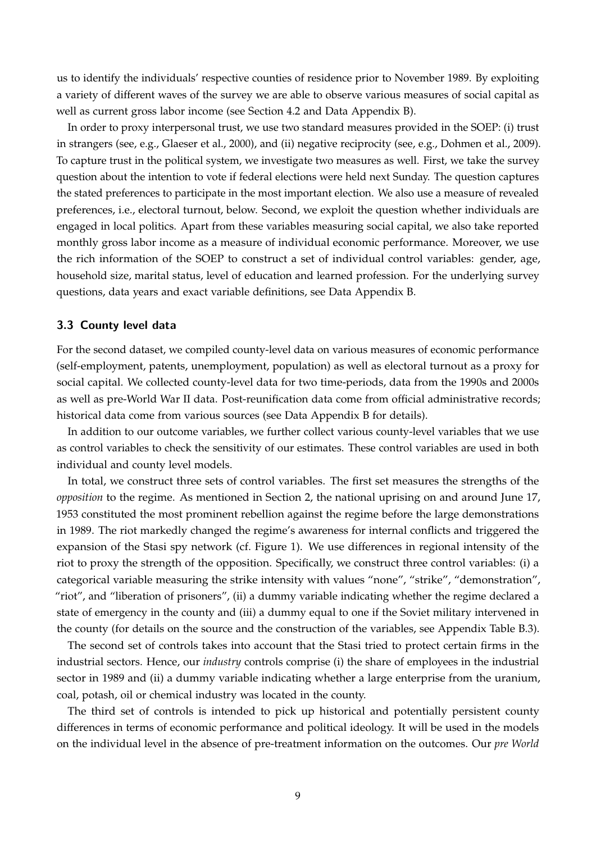us to identify the individuals' respective counties of residence prior to November 1989. By exploiting a variety of different waves of the survey we are able to observe various measures of social capital as well as current gross labor income (see Section [4.2](#page-14-0) and Data Appendix [B\)](#page-40-0).

In order to proxy interpersonal trust, we use two standard measures provided in the SOEP: (i) trust in strangers (see, e.g., [Glaeser et al., 2000\)](#page-29-2), and (ii) negative reciprocity (see, e.g., [Dohmen et al., 2009\)](#page-28-4). To capture trust in the political system, we investigate two measures as well. First, we take the survey question about the intention to vote if federal elections were held next Sunday. The question captures the stated preferences to participate in the most important election. We also use a measure of revealed preferences, i.e., electoral turnout, below. Second, we exploit the question whether individuals are engaged in local politics. Apart from these variables measuring social capital, we also take reported monthly gross labor income as a measure of individual economic performance. Moreover, we use the rich information of the SOEP to construct a set of individual control variables: gender, age, household size, marital status, level of education and learned profession. For the underlying survey questions, data years and exact variable definitions, see Data Appendix [B.](#page-40-0)

#### <span id="page-10-0"></span>**3.3 County level data**

For the second dataset, we compiled county-level data on various measures of economic performance (self-employment, patents, unemployment, population) as well as electoral turnout as a proxy for social capital. We collected county-level data for two time-periods, data from the 1990s and 2000s as well as pre-World War II data. Post-reunification data come from official administrative records; historical data come from various sources (see Data Appendix [B](#page-40-0) for details).

In addition to our outcome variables, we further collect various county-level variables that we use as control variables to check the sensitivity of our estimates. These control variables are used in both individual and county level models.

In total, we construct three sets of control variables. The first set measures the strengths of the *opposition* to the regime. As mentioned in Section [2,](#page-5-0) the national uprising on and around June 17, 1953 constituted the most prominent rebellion against the regime before the large demonstrations in 1989. The riot markedly changed the regime's awareness for internal conflicts and triggered the expansion of the Stasi spy network (cf. Figure [1\)](#page-7-0). We use differences in regional intensity of the riot to proxy the strength of the opposition. Specifically, we construct three control variables: (i) a categorical variable measuring the strike intensity with values "none", "strike", "demonstration", "riot", and "liberation of prisoners", (ii) a dummy variable indicating whether the regime declared a state of emergency in the county and (iii) a dummy equal to one if the Soviet military intervened in the county (for details on the source and the construction of the variables, see Appendix Table [B.3\)](#page-41-0).

The second set of controls takes into account that the Stasi tried to protect certain firms in the industrial sectors. Hence, our *industry* controls comprise (i) the share of employees in the industrial sector in 1989 and (ii) a dummy variable indicating whether a large enterprise from the uranium, coal, potash, oil or chemical industry was located in the county.

The third set of controls is intended to pick up historical and potentially persistent county differences in terms of economic performance and political ideology. It will be used in the models on the individual level in the absence of pre-treatment information on the outcomes. Our *pre World*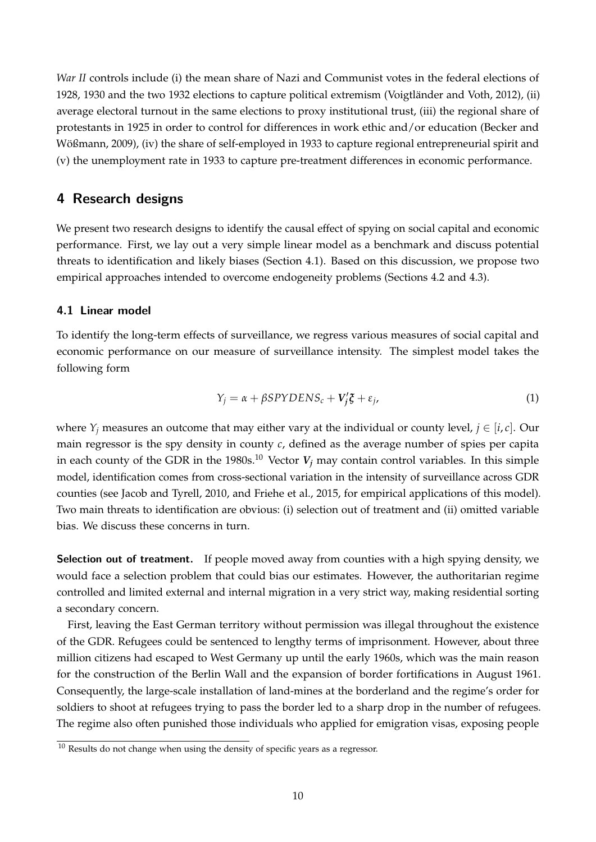*War II* controls include (i) the mean share of Nazi and Communist votes in the federal elections of 1928, 1930 and the two 1932 elections to capture political extremism (Voigtländer and Voth, 2012), (ii) average electoral turnout in the same elections to proxy institutional trust, (iii) the regional share of protestants in 1925 in order to control for differences in work ethic and/or education [\(Becker and](#page-28-12) Wößmann, 2009), (iv) the share of self-employed in 1933 to capture regional entrepreneurial spirit and (v) the unemployment rate in 1933 to capture pre-treatment differences in economic performance.

## <span id="page-11-0"></span>**4 Research designs**

We present two research designs to identify the causal effect of spying on social capital and economic performance. First, we lay out a very simple linear model as a benchmark and discuss potential threats to identification and likely biases (Section [4.1\)](#page-11-1). Based on this discussion, we propose two empirical approaches intended to overcome endogeneity problems (Sections [4.2](#page-14-0) and [4.3\)](#page-15-0).

### <span id="page-11-1"></span>**4.1 Linear model**

To identify the long-term effects of surveillance, we regress various measures of social capital and economic performance on our measure of surveillance intensity. The simplest model takes the following form

<span id="page-11-3"></span>
$$
Y_j = \alpha + \beta SPYDENS_c + V'_j \xi + \varepsilon_j,\tag{1}
$$

where  $Y_i$  measures an outcome that may either vary at the individual or county level,  $j \in [i, c]$ . Our main regressor is the spy density in county *c*, defined as the average number of spies per capita in each county of the GDR in the 1980s.<sup>[10](#page-11-2)</sup> Vector  $V_j$  may contain control variables. In this simple model, identification comes from cross-sectional variation in the intensity of surveillance across GDR counties (see [Jacob and Tyrell, 2010,](#page-29-0) and [Friehe et al., 2015,](#page-28-2) for empirical applications of this model). Two main threats to identification are obvious: (i) selection out of treatment and (ii) omitted variable bias. We discuss these concerns in turn.

**Selection out of treatment.** If people moved away from counties with a high spying density, we would face a selection problem that could bias our estimates. However, the authoritarian regime controlled and limited external and internal migration in a very strict way, making residential sorting a secondary concern.

First, leaving the East German territory without permission was illegal throughout the existence of the GDR. Refugees could be sentenced to lengthy terms of imprisonment. However, about three million citizens had escaped to West Germany up until the early 1960s, which was the main reason for the construction of the Berlin Wall and the expansion of border fortifications in August 1961. Consequently, the large-scale installation of land-mines at the borderland and the regime's order for soldiers to shoot at refugees trying to pass the border led to a sharp drop in the number of refugees. The regime also often punished those individuals who applied for emigration visas, exposing people

<span id="page-11-2"></span> $10$  Results do not change when using the density of specific years as a regressor.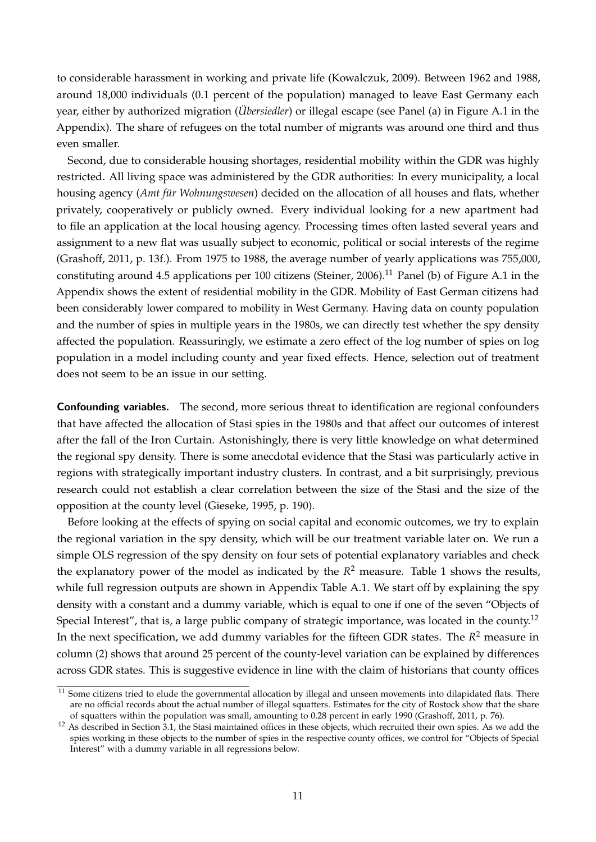to considerable harassment in working and private life [\(Kowalczuk, 2009\)](#page-29-12). Between 1962 and 1988, around 18,000 individuals (0.1 percent of the population) managed to leave East Germany each year, either by authorized migration (*Übersiedler*) or illegal escape (see Panel (a) in Figure [A.1](#page-31-0) in the Appendix). The share of refugees on the total number of migrants was around one third and thus even smaller.

Second, due to considerable housing shortages, residential mobility within the GDR was highly restricted. All living space was administered by the GDR authorities: In every municipality, a local housing agency (*Amt für Wohnungswesen*) decided on the allocation of all houses and flats, whether privately, cooperatively or publicly owned. Every individual looking for a new apartment had to file an application at the local housing agency. Processing times often lasted several years and assignment to a new flat was usually subject to economic, political or social interests of the regime [\(Grashoff, 2011,](#page-29-13) p. 13f.). From 1975 to 1988, the average number of yearly applications was 755,000, constituting around 4.5 applications per 100 citizens [\(Steiner, 2006\)](#page-30-10).<sup>[11](#page-12-0)</sup> Panel (b) of Figure [A.1](#page-31-0) in the Appendix shows the extent of residential mobility in the GDR. Mobility of East German citizens had been considerably lower compared to mobility in West Germany. Having data on county population and the number of spies in multiple years in the 1980s, we can directly test whether the spy density affected the population. Reassuringly, we estimate a zero effect of the log number of spies on log population in a model including county and year fixed effects. Hence, selection out of treatment does not seem to be an issue in our setting.

**Confounding variables.** The second, more serious threat to identification are regional confounders that have affected the allocation of Stasi spies in the 1980s and that affect our outcomes of interest after the fall of the Iron Curtain. Astonishingly, there is very little knowledge on what determined the regional spy density. There is some anecdotal evidence that the Stasi was particularly active in regions with strategically important industry clusters. In contrast, and a bit surprisingly, previous research could not establish a clear correlation between the size of the Stasi and the size of the opposition at the county level [\(Gieseke, 1995,](#page-28-13) p. 190).

Before looking at the effects of spying on social capital and economic outcomes, we try to explain the regional variation in the spy density, which will be our treatment variable later on. We run a simple OLS regression of the spy density on four sets of potential explanatory variables and check the explanatory power of the model as indicated by the *R* <sup>2</sup> measure. Table [1](#page-13-0) shows the results, while full regression outputs are shown in Appendix Table [A.1.](#page-34-0) We start off by explaining the spy density with a constant and a dummy variable, which is equal to one if one of the seven "Objects of Special Interest", that is, a large public company of strategic importance, was located in the county.<sup>[12](#page-12-1)</sup> In the next specification, we add dummy variables for the fifteen GDR states. The *R* <sup>2</sup> measure in column (2) shows that around 25 percent of the county-level variation can be explained by differences across GDR states. This is suggestive evidence in line with the claim of historians that county offices

<span id="page-12-0"></span> $11$  Some citizens tried to elude the governmental allocation by illegal and unseen movements into dilapidated flats. There are no official records about the actual number of illegal squatters. Estimates for the city of Rostock show that the share of squatters within the population was small, amounting to 0.28 percent in early 1990 [\(Grashoff, 2011,](#page-29-13) p. 76).

<span id="page-12-1"></span> $12$  As described in Section [3.1,](#page-8-1) the Stasi maintained offices in these objects, which recruited their own spies. As we add the spies working in these objects to the number of spies in the respective county offices, we control for "Objects of Special Interest" with a dummy variable in all regressions below.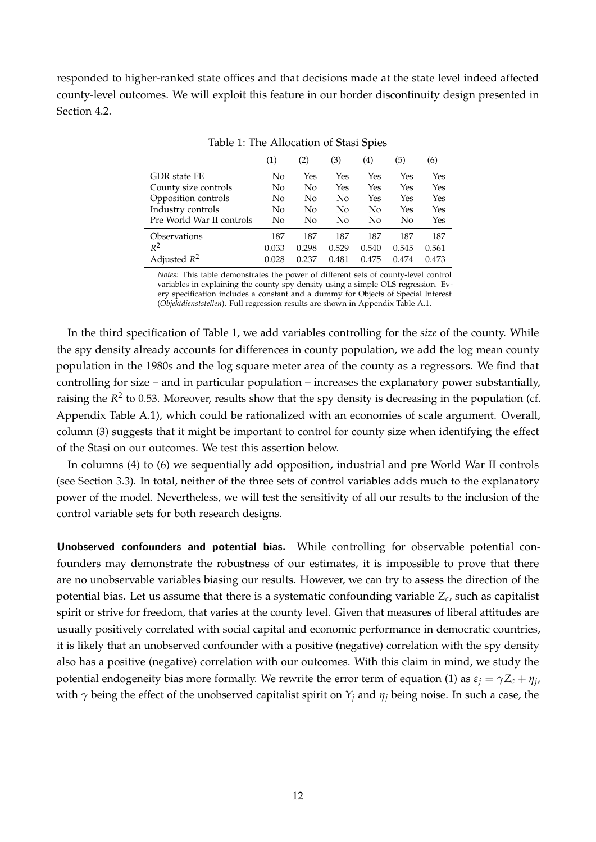responded to higher-ranked state offices and that decisions made at the state level indeed affected county-level outcomes. We will exploit this feature in our border discontinuity design presented in Section [4.2.](#page-14-0)

|                                                | (1)      | (2)       | (3)        | (4)        | (5)        | (6)        |
|------------------------------------------------|----------|-----------|------------|------------|------------|------------|
| GDR state FE<br>County size controls           | No<br>No | Yes<br>No | Yes<br>Yes | Yes<br>Yes | Yes<br>Yes | Yes<br>Yes |
| Opposition controls                            | No       | No        | No         | Yes        | Yes        | Yes        |
| Industry controls<br>Pre World War II controls | No<br>No | No<br>No  | No<br>No   | No<br>No   | Yes<br>No  | Yes<br>Yes |
| Observations                                   | 187      | 187       | 187        | 187        | 187        | 187        |
| $R^2$                                          | 0.033    | 0.298     | 0.529      | 0.540      | 0.545      | 0.561      |
| Adjusted $R^2$                                 | 0.028    | 0.237     | 0.481      | 0.475      | 0.474      | 0.473      |

<span id="page-13-0"></span>Table 1: The Allocation of Stasi Spies

*Notes:* This table demonstrates the power of different sets of county-level control variables in explaining the county spy density using a simple OLS regression. Every specification includes a constant and a dummy for Objects of Special Interest (*Objektdienststellen*). Full regression results are shown in Appendix Table [A.1.](#page-34-0)

In the third specification of Table [1,](#page-13-0) we add variables controlling for the *size* of the county. While the spy density already accounts for differences in county population, we add the log mean county population in the 1980s and the log square meter area of the county as a regressors. We find that controlling for size – and in particular population – increases the explanatory power substantially, raising the  $R^2$  to 0.53. Moreover, results show that the spy density is decreasing in the population (cf. Appendix Table [A.1\)](#page-34-0), which could be rationalized with an economies of scale argument. Overall, column (3) suggests that it might be important to control for county size when identifying the effect of the Stasi on our outcomes. We test this assertion below.

In columns (4) to (6) we sequentially add opposition, industrial and pre World War II controls (see Section [3.3\)](#page-10-0). In total, neither of the three sets of control variables adds much to the explanatory power of the model. Nevertheless, we will test the sensitivity of all our results to the inclusion of the control variable sets for both research designs.

**Unobserved confounders and potential bias.** While controlling for observable potential confounders may demonstrate the robustness of our estimates, it is impossible to prove that there are no unobservable variables biasing our results. However, we can try to assess the direction of the potential bias. Let us assume that there is a systematic confounding variable *Z<sup>c</sup>* , such as capitalist spirit or strive for freedom, that varies at the county level. Given that measures of liberal attitudes are usually positively correlated with social capital and economic performance in democratic countries, it is likely that an unobserved confounder with a positive (negative) correlation with the spy density also has a positive (negative) correlation with our outcomes. With this claim in mind, we study the potential endogeneity bias more formally. We rewrite the error term of equation [\(1\)](#page-11-3) as  $\varepsilon_j = \gamma Z_c + \eta_j$ , with  $\gamma$  being the effect of the unobserved capitalist spirit on  $Y_i$  and  $\eta_i$  being noise. In such a case, the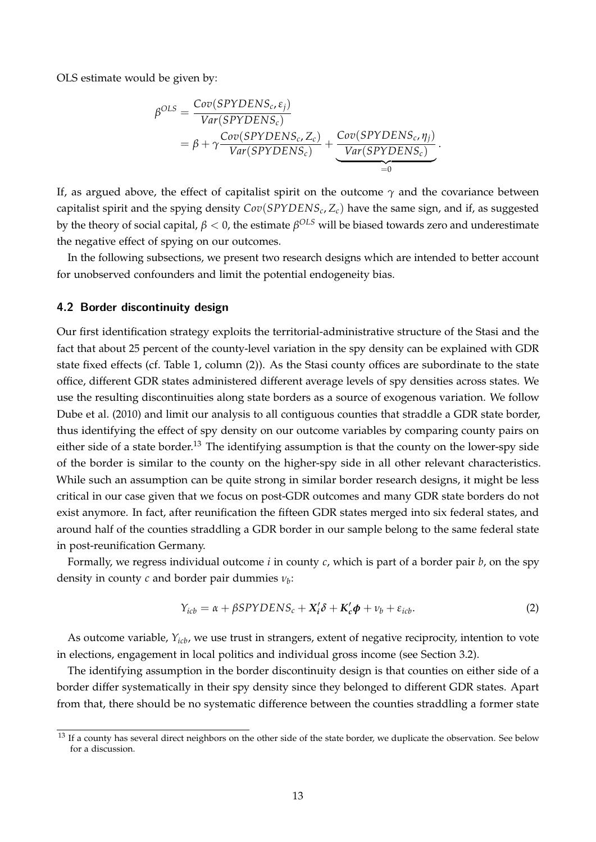OLS estimate would be given by:

$$
\beta^{OLS} = \frac{Cov(SPYDENS_c, \varepsilon_j)}{Var(SPYDENS_c)} \n= \beta + \gamma \frac{Cov(SPYDENS_c, Z_c)}{Var(SPYDENS_c)} + \underbrace{Cov(SPYDENS_c, \eta_j)}_{Var(SPYDENS_c)}.
$$

If, as argued above, the effect of capitalist spirit on the outcome  $\gamma$  and the covariance between capitalist spirit and the spying density *Cov*(*SPYDENS<sup>c</sup>* , *Zc*) have the same sign, and if, as suggested by the theory of social capital, *β* < 0, the estimate *β OLS* will be biased towards zero and underestimate the negative effect of spying on our outcomes.

In the following subsections, we present two research designs which are intended to better account for unobserved confounders and limit the potential endogeneity bias.

#### <span id="page-14-0"></span>**4.2 Border discontinuity design**

Our first identification strategy exploits the territorial-administrative structure of the Stasi and the fact that about 25 percent of the county-level variation in the spy density can be explained with GDR state fixed effects (cf. Table [1,](#page-13-0) column (2)). As the Stasi county offices are subordinate to the state office, different GDR states administered different average levels of spy densities across states. We use the resulting discontinuities along state borders as a source of exogenous variation. We follow [Dube et al.](#page-28-3) [\(2010\)](#page-28-3) and limit our analysis to all contiguous counties that straddle a GDR state border, thus identifying the effect of spy density on our outcome variables by comparing county pairs on either side of a state border.<sup>[13](#page-14-1)</sup> The identifying assumption is that the county on the lower-spy side of the border is similar to the county on the higher-spy side in all other relevant characteristics. While such an assumption can be quite strong in similar border research designs, it might be less critical in our case given that we focus on post-GDR outcomes and many GDR state borders do not exist anymore. In fact, after reunification the fifteen GDR states merged into six federal states, and around half of the counties straddling a GDR border in our sample belong to the same federal state in post-reunification Germany.

Formally, we regress individual outcome *i* in county *c*, which is part of a border pair *b*, on the spy density in county *c* and border pair dummies *ν<sup>b</sup>* :

<span id="page-14-2"></span>
$$
Y_{icb} = \alpha + \beta SPYDENS_c + X_i'\delta + K_c'\phi + \nu_b + \varepsilon_{icb}.
$$
 (2)

As outcome variable, *Yicb*, we use trust in strangers, extent of negative reciprocity, intention to vote in elections, engagement in local politics and individual gross income (see Section [3.2\)](#page-8-2).

The identifying assumption in the border discontinuity design is that counties on either side of a border differ systematically in their spy density since they belonged to different GDR states. Apart from that, there should be no systematic difference between the counties straddling a former state

<span id="page-14-1"></span><sup>&</sup>lt;sup>13</sup> If a county has several direct neighbors on the other side of the state border, we duplicate the observation. See below for a discussion.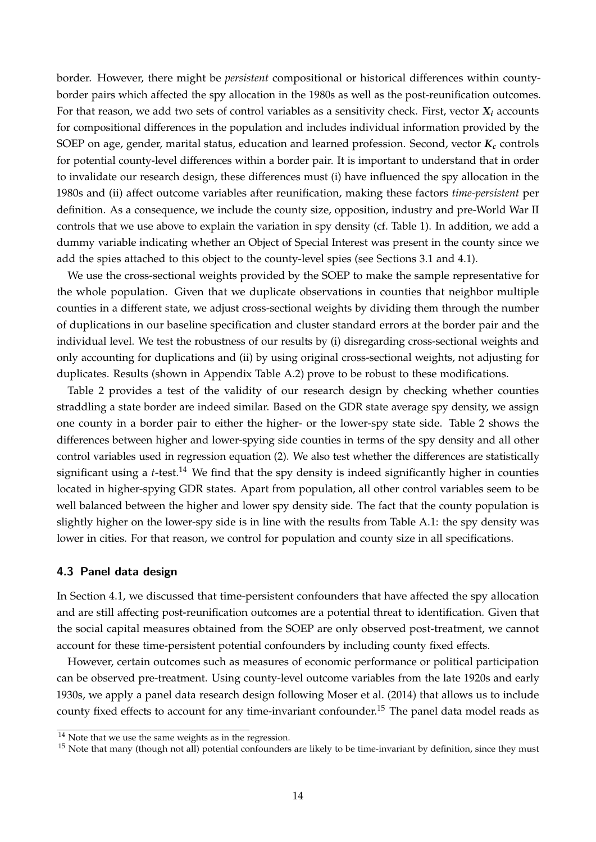border. However, there might be *persistent* compositional or historical differences within countyborder pairs which affected the spy allocation in the 1980s as well as the post-reunification outcomes. For that reason, we add two sets of control variables as a sensitivity check. First, vector *X<sup>i</sup>* accounts for compositional differences in the population and includes individual information provided by the SOEP on age, gender, marital status, education and learned profession. Second, vector *K<sup>c</sup>* controls for potential county-level differences within a border pair. It is important to understand that in order to invalidate our research design, these differences must (i) have influenced the spy allocation in the 1980s and (ii) affect outcome variables after reunification, making these factors *time-persistent* per definition. As a consequence, we include the county size, opposition, industry and pre-World War II controls that we use above to explain the variation in spy density (cf. Table [1\)](#page-13-0). In addition, we add a dummy variable indicating whether an Object of Special Interest was present in the county since we add the spies attached to this object to the county-level spies (see Sections [3.1](#page-8-1) and [4.1\)](#page-11-1).

We use the cross-sectional weights provided by the SOEP to make the sample representative for the whole population. Given that we duplicate observations in counties that neighbor multiple counties in a different state, we adjust cross-sectional weights by dividing them through the number of duplications in our baseline specification and cluster standard errors at the border pair and the individual level. We test the robustness of our results by (i) disregarding cross-sectional weights and only accounting for duplications and (ii) by using original cross-sectional weights, not adjusting for duplicates. Results (shown in Appendix Table [A.2\)](#page-31-1) prove to be robust to these modifications.

Table [2](#page-16-0) provides a test of the validity of our research design by checking whether counties straddling a state border are indeed similar. Based on the GDR state average spy density, we assign one county in a border pair to either the higher- or the lower-spy state side. Table [2](#page-16-0) shows the differences between higher and lower-spying side counties in terms of the spy density and all other control variables used in regression equation [\(2\)](#page-14-2). We also test whether the differences are statistically significant using a  $t$ -test.<sup>[14](#page-15-1)</sup> We find that the spy density is indeed significantly higher in counties located in higher-spying GDR states. Apart from population, all other control variables seem to be well balanced between the higher and lower spy density side. The fact that the county population is slightly higher on the lower-spy side is in line with the results from Table [A.1:](#page-34-0) the spy density was lower in cities. For that reason, we control for population and county size in all specifications.

#### <span id="page-15-0"></span>**4.3 Panel data design**

In Section [4.1,](#page-11-1) we discussed that time-persistent confounders that have affected the spy allocation and are still affecting post-reunification outcomes are a potential threat to identification. Given that the social capital measures obtained from the SOEP are only observed post-treatment, we cannot account for these time-persistent potential confounders by including county fixed effects.

However, certain outcomes such as measures of economic performance or political participation can be observed pre-treatment. Using county-level outcome variables from the late 1920s and early 1930s, we apply a panel data research design following [Moser et al.](#page-29-1) [\(2014\)](#page-29-1) that allows us to include county fixed effects to account for any time-invariant confounder.<sup>[15](#page-15-2)</sup> The panel data model reads as

<span id="page-15-1"></span><sup>&</sup>lt;sup>14</sup> Note that we use the same weights as in the regression.

<span id="page-15-2"></span> $15$  Note that many (though not all) potential confounders are likely to be time-invariant by definition, since they must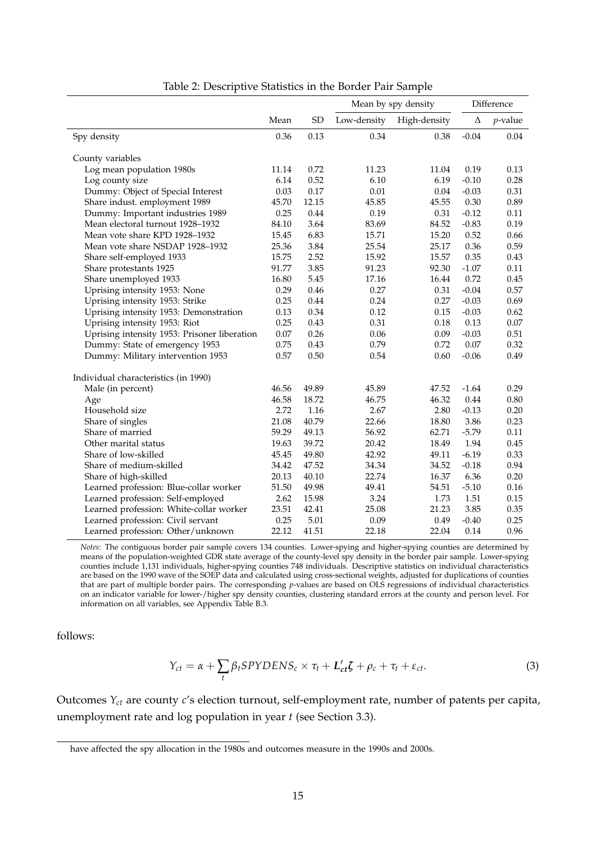|                                              |       |           |             | Mean by spy density | Difference |            |
|----------------------------------------------|-------|-----------|-------------|---------------------|------------|------------|
|                                              | Mean  | <b>SD</b> | Low-density | High-density        | Δ          | $p$ -value |
| Spy density                                  | 0.36  | 0.13      | 0.34        | 0.38                | $-0.04$    | 0.04       |
|                                              |       |           |             |                     |            |            |
| County variables                             | 11.14 | 0.72      | 11.23       | 11.04               | 0.19       | 0.13       |
| Log mean population 1980s                    | 6.14  | 0.52      | 6.10        | 6.19                | $-0.10$    | 0.28       |
| Log county size                              |       |           |             |                     |            |            |
| Dummy: Object of Special Interest            | 0.03  | 0.17      | 0.01        | 0.04                | $-0.03$    | 0.31       |
| Share indust. employment 1989                | 45.70 | 12.15     | 45.85       | 45.55               | 0.30       | 0.89       |
| Dummy: Important industries 1989             | 0.25  | 0.44      | 0.19        | 0.31                | $-0.12$    | 0.11       |
| Mean electoral turnout 1928-1932             | 84.10 | 3.64      | 83.69       | 84.52               | $-0.83$    | 0.19       |
| Mean vote share KPD 1928-1932                | 15.45 | 6.83      | 15.71       | 15.20               | 0.52       | 0.66       |
| Mean vote share NSDAP 1928-1932              | 25.36 | 3.84      | 25.54       | 25.17               | 0.36       | 0.59       |
| Share self-employed 1933                     | 15.75 | 2.52      | 15.92       | 15.57               | 0.35       | 0.43       |
| Share protestants 1925                       | 91.77 | 3.85      | 91.23       | 92.30               | $-1.07$    | 0.11       |
| Share unemployed 1933                        | 16.80 | 5.45      | 17.16       | 16.44               | 0.72       | 0.45       |
| Uprising intensity 1953: None                | 0.29  | 0.46      | 0.27        | 0.31                | $-0.04$    | 0.57       |
| Uprising intensity 1953: Strike              | 0.25  | 0.44      | 0.24        | 0.27                | $-0.03$    | 0.69       |
| Uprising intensity 1953: Demonstration       | 0.13  | 0.34      | 0.12        | 0.15                | $-0.03$    | 0.62       |
| Uprising intensity 1953: Riot                | 0.25  | 0.43      | 0.31        | 0.18                | 0.13       | 0.07       |
| Uprising intensity 1953: Prisoner liberation | 0.07  | 0.26      | 0.06        | 0.09                | $-0.03$    | 0.51       |
| Dummy: State of emergency 1953               | 0.75  | 0.43      | 0.79        | 0.72                | 0.07       | 0.32       |
| Dummy: Military intervention 1953            | 0.57  | 0.50      | 0.54        | 0.60                | $-0.06$    | 0.49       |
| Individual characteristics (in 1990)         |       |           |             |                     |            |            |
| Male (in percent)                            | 46.56 | 49.89     | 45.89       | 47.52               | $-1.64$    | 0.29       |
| Age                                          | 46.58 | 18.72     | 46.75       | 46.32               | 0.44       | 0.80       |
| Household size                               | 2.72  | 1.16      | 2.67        | 2.80                | $-0.13$    | 0.20       |
| Share of singles                             | 21.08 | 40.79     | 22.66       | 18.80               | 3.86       | 0.23       |
| Share of married                             | 59.29 | 49.13     | 56.92       | 62.71               | $-5.79$    | 0.11       |
| Other marital status                         | 19.63 | 39.72     | 20.42       | 18.49               | 1.94       | 0.45       |
| Share of low-skilled                         | 45.45 | 49.80     | 42.92       | 49.11               | $-6.19$    | 0.33       |
|                                              |       |           |             |                     |            |            |
| Share of medium-skilled                      | 34.42 | 47.52     | 34.34       | 34.52               | $-0.18$    | 0.94       |
| Share of high-skilled                        | 20.13 | 40.10     | 22.74       | 16.37               | 6.36       | 0.20       |
| Learned profession: Blue-collar worker       | 51.50 | 49.98     | 49.41       | 54.51               | $-5.10$    | 0.16       |
| Learned profession: Self-employed            | 2.62  | 15.98     | 3.24        | 1.73                | 1.51       | 0.15       |
| Learned profession: White-collar worker      | 23.51 | 42.41     | 25.08       | 21.23               | 3.85       | 0.35       |
| Learned profession: Civil servant            | 0.25  | 5.01      | 0.09        | 0.49                | $-0.40$    | 0.25       |
| Learned profession: Other/unknown            | 22.12 | 41.51     | 22.18       | 22.04               | 0.14       | 0.96       |

<span id="page-16-0"></span>Table 2: Descriptive Statistics in the Border Pair Sample

*Notes:* The contiguous border pair sample covers 134 counties. Lower-spying and higher-spying counties are determined by means of the population-weighted GDR state average of the county-level spy density in the border pair sample. Lower-spying counties include 1,131 individuals, higher-spying counties 748 individuals. Descriptive statistics on individual characteristics are based on the 1990 wave of the SOEP data and calculated using cross-sectional weights, adjusted for duplications of counties that are part of multiple border pairs. The corresponding *p*-values are based on OLS regressions of individual characteristics on an indicator variable for lower-/higher spy density counties, clustering standard errors at the county and person level. For information on all variables, see Appendix Table [B.3.](#page-41-0)

follows:

<span id="page-16-1"></span>
$$
Y_{ct} = \alpha + \sum_{t} \beta_t SPYDENS_c \times \tau_t + L'_{ct}\zeta + \rho_c + \tau_t + \varepsilon_{ct}.
$$
 (3)

Outcomes *Yct* are county *c*'s election turnout, self-employment rate, number of patents per capita, unemployment rate and log population in year *t* (see Section [3.3\)](#page-10-0).

have affected the spy allocation in the 1980s and outcomes measure in the 1990s and 2000s.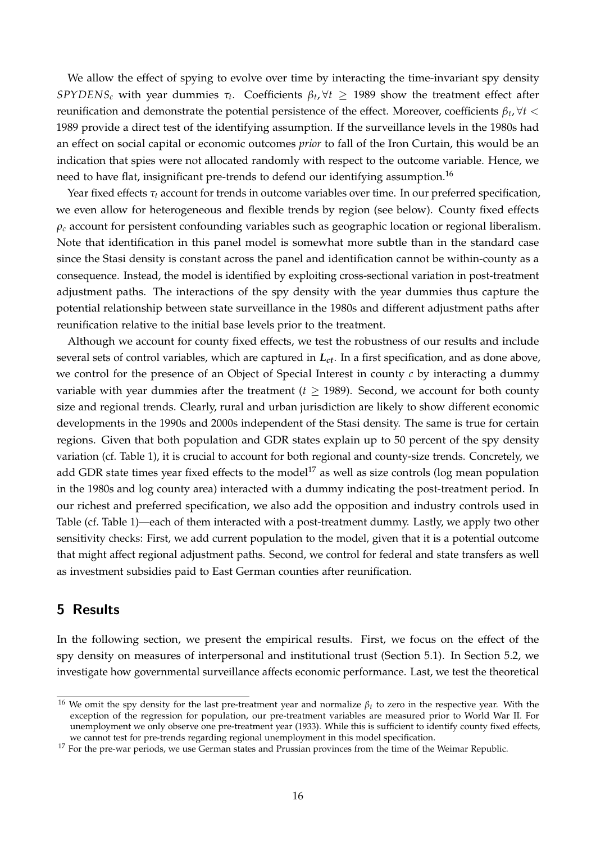We allow the effect of spying to evolve over time by interacting the time-invariant spy density *SPYDENS*<sub>*c*</sub> with year dummies  $\tau_t$ . Coefficients  $\beta_t$ ,  $\forall t \geq 1989$  show the treatment effect after reunification and demonstrate the potential persistence of the effect. Moreover, coefficients  $\beta_t$ ,  $\forall t <$ 1989 provide a direct test of the identifying assumption. If the surveillance levels in the 1980s had an effect on social capital or economic outcomes *prior* to fall of the Iron Curtain, this would be an indication that spies were not allocated randomly with respect to the outcome variable. Hence, we need to have flat, insignificant pre-trends to defend our identifying assumption.<sup>[16](#page-17-1)</sup>

Year fixed effects  $\tau_t$  account for trends in outcome variables over time. In our preferred specification, we even allow for heterogeneous and flexible trends by region (see below). County fixed effects *ρ<sup>c</sup>* account for persistent confounding variables such as geographic location or regional liberalism. Note that identification in this panel model is somewhat more subtle than in the standard case since the Stasi density is constant across the panel and identification cannot be within-county as a consequence. Instead, the model is identified by exploiting cross-sectional variation in post-treatment adjustment paths. The interactions of the spy density with the year dummies thus capture the potential relationship between state surveillance in the 1980s and different adjustment paths after reunification relative to the initial base levels prior to the treatment.

Although we account for county fixed effects, we test the robustness of our results and include several sets of control variables, which are captured in *Lct*. In a first specification, and as done above, we control for the presence of an Object of Special Interest in county *c* by interacting a dummy variable with year dummies after the treatment ( $t \geq 1989$ ). Second, we account for both county size and regional trends. Clearly, rural and urban jurisdiction are likely to show different economic developments in the 1990s and 2000s independent of the Stasi density. The same is true for certain regions. Given that both population and GDR states explain up to 50 percent of the spy density variation (cf. Table [1\)](#page-13-0), it is crucial to account for both regional and county-size trends. Concretely, we add GDR state times year fixed effects to the model<sup>[17](#page-17-2)</sup> as well as size controls (log mean population in the 1980s and log county area) interacted with a dummy indicating the post-treatment period. In our richest and preferred specification, we also add the opposition and industry controls used in Table (cf. Table [1\)](#page-13-0)—each of them interacted with a post-treatment dummy. Lastly, we apply two other sensitivity checks: First, we add current population to the model, given that it is a potential outcome that might affect regional adjustment paths. Second, we control for federal and state transfers as well as investment subsidies paid to East German counties after reunification.

### <span id="page-17-0"></span>**5 Results**

In the following section, we present the empirical results. First, we focus on the effect of the spy density on measures of interpersonal and institutional trust (Section [5.1\)](#page-18-0). In Section [5.2,](#page-21-0) we investigate how governmental surveillance affects economic performance. Last, we test the theoretical

<span id="page-17-1"></span><sup>16</sup> We omit the spy density for the last pre-treatment year and normalize *β<sup>t</sup>* to zero in the respective year. With the exception of the regression for population, our pre-treatment variables are measured prior to World War II. For unemployment we only observe one pre-treatment year (1933). While this is sufficient to identify county fixed effects, we cannot test for pre-trends regarding regional unemployment in this model specification.

<span id="page-17-2"></span><sup>&</sup>lt;sup>17</sup> For the pre-war periods, we use German states and Prussian provinces from the time of the Weimar Republic.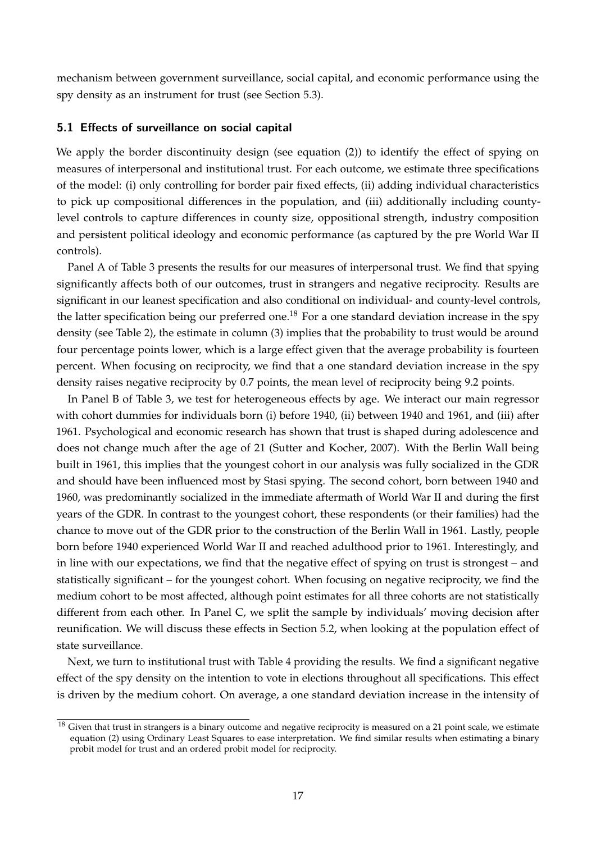mechanism between government surveillance, social capital, and economic performance using the spy density as an instrument for trust (see Section [5.3\)](#page-26-0).

#### <span id="page-18-0"></span>**5.1 Effects of surveillance on social capital**

We apply the border discontinuity design (see equation [\(2\)](#page-14-2)) to identify the effect of spying on measures of interpersonal and institutional trust. For each outcome, we estimate three specifications of the model: (i) only controlling for border pair fixed effects, (ii) adding individual characteristics to pick up compositional differences in the population, and (iii) additionally including countylevel controls to capture differences in county size, oppositional strength, industry composition and persistent political ideology and economic performance (as captured by the pre World War II controls).

Panel A of Table [3](#page-19-0) presents the results for our measures of interpersonal trust. We find that spying significantly affects both of our outcomes, trust in strangers and negative reciprocity. Results are significant in our leanest specification and also conditional on individual- and county-level controls, the latter specification being our preferred one.<sup>[18](#page-18-1)</sup> For a one standard deviation increase in the spy density (see Table [2\)](#page-16-0), the estimate in column (3) implies that the probability to trust would be around four percentage points lower, which is a large effect given that the average probability is fourteen percent. When focusing on reciprocity, we find that a one standard deviation increase in the spy density raises negative reciprocity by 0.7 points, the mean level of reciprocity being 9.2 points.

In Panel B of Table [3,](#page-19-0) we test for heterogeneous effects by age. We interact our main regressor with cohort dummies for individuals born (i) before 1940, (ii) between 1940 and 1961, and (iii) after 1961. Psychological and economic research has shown that trust is shaped during adolescence and does not change much after the age of 21 [\(Sutter and Kocher, 2007\)](#page-30-1). With the Berlin Wall being built in 1961, this implies that the youngest cohort in our analysis was fully socialized in the GDR and should have been influenced most by Stasi spying. The second cohort, born between 1940 and 1960, was predominantly socialized in the immediate aftermath of World War II and during the first years of the GDR. In contrast to the youngest cohort, these respondents (or their families) had the chance to move out of the GDR prior to the construction of the Berlin Wall in 1961. Lastly, people born before 1940 experienced World War II and reached adulthood prior to 1961. Interestingly, and in line with our expectations, we find that the negative effect of spying on trust is strongest – and statistically significant – for the youngest cohort. When focusing on negative reciprocity, we find the medium cohort to be most affected, although point estimates for all three cohorts are not statistically different from each other. In Panel C, we split the sample by individuals' moving decision after reunification. We will discuss these effects in Section [5.2,](#page-21-0) when looking at the population effect of state surveillance.

Next, we turn to institutional trust with Table [4](#page-20-0) providing the results. We find a significant negative effect of the spy density on the intention to vote in elections throughout all specifications. This effect is driven by the medium cohort. On average, a one standard deviation increase in the intensity of

<span id="page-18-1"></span> $18$  Given that trust in strangers is a binary outcome and negative reciprocity is measured on a 21 point scale, we estimate equation [\(2\)](#page-14-2) using Ordinary Least Squares to ease interpretation. We find similar results when estimating a binary probit model for trust and an ordered probit model for reciprocity.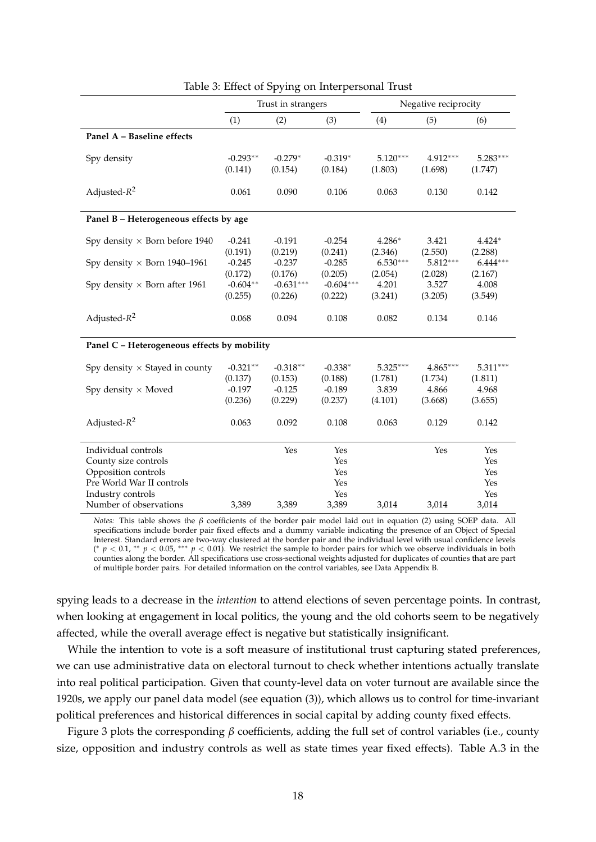|                                             |                                | Trust in strangers             |                                |                             | Negative reciprocity<br>(5)<br>(6)<br>4.912***<br>(1.698)<br>0.130<br>3.421<br>(2.550)<br>(2.288)<br>$5.812***$<br>(2.167)<br>(2.028)<br>3.527<br>(3.205)<br>0.134<br>$4.865***$<br>(1.811)<br>(1.734)<br>4.866<br>(3.668)<br>0.129 |                       |
|---------------------------------------------|--------------------------------|--------------------------------|--------------------------------|-----------------------------|-------------------------------------------------------------------------------------------------------------------------------------------------------------------------------------------------------------------------------------|-----------------------|
|                                             | (1)                            | (2)                            | (3)                            | (4)                         |                                                                                                                                                                                                                                     |                       |
| Panel A - Baseline effects                  |                                |                                |                                |                             |                                                                                                                                                                                                                                     |                       |
| Spy density                                 | $-0.293**$<br>(0.141)          | $-0.279*$<br>(0.154)           | $-0.319*$<br>(0.184)           | $5.120***$<br>(1.803)       |                                                                                                                                                                                                                                     | $5.283***$<br>(1.747) |
| Adjusted- $R^2$                             | 0.061                          | 0.090                          | 0.106                          | 0.063                       |                                                                                                                                                                                                                                     | 0.142                 |
| Panel B - Heterogeneous effects by age      |                                |                                |                                |                             |                                                                                                                                                                                                                                     |                       |
| Spy density $\times$ Born before 1940       | $-0.241$<br>(0.191)            | $-0.191$<br>(0.219)            | $-0.254$<br>(0.241)            | $4.286*$<br>(2.346)         |                                                                                                                                                                                                                                     | $4.424*$              |
| Spy density $\times$ Born 1940–1961         | $-0.245$<br>(0.172)            | $-0.237$<br>(0.176)            | $-0.285$<br>(0.205)            | $6.530***$<br>(2.054)       |                                                                                                                                                                                                                                     | $6.444***$            |
| Spy density $\times$ Born after 1961        | $-0.604**$<br>(0.255)          | $-0.631***$<br>(0.226)         | $-0.604***$<br>(0.222)         | 4.201<br>(3.241)            |                                                                                                                                                                                                                                     | 4.008<br>(3.549)      |
| Adjusted- $R^2$                             | 0.068                          | 0.094                          | 0.108                          | 0.082                       |                                                                                                                                                                                                                                     | 0.146                 |
| Panel C - Heterogeneous effects by mobility |                                |                                |                                |                             |                                                                                                                                                                                                                                     |                       |
| Spy density $\times$ Stayed in county       | $-0.321**$                     | $-0.318**$                     | $-0.338*$                      | $5.325***$                  |                                                                                                                                                                                                                                     | $5.311***$            |
| Spy density $\times$ Moved                  | (0.137)<br>$-0.197$<br>(0.236) | (0.153)<br>$-0.125$<br>(0.229) | (0.188)<br>$-0.189$<br>(0.237) | (1.781)<br>3.839<br>(4.101) |                                                                                                                                                                                                                                     | 4.968<br>(3.655)      |
| Adjusted- $R^2$                             | 0.063                          | 0.092                          | 0.108                          | 0.063                       |                                                                                                                                                                                                                                     | 0.142                 |
| Individual controls                         |                                | Yes                            | Yes                            |                             | Yes                                                                                                                                                                                                                                 | Yes                   |
| County size controls                        |                                |                                | Yes                            |                             |                                                                                                                                                                                                                                     | Yes                   |
| Opposition controls                         |                                |                                | Yes                            |                             |                                                                                                                                                                                                                                     | Yes                   |
| Pre World War II controls                   |                                |                                | Yes<br>Yes                     |                             |                                                                                                                                                                                                                                     | Yes<br>Yes            |
| Industry controls<br>Number of observations | 3,389                          | 3,389                          | 3,389                          | 3,014                       | 3,014                                                                                                                                                                                                                               | 3,014                 |
|                                             |                                |                                |                                |                             |                                                                                                                                                                                                                                     |                       |

<span id="page-19-0"></span>Table 3: Effect of Spying on Interpersonal Trust

*Notes:* This table shows the *β* coefficients of the border pair model laid out in equation [\(2\)](#page-14-2) using SOEP data. All specifications include border pair fixed effects and a dummy variable indicating the presence of an Object of Special Interest. Standard errors are two-way clustered at the border pair and the individual level with usual confidence levels (\*  $p < 0.1$ , \*\*  $p < 0.05$ , \*\*\*  $p < 0.01$ ). We restrict the sample to border pairs for which we observe individuals in both counties along the border. All specifications use cross-sectional weights adjusted for duplicates of counties that are part of multiple border pairs. For detailed information on the control variables, see Data Appendix [B.](#page-40-0)

spying leads to a decrease in the *intention* to attend elections of seven percentage points. In contrast, when looking at engagement in local politics, the young and the old cohorts seem to be negatively affected, while the overall average effect is negative but statistically insignificant.

While the intention to vote is a soft measure of institutional trust capturing stated preferences, we can use administrative data on electoral turnout to check whether intentions actually translate into real political participation. Given that county-level data on voter turnout are available since the 1920s, we apply our panel data model (see equation [\(3\)](#page-16-1)), which allows us to control for time-invariant political preferences and historical differences in social capital by adding county fixed effects.

Figure [3](#page-21-1) plots the corresponding *β* coefficients, adding the full set of control variables (i.e., county size, opposition and industry controls as well as state times year fixed effects). Table [A.3](#page-35-0) in the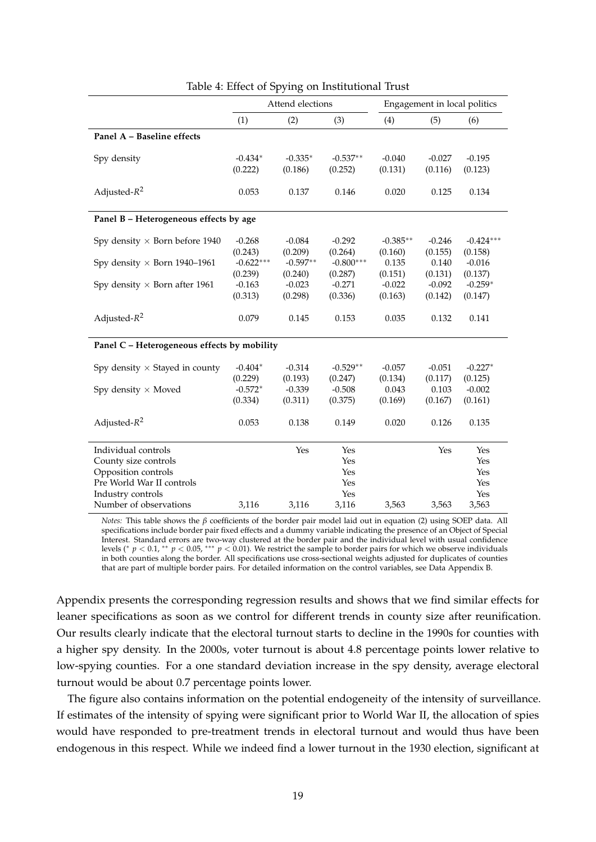|                                                  |                                 | Attend elections               |                                |                             |                             | Engagement in local politics   |
|--------------------------------------------------|---------------------------------|--------------------------------|--------------------------------|-----------------------------|-----------------------------|--------------------------------|
|                                                  | (1)                             | (2)                            | (3)                            | (4)                         | (5)                         | (6)                            |
| Panel A - Baseline effects                       |                                 |                                |                                |                             |                             |                                |
| Spy density                                      | $-0.434*$<br>(0.222)            | $-0.335*$<br>(0.186)           | $-0.537**$<br>(0.252)          | $-0.040$<br>(0.131)         | $-0.027$<br>(0.116)         | $-0.195$<br>(0.123)            |
| Adjusted- $R^2$                                  | 0.053                           | 0.137                          | 0.146                          | 0.020                       | 0.125                       | 0.134                          |
| Panel B - Heterogeneous effects by age           |                                 |                                |                                |                             |                             |                                |
| Spy density $\times$ Born before 1940            | $-0.268$<br>(0.243)             | $-0.084$<br>(0.209)            | $-0.292$<br>(0.264)            | $-0.385**$<br>(0.160)       | $-0.246$<br>(0.155)         | $-0.424***$<br>(0.158)         |
| Spy density $\times$ Born 1940-1961              | $-0.622***$<br>(0.239)          | $-0.597**$<br>(0.240)          | $-0.800***$<br>(0.287)         | 0.135<br>(0.151)            | 0.140<br>(0.131)            | $-0.016$<br>(0.137)            |
| Spy density $\times$ Born after 1961             | $-0.163$<br>(0.313)             | $-0.023$<br>(0.298)            | $-0.271$<br>(0.336)            | $-0.022$<br>(0.163)         | $-0.092$<br>(0.142)         | $-0.259*$<br>(0.147)           |
| Adjusted- $R^2$                                  | 0.079                           | 0.145                          | 0.153                          | 0.035                       | 0.132                       | 0.141                          |
| Panel C - Heterogeneous effects by mobility      |                                 |                                |                                |                             |                             |                                |
| Spy density $\times$ Stayed in county            | $-0.404*$                       | $-0.314$                       | $-0.529**$                     | $-0.057$                    | $-0.051$                    | $-0.227*$                      |
| Spy density $\times$ Moved                       | (0.229)<br>$-0.572*$<br>(0.334) | (0.193)<br>$-0.339$<br>(0.311) | (0.247)<br>$-0.508$<br>(0.375) | (0.134)<br>0.043<br>(0.169) | (0.117)<br>0.103<br>(0.167) | (0.125)<br>$-0.002$<br>(0.161) |
| Adjusted- $R^2$                                  | 0.053                           | 0.138                          | 0.149                          | 0.020                       | 0.126                       | 0.135                          |
| Individual controls                              |                                 | Yes                            | Yes                            |                             | Yes                         | Yes                            |
| County size controls                             |                                 |                                | Yes<br>Yes                     |                             |                             | Yes<br>Yes                     |
| Opposition controls<br>Pre World War II controls |                                 |                                | Yes                            |                             |                             | Yes                            |
| Industry controls                                |                                 |                                | Yes                            |                             |                             | Yes                            |
| Number of observations                           | 3,116                           | 3,116                          | 3,116                          | 3,563                       | 3,563                       | 3,563                          |

<span id="page-20-0"></span>

|  |  |  |  |  | Table 4: Effect of Spying on Institutional Trust |  |
|--|--|--|--|--|--------------------------------------------------|--|
|--|--|--|--|--|--------------------------------------------------|--|

*Notes:* This table shows the *β* coefficients of the border pair model laid out in equation [\(2\)](#page-14-2) using SOEP data. All specifications include border pair fixed effects and a dummy variable indicating the presence of an Object of Special Interest. Standard errors are two-way clustered at the border pair and the individual level with usual confidence<br>levels (\* p < 0.1, \*\* p < 0.05, \*\*\* p < 0.01). We restrict the sample to border pairs for which we observe in both counties along the border. All specifications use cross-sectional weights adjusted for duplicates of counties that are part of multiple border pairs. For detailed information on the control variables, see Data Appendix [B.](#page-40-0)

Appendix presents the corresponding regression results and shows that we find similar effects for leaner specifications as soon as we control for different trends in county size after reunification. Our results clearly indicate that the electoral turnout starts to decline in the 1990s for counties with a higher spy density. In the 2000s, voter turnout is about 4.8 percentage points lower relative to low-spying counties. For a one standard deviation increase in the spy density, average electoral turnout would be about 0.7 percentage points lower.

The figure also contains information on the potential endogeneity of the intensity of surveillance. If estimates of the intensity of spying were significant prior to World War II, the allocation of spies would have responded to pre-treatment trends in electoral turnout and would thus have been endogenous in this respect. While we indeed find a lower turnout in the 1930 election, significant at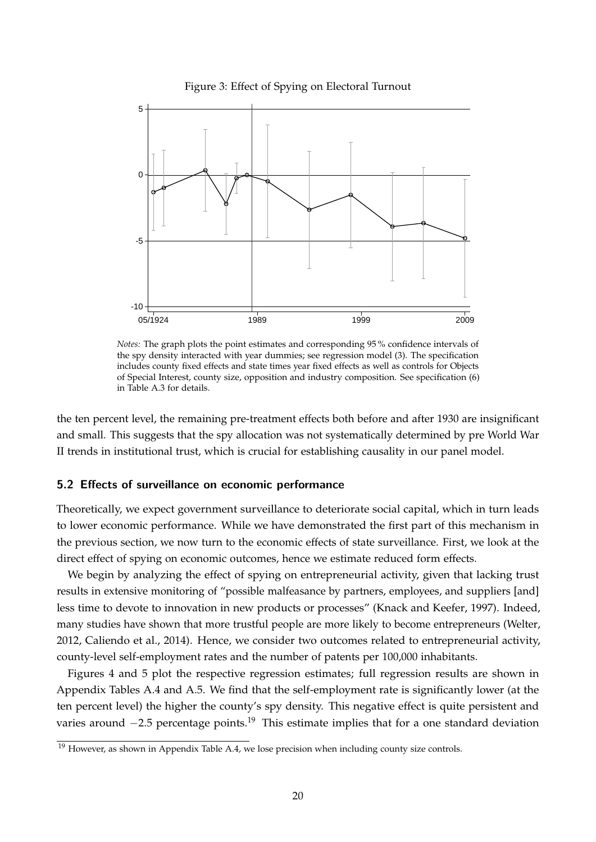

<span id="page-21-1"></span>Figure 3: Effect of Spying on Electoral Turnout

*Notes:* The graph plots the point estimates and corresponding 95 % confidence intervals of the spy density interacted with year dummies; see regression model [\(3\)](#page-16-1). The specification includes county fixed effects and state times year fixed effects as well as controls for Objects of Special Interest, county size, opposition and industry composition. See specification (6) in Table [A.3](#page-35-0) for details.

the ten percent level, the remaining pre-treatment effects both before and after 1930 are insignificant and small. This suggests that the spy allocation was not systematically determined by pre World War II trends in institutional trust, which is crucial for establishing causality in our panel model.

#### <span id="page-21-0"></span>**5.2 Effects of surveillance on economic performance**

Theoretically, we expect government surveillance to deteriorate social capital, which in turn leads to lower economic performance. While we have demonstrated the first part of this mechanism in the previous section, we now turn to the economic effects of state surveillance. First, we look at the direct effect of spying on economic outcomes, hence we estimate reduced form effects.

We begin by analyzing the effect of spying on entrepreneurial activity, given that lacking trust results in extensive monitoring of "possible malfeasance by partners, employees, and suppliers [and] less time to devote to innovation in new products or processes" [\(Knack and Keefer, 1997\)](#page-29-4). Indeed, many studies have shown that more trustful people are more likely to become entrepreneurs [\(Welter,](#page-30-11) [2012,](#page-30-11) [Caliendo et al., 2014\)](#page-28-14). Hence, we consider two outcomes related to entrepreneurial activity, county-level self-employment rates and the number of patents per 100,000 inhabitants.

Figures [4](#page-22-0) and [5](#page-22-1) plot the respective regression estimates; full regression results are shown in Appendix Tables [A.4](#page-36-0) and [A.5.](#page-37-0) We find that the self-employment rate is significantly lower (at the ten percent level) the higher the county's spy density. This negative effect is quite persistent and varies around  $-2.5$  percentage points.<sup>[19](#page-21-2)</sup> This estimate implies that for a one standard deviation

<span id="page-21-2"></span> $19$  However, as shown in Appendix Table [A.4,](#page-36-0) we lose precision when including county size controls.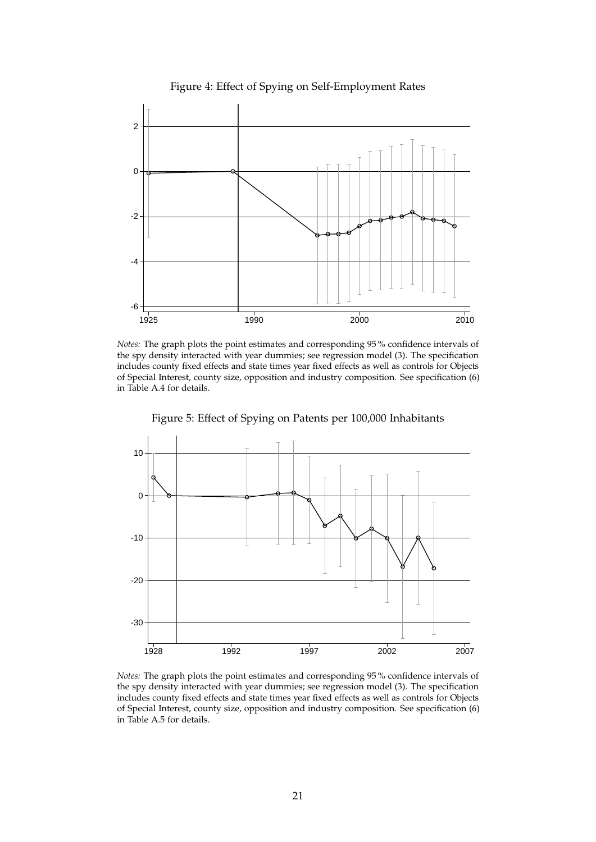

<span id="page-22-0"></span>Figure 4: Effect of Spying on Self-Employment Rates

*Notes:* The graph plots the point estimates and corresponding 95 % confidence intervals of the spy density interacted with year dummies; see regression model [\(3\)](#page-16-1). The specification includes county fixed effects and state times year fixed effects as well as controls for Objects of Special Interest, county size, opposition and industry composition. See specification (6) in Table [A.4](#page-36-0) for details.



<span id="page-22-1"></span>Figure 5: Effect of Spying on Patents per 100,000 Inhabitants

*Notes:* The graph plots the point estimates and corresponding 95 % confidence intervals of the spy density interacted with year dummies; see regression model [\(3\)](#page-16-1). The specification includes county fixed effects and state times year fixed effects as well as controls for Objects of Special Interest, county size, opposition and industry composition. See specification (6) in Table [A.5](#page-37-0) for details.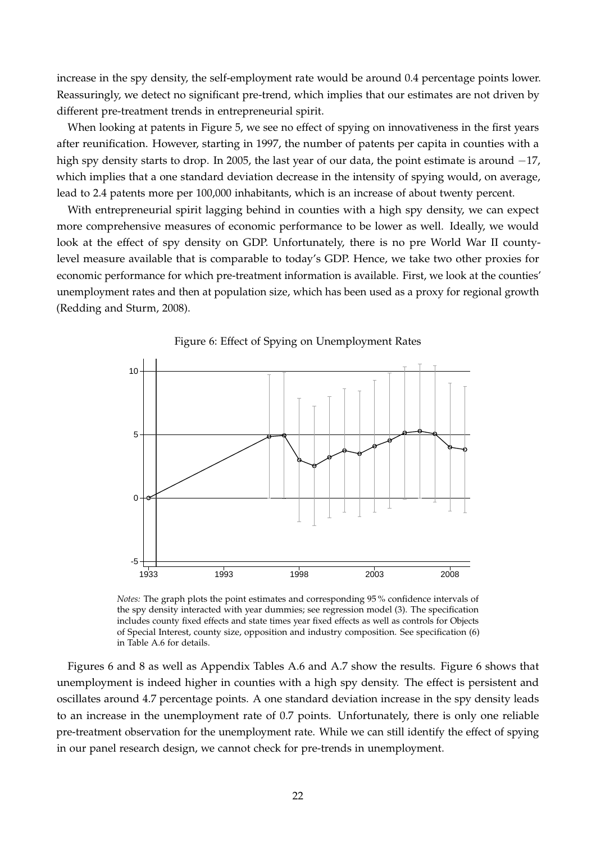increase in the spy density, the self-employment rate would be around 0.4 percentage points lower. Reassuringly, we detect no significant pre-trend, which implies that our estimates are not driven by different pre-treatment trends in entrepreneurial spirit.

When looking at patents in Figure [5,](#page-22-1) we see no effect of spying on innovativeness in the first years after reunification. However, starting in 1997, the number of patents per capita in counties with a high spy density starts to drop. In 2005, the last year of our data, the point estimate is around −17, which implies that a one standard deviation decrease in the intensity of spying would, on average, lead to 2.4 patents more per 100,000 inhabitants, which is an increase of about twenty percent.

With entrepreneurial spirit lagging behind in counties with a high spy density, we can expect more comprehensive measures of economic performance to be lower as well. Ideally, we would look at the effect of spy density on GDP. Unfortunately, there is no pre World War II countylevel measure available that is comparable to today's GDP. Hence, we take two other proxies for economic performance for which pre-treatment information is available. First, we look at the counties' unemployment rates and then at population size, which has been used as a proxy for regional growth [\(Redding and Sturm, 2008\)](#page-30-12).



<span id="page-23-0"></span>

*Notes:* The graph plots the point estimates and corresponding 95 % confidence intervals of the spy density interacted with year dummies; see regression model [\(3\)](#page-16-1). The specification includes county fixed effects and state times year fixed effects as well as controls for Objects of Special Interest, county size, opposition and industry composition. See specification (6) in Table [A.6](#page-38-0) for details.

Figures [6](#page-23-0) and [8](#page-25-0) as well as Appendix Tables [A.6](#page-38-0) and [A.7](#page-39-0) show the results. Figure [6](#page-23-0) shows that unemployment is indeed higher in counties with a high spy density. The effect is persistent and oscillates around 4.7 percentage points. A one standard deviation increase in the spy density leads to an increase in the unemployment rate of 0.7 points. Unfortunately, there is only one reliable pre-treatment observation for the unemployment rate. While we can still identify the effect of spying in our panel research design, we cannot check for pre-trends in unemployment.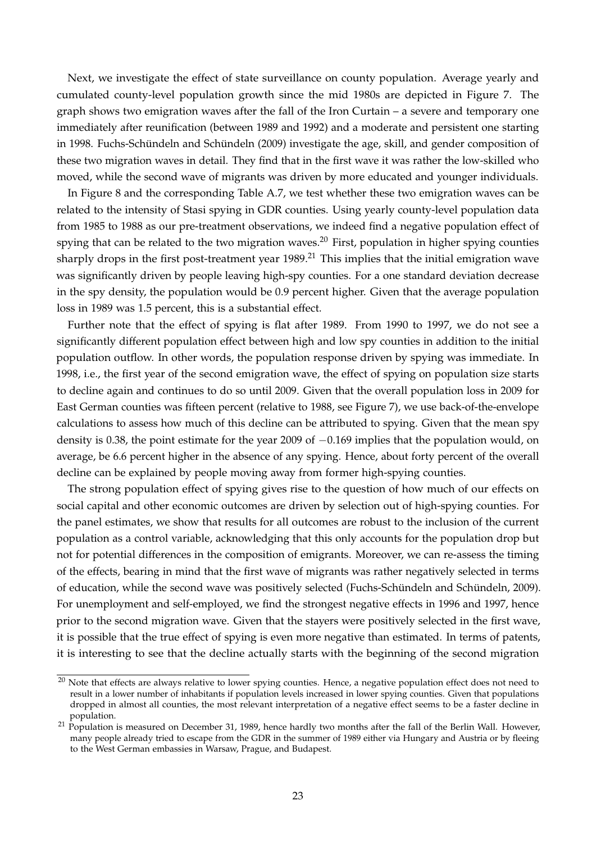Next, we investigate the effect of state surveillance on county population. Average yearly and cumulated county-level population growth since the mid 1980s are depicted in Figure [7.](#page-25-1) The graph shows two emigration waves after the fall of the Iron Curtain – a severe and temporary one immediately after reunification (between 1989 and 1992) and a moderate and persistent one starting in 1998. Fuchs-Schündeln and Schündeln [\(2009\)](#page-28-5) investigate the age, skill, and gender composition of these two migration waves in detail. They find that in the first wave it was rather the low-skilled who moved, while the second wave of migrants was driven by more educated and younger individuals.

In Figure [8](#page-25-0) and the corresponding Table [A.7,](#page-39-0) we test whether these two emigration waves can be related to the intensity of Stasi spying in GDR counties. Using yearly county-level population data from 1985 to 1988 as our pre-treatment observations, we indeed find a negative population effect of spying that can be related to the two migration waves.<sup>[20](#page-24-0)</sup> First, population in higher spying counties sharply drops in the first post-treatment year  $1989<sup>21</sup>$  $1989<sup>21</sup>$  $1989<sup>21</sup>$ . This implies that the initial emigration wave was significantly driven by people leaving high-spy counties. For a one standard deviation decrease in the spy density, the population would be 0.9 percent higher. Given that the average population loss in 1989 was 1.5 percent, this is a substantial effect.

Further note that the effect of spying is flat after 1989. From 1990 to 1997, we do not see a significantly different population effect between high and low spy counties in addition to the initial population outflow. In other words, the population response driven by spying was immediate. In 1998, i.e., the first year of the second emigration wave, the effect of spying on population size starts to decline again and continues to do so until 2009. Given that the overall population loss in 2009 for East German counties was fifteen percent (relative to 1988, see Figure [7\)](#page-25-1), we use back-of-the-envelope calculations to assess how much of this decline can be attributed to spying. Given that the mean spy density is 0.38, the point estimate for the year 2009 of −0.169 implies that the population would, on average, be 6.6 percent higher in the absence of any spying. Hence, about forty percent of the overall decline can be explained by people moving away from former high-spying counties.

The strong population effect of spying gives rise to the question of how much of our effects on social capital and other economic outcomes are driven by selection out of high-spying counties. For the panel estimates, we show that results for all outcomes are robust to the inclusion of the current population as a control variable, acknowledging that this only accounts for the population drop but not for potential differences in the composition of emigrants. Moreover, we can re-assess the timing of the effects, bearing in mind that the first wave of migrants was rather negatively selected in terms of education, while the second wave was positively selected (Fuchs-Schündeln and Schündeln, [2009\)](#page-28-5). For unemployment and self-employed, we find the strongest negative effects in 1996 and 1997, hence prior to the second migration wave. Given that the stayers were positively selected in the first wave, it is possible that the true effect of spying is even more negative than estimated. In terms of patents, it is interesting to see that the decline actually starts with the beginning of the second migration

<span id="page-24-0"></span><sup>&</sup>lt;sup>20</sup> Note that effects are always relative to lower spying counties. Hence, a negative population effect does not need to result in a lower number of inhabitants if population levels increased in lower spying counties. Given that populations dropped in almost all counties, the most relevant interpretation of a negative effect seems to be a faster decline in population.

<span id="page-24-1"></span> $21$  Population is measured on December 31, 1989, hence hardly two months after the fall of the Berlin Wall. However, many people already tried to escape from the GDR in the summer of 1989 either via Hungary and Austria or by fleeing to the West German embassies in Warsaw, Prague, and Budapest.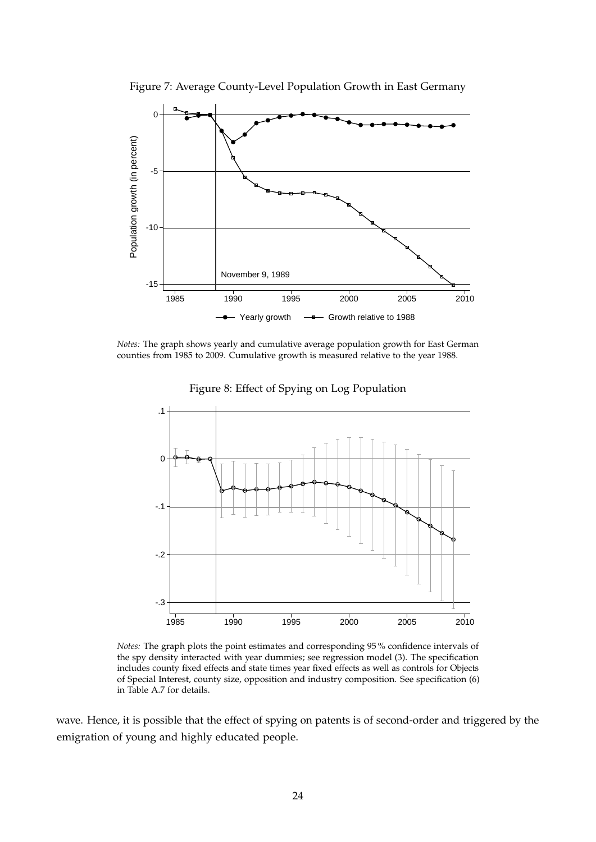

<span id="page-25-1"></span>Figure 7: Average County-Level Population Growth in East Germany

*Notes:* The graph shows yearly and cumulative average population growth for East German counties from 1985 to 2009. Cumulative growth is measured relative to the year 1988.



<span id="page-25-0"></span>Figure 8: Effect of Spying on Log Population

*Notes:* The graph plots the point estimates and corresponding 95 % confidence intervals of the spy density interacted with year dummies; see regression model [\(3\)](#page-16-1). The specification includes county fixed effects and state times year fixed effects as well as controls for Objects of Special Interest, county size, opposition and industry composition. See specification (6) in Table [A.7](#page-39-0) for details.

wave. Hence, it is possible that the effect of spying on patents is of second-order and triggered by the emigration of young and highly educated people.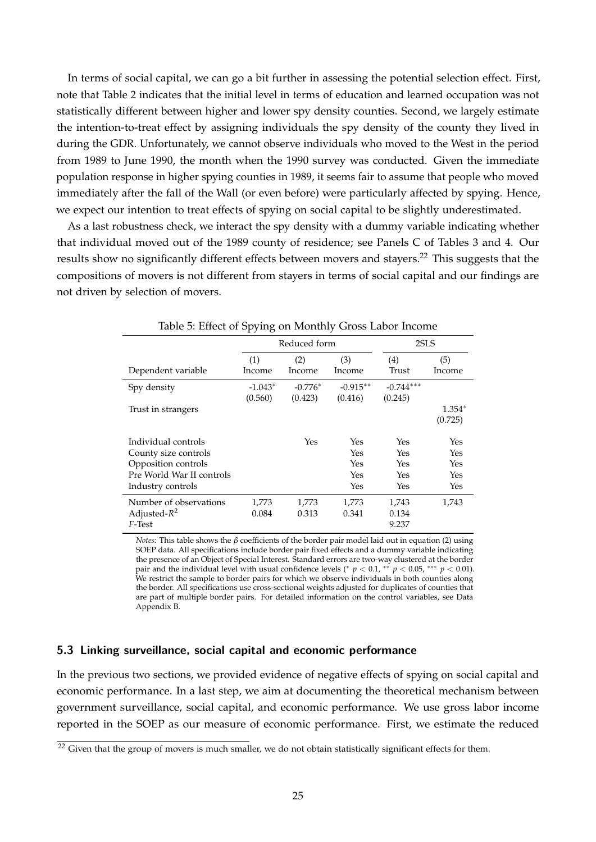In terms of social capital, we can go a bit further in assessing the potential selection effect. First, note that Table [2](#page-16-0) indicates that the initial level in terms of education and learned occupation was not statistically different between higher and lower spy density counties. Second, we largely estimate the intention-to-treat effect by assigning individuals the spy density of the county they lived in during the GDR. Unfortunately, we cannot observe individuals who moved to the West in the period from 1989 to June 1990, the month when the 1990 survey was conducted. Given the immediate population response in higher spying counties in 1989, it seems fair to assume that people who moved immediately after the fall of the Wall (or even before) were particularly affected by spying. Hence, we expect our intention to treat effects of spying on social capital to be slightly underestimated.

As a last robustness check, we interact the spy density with a dummy variable indicating whether that individual moved out of the 1989 county of residence; see Panels C of Tables [3](#page-19-0) and [4.](#page-20-0) Our results show no significantly different effects between movers and stayers.<sup>[22](#page-26-1)</sup> This suggests that the compositions of movers is not different from stayers in terms of social capital and our findings are not driven by selection of movers.

|                           | ⊥ ∠<br>◡      |               |               |              |               |
|---------------------------|---------------|---------------|---------------|--------------|---------------|
|                           |               | Reduced form  | 2SLS          |              |               |
| Dependent variable        | (1)<br>Income | (2)<br>Income | (3)<br>Income | (4)<br>Trust | (5)<br>Income |
|                           |               |               |               |              |               |
| Spy density               | $-1.043*$     | $-0.776*$     | $-0.915**$    | $-0.744***$  |               |
|                           | (0.560)       | (0.423)       | (0.416)       | (0.245)      |               |
| Trust in strangers        |               |               |               |              | $1.354*$      |
|                           |               |               |               |              | (0.725)       |
| Individual controls       |               | Yes           | Yes           | Yes          | Yes           |
| County size controls      |               |               | Yes           | Yes          | Yes           |
| Opposition controls       |               |               | Yes           | Yes          | Yes           |
| Pre World War II controls |               |               | Yes           | Yes          | Yes           |
| Industry controls         |               |               | Yes           | Yes          | Yes           |
| Number of observations    | 1,773         | 1,773         | 1,773         | 1,743        | 1,743         |
| Adjusted- $R^2$           | 0.084         | 0.313         | 0.341         | 0.134        |               |
| F-Test                    |               |               |               | 9.237        |               |

<span id="page-26-2"></span>

*Notes:* This table shows the *β* coefficients of the border pair model laid out in equation [\(2\)](#page-14-2) using SOEP data. All specifications include border pair fixed effects and a dummy variable indicating the presence of an Object of Special Interest. Standard errors are two-way clustered at the border pair and the individual level with usual confidence levels (\*  $p < 0.1$ , \*\*  $p < 0.05$ , \*\*\*  $p < 0.01$ ). We restrict the sample to border pairs for which we observe individuals in both counties along the border. All specifications use cross-sectional weights adjusted for duplicates of counties that are part of multiple border pairs. For detailed information on the control variables, see Data Appendix [B.](#page-40-0)

#### <span id="page-26-0"></span>**5.3 Linking surveillance, social capital and economic performance**

In the previous two sections, we provided evidence of negative effects of spying on social capital and economic performance. In a last step, we aim at documenting the theoretical mechanism between government surveillance, social capital, and economic performance. We use gross labor income reported in the SOEP as our measure of economic performance. First, we estimate the reduced

<span id="page-26-1"></span><sup>&</sup>lt;sup>22</sup> Given that the group of movers is much smaller, we do not obtain statistically significant effects for them.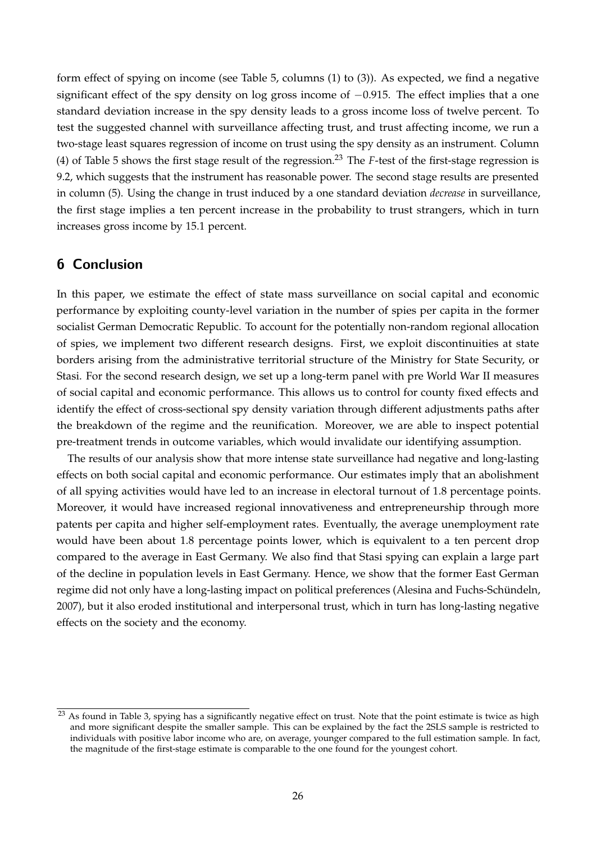form effect of spying on income (see Table [5,](#page-26-2) columns (1) to (3)). As expected, we find a negative significant effect of the spy density on log gross income of  $-0.915$ . The effect implies that a one standard deviation increase in the spy density leads to a gross income loss of twelve percent. To test the suggested channel with surveillance affecting trust, and trust affecting income, we run a two-stage least squares regression of income on trust using the spy density as an instrument. Column (4) of Table [5](#page-26-2) shows the first stage result of the regression.[23](#page-27-1) The *F*-test of the first-stage regression is 9.2, which suggests that the instrument has reasonable power. The second stage results are presented in column (5). Using the change in trust induced by a one standard deviation *decrease* in surveillance, the first stage implies a ten percent increase in the probability to trust strangers, which in turn increases gross income by 15.1 percent.

### <span id="page-27-0"></span>**6 Conclusion**

In this paper, we estimate the effect of state mass surveillance on social capital and economic performance by exploiting county-level variation in the number of spies per capita in the former socialist German Democratic Republic. To account for the potentially non-random regional allocation of spies, we implement two different research designs. First, we exploit discontinuities at state borders arising from the administrative territorial structure of the Ministry for State Security, or Stasi. For the second research design, we set up a long-term panel with pre World War II measures of social capital and economic performance. This allows us to control for county fixed effects and identify the effect of cross-sectional spy density variation through different adjustments paths after the breakdown of the regime and the reunification. Moreover, we are able to inspect potential pre-treatment trends in outcome variables, which would invalidate our identifying assumption.

The results of our analysis show that more intense state surveillance had negative and long-lasting effects on both social capital and economic performance. Our estimates imply that an abolishment of all spying activities would have led to an increase in electoral turnout of 1.8 percentage points. Moreover, it would have increased regional innovativeness and entrepreneurship through more patents per capita and higher self-employment rates. Eventually, the average unemployment rate would have been about 1.8 percentage points lower, which is equivalent to a ten percent drop compared to the average in East Germany. We also find that Stasi spying can explain a large part of the decline in population levels in East Germany. Hence, we show that the former East German regime did not only have a long-lasting impact on political preferences (Alesina and Fuchs-Schündeln, [2007\)](#page-28-9), but it also eroded institutional and interpersonal trust, which in turn has long-lasting negative effects on the society and the economy.

<span id="page-27-1"></span><sup>&</sup>lt;sup>23</sup> As found in Table [3,](#page-19-0) spying has a significantly negative effect on trust. Note that the point estimate is twice as high and more significant despite the smaller sample. This can be explained by the fact the 2SLS sample is restricted to individuals with positive labor income who are, on average, younger compared to the full estimation sample. In fact, the magnitude of the first-stage estimate is comparable to the one found for the youngest cohort.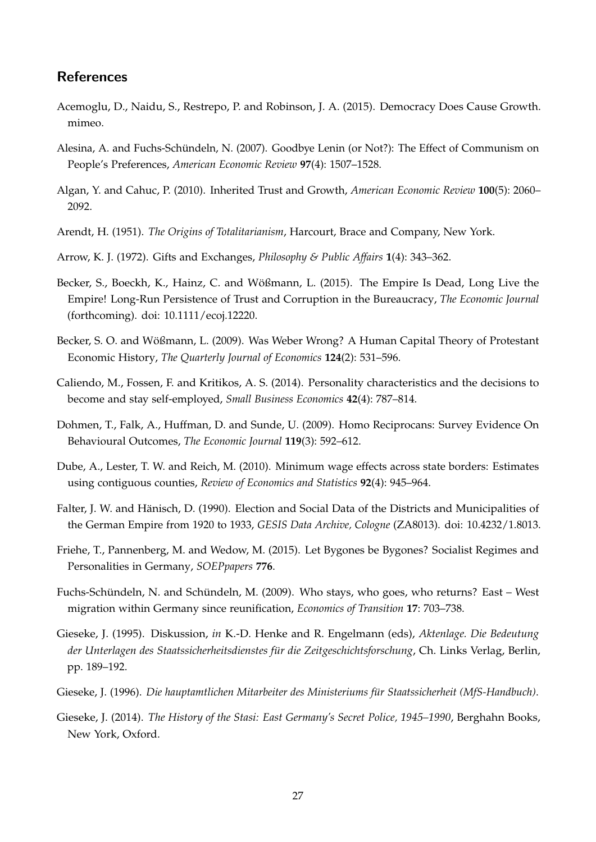### **References**

- <span id="page-28-6"></span>Acemoglu, D., Naidu, S., Restrepo, P. and Robinson, J. A. (2015). Democracy Does Cause Growth. mimeo.
- <span id="page-28-9"></span>Alesina, A. and Fuchs-Schündeln, N. (2007). Goodbye Lenin (or Not?): The Effect of Communism on People's Preferences, *American Economic Review* **97**(4): 1507–1528.
- <span id="page-28-7"></span>Algan, Y. and Cahuc, P. (2010). Inherited Trust and Growth, *American Economic Review* **100**(5): 2060– 2092.
- <span id="page-28-0"></span>Arendt, H. (1951). *The Origins of Totalitarianism*, Harcourt, Brace and Company, New York.
- <span id="page-28-1"></span>Arrow, K. J. (1972). Gifts and Exchanges, *Philosophy & Public Affairs* **1**(4): 343–362.
- <span id="page-28-8"></span>Becker, S., Boeckh, K., Hainz, C. and Wößmann, L. (2015). The Empire Is Dead, Long Live the Empire! Long-Run Persistence of Trust and Corruption in the Bureaucracy, *The Economic Journal* (forthcoming). doi: 10.1111/ecoj.12220.
- <span id="page-28-12"></span>Becker, S. O. and Wößmann, L. (2009). Was Weber Wrong? A Human Capital Theory of Protestant Economic History, *The Quarterly Journal of Economics* **124**(2): 531–596.
- <span id="page-28-14"></span>Caliendo, M., Fossen, F. and Kritikos, A. S. (2014). Personality characteristics and the decisions to become and stay self-employed, *Small Business Economics* **42**(4): 787–814.
- <span id="page-28-4"></span>Dohmen, T., Falk, A., Huffman, D. and Sunde, U. (2009). Homo Reciprocans: Survey Evidence On Behavioural Outcomes, *The Economic Journal* **119**(3): 592–612.
- <span id="page-28-3"></span>Dube, A., Lester, T. W. and Reich, M. (2010). Minimum wage effects across state borders: Estimates using contiguous counties, *Review of Economics and Statistics* **92**(4): 945–964.
- <span id="page-28-15"></span>Falter, J. W. and Hänisch, D. (1990). Election and Social Data of the Districts and Municipalities of the German Empire from 1920 to 1933, *GESIS Data Archive, Cologne* (ZA8013). doi: 10.4232/1.8013.
- <span id="page-28-2"></span>Friehe, T., Pannenberg, M. and Wedow, M. (2015). Let Bygones be Bygones? Socialist Regimes and Personalities in Germany, *SOEPpapers* **776**.
- <span id="page-28-5"></span>Fuchs-Schündeln, N. and Schündeln, M. (2009). Who stays, who goes, who returns? East – West migration within Germany since reunification, *Economics of Transition* **17**: 703–738.
- <span id="page-28-13"></span>Gieseke, J. (1995). Diskussion, *in* K.-D. Henke and R. Engelmann (eds), *Aktenlage. Die Bedeutung* der Unterlagen des Staatssicherheitsdienstes für die Zeitgeschichtsforschung, Ch. Links Verlag, Berlin, pp. 189–192.
- <span id="page-28-11"></span>Gieseke, J. (1996). *Die hauptamtlichen Mitarbeiter des Ministeriums für Staatssicherheit (MfS-Handbuch)*.
- <span id="page-28-10"></span>Gieseke, J. (2014). *The History of the Stasi: East Germany's Secret Police, 1945–1990*, Berghahn Books, New York, Oxford.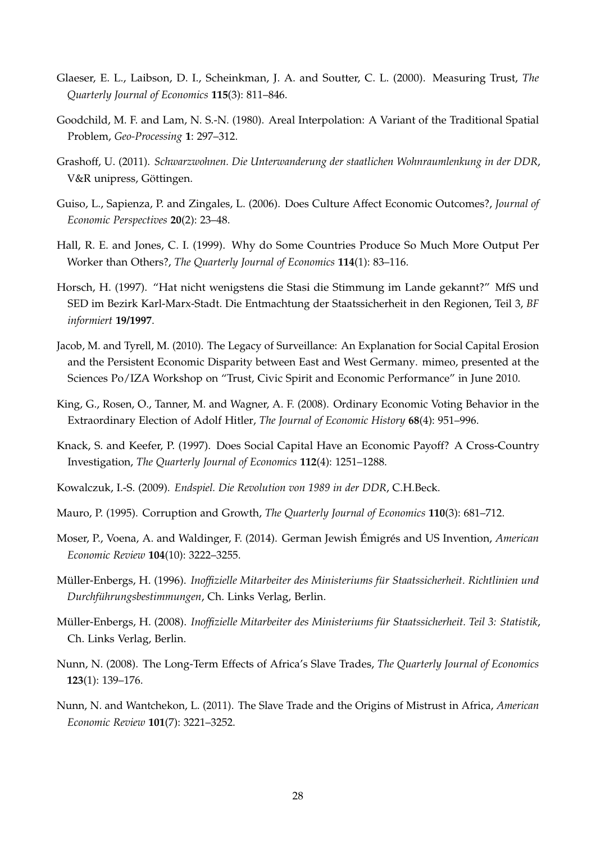- <span id="page-29-2"></span>Glaeser, E. L., Laibson, D. I., Scheinkman, J. A. and Soutter, C. L. (2000). Measuring Trust, *The Quarterly Journal of Economics* **115**(3): 811–846.
- <span id="page-29-15"></span>Goodchild, M. F. and Lam, N. S.-N. (1980). Areal Interpolation: A Variant of the Traditional Spatial Problem, *Geo-Processing* **1**: 297–312.
- <span id="page-29-13"></span>Grashoff, U. (2011). *Schwarzwohnen. Die Unterwanderung der staatlichen Wohnraumlenkung in der DDR*, V&R unipress, Göttingen.
- <span id="page-29-8"></span>Guiso, L., Sapienza, P. and Zingales, L. (2006). Does Culture Affect Economic Outcomes?, *Journal of Economic Perspectives* **20**(2): 23–48.
- <span id="page-29-5"></span>Hall, R. E. and Jones, C. I. (1999). Why do Some Countries Produce So Much More Output Per Worker than Others?, *The Quarterly Journal of Economics* **114**(1): 83–116.
- <span id="page-29-9"></span>Horsch, H. (1997). "Hat nicht wenigstens die Stasi die Stimmung im Lande gekannt?" MfS und SED im Bezirk Karl-Marx-Stadt. Die Entmachtung der Staatssicherheit in den Regionen, Teil 3, *BF informiert* **19/1997**.
- <span id="page-29-0"></span>Jacob, M. and Tyrell, M. (2010). The Legacy of Surveillance: An Explanation for Social Capital Erosion and the Persistent Economic Disparity between East and West Germany. mimeo, presented at the Sciences Po/IZA Workshop on "Trust, Civic Spirit and Economic Performance" in June 2010.
- <span id="page-29-14"></span>King, G., Rosen, O., Tanner, M. and Wagner, A. F. (2008). Ordinary Economic Voting Behavior in the Extraordinary Election of Adolf Hitler, *The Journal of Economic History* **68**(4): 951–996.
- <span id="page-29-4"></span>Knack, S. and Keefer, P. (1997). Does Social Capital Have an Economic Payoff? A Cross-Country Investigation, *The Quarterly Journal of Economics* **112**(4): 1251–1288.
- <span id="page-29-12"></span>Kowalczuk, I.-S. (2009). *Endspiel. Die Revolution von 1989 in der DDR*, C.H.Beck.
- <span id="page-29-3"></span>Mauro, P. (1995). Corruption and Growth, *The Quarterly Journal of Economics* **110**(3): 681–712.
- <span id="page-29-1"></span>Moser, P., Voena, A. and Waldinger, F. (2014). German Jewish Émigrés and US Invention, American *Economic Review* **104**(10): 3222–3255.
- <span id="page-29-11"></span>Muller-Enbergs, H. (1996). ¨ *Inoffizielle Mitarbeiter des Ministeriums f ¨ur Staatssicherheit. Richtlinien und Durchf ¨uhrungsbestimmungen*, Ch. Links Verlag, Berlin.
- <span id="page-29-10"></span>Muller-Enbergs, H. (2008). ¨ *Inoffizielle Mitarbeiter des Ministeriums f ¨ur Staatssicherheit. Teil 3: Statistik*, Ch. Links Verlag, Berlin.
- <span id="page-29-6"></span>Nunn, N. (2008). The Long-Term Effects of Africa's Slave Trades, *The Quarterly Journal of Economics* **123**(1): 139–176.
- <span id="page-29-7"></span>Nunn, N. and Wantchekon, L. (2011). The Slave Trade and the Origins of Mistrust in Africa, *American Economic Review* **101**(7): 3221–3252.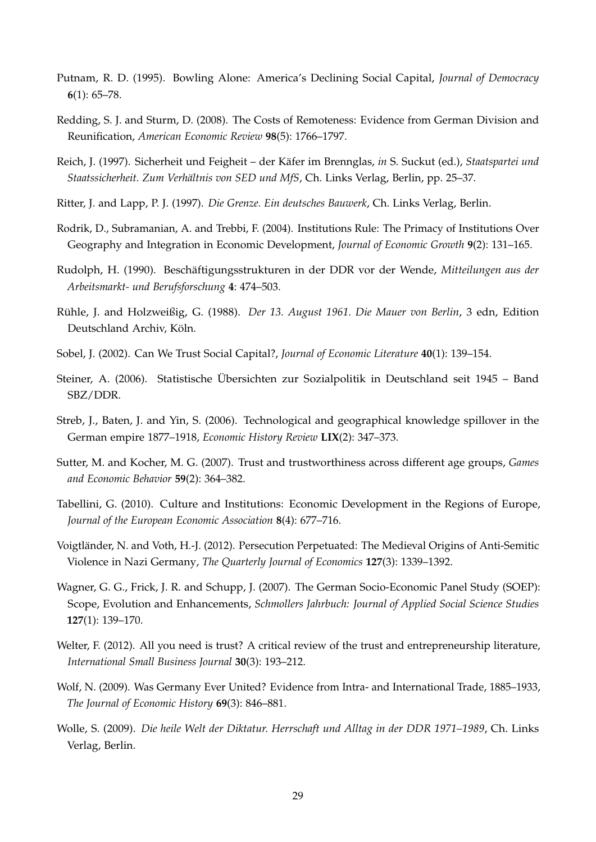- <span id="page-30-0"></span>Putnam, R. D. (1995). Bowling Alone: America's Declining Social Capital, *Journal of Democracy* **6**(1): 65–78.
- <span id="page-30-12"></span>Redding, S. J. and Sturm, D. (2008). The Costs of Remoteness: Evidence from German Division and Reunification, *American Economic Review* **98**(5): 1766–1797.
- <span id="page-30-7"></span>Reich, J. (1997). Sicherheit und Feigheit – der Käfer im Brennglas, in S. Suckut (ed.), *Staatspartei und* Staatssicherheit. Zum Verhältnis von SED und MfS, Ch. Links Verlag, Berlin, pp. 25–37.
- <span id="page-30-14"></span>Ritter, J. and Lapp, P. J. (1997). *Die Grenze. Ein deutsches Bauwerk*, Ch. Links Verlag, Berlin.
- <span id="page-30-3"></span>Rodrik, D., Subramanian, A. and Trebbi, F. (2004). Institutions Rule: The Primacy of Institutions Over Geography and Integration in Economic Development, *Journal of Economic Growth* **9**(2): 131–165.
- <span id="page-30-15"></span>Rudolph, H. (1990). Beschäftigungsstrukturen in der DDR vor der Wende, Mitteilungen aus der *Arbeitsmarkt- und Berufsforschung* **4**: 474–503.
- <span id="page-30-13"></span>Rühle, J. and Holzweißig, G. (1988). *Der 13. August 1961. Die Mauer von Berlin*, 3 edn, Edition Deutschland Archiv, Köln.
- <span id="page-30-2"></span>Sobel, J. (2002). Can We Trust Social Capital?, *Journal of Economic Literature* **40**(1): 139–154.
- <span id="page-30-10"></span>Steiner, A. (2006). Statistische Ubersichten zur Sozialpolitik in Deutschland seit 1945 – Band ¨ SBZ/DDR.
- <span id="page-30-16"></span>Streb, J., Baten, J. and Yin, S. (2006). Technological and geographical knowledge spillover in the German empire 1877–1918, *Economic History Review* **LIX**(2): 347–373.
- <span id="page-30-1"></span>Sutter, M. and Kocher, M. G. (2007). Trust and trustworthiness across different age groups, *Games and Economic Behavior* **59**(2): 364–382.
- <span id="page-30-4"></span>Tabellini, G. (2010). Culture and Institutions: Economic Development in the Regions of Europe, *Journal of the European Economic Association* **8**(4): 677–716.
- <span id="page-30-9"></span>Voigtlander, N. and Voth, H.-J. (2012). Persecution Perpetuated: The Medieval Origins of Anti-Semitic ¨ Violence in Nazi Germany, *The Quarterly Journal of Economics* **127**(3): 1339–1392.
- <span id="page-30-8"></span>Wagner, G. G., Frick, J. R. and Schupp, J. (2007). The German Socio-Economic Panel Study (SOEP): Scope, Evolution and Enhancements, *Schmollers Jahrbuch: Journal of Applied Social Science Studies* **127**(1): 139–170.
- <span id="page-30-11"></span>Welter, F. (2012). All you need is trust? A critical review of the trust and entrepreneurship literature, *International Small Business Journal* **30**(3): 193–212.
- <span id="page-30-5"></span>Wolf, N. (2009). Was Germany Ever United? Evidence from Intra- and International Trade, 1885–1933, *The Journal of Economic History* **69**(3): 846–881.
- <span id="page-30-6"></span>Wolle, S. (2009). *Die heile Welt der Diktatur. Herrschaft und Alltag in der DDR 1971–1989*, Ch. Links Verlag, Berlin.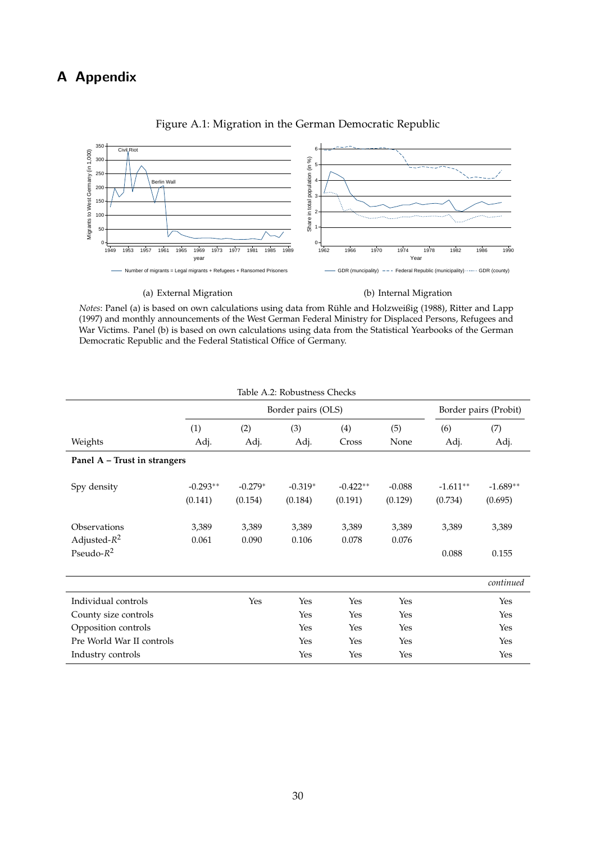# **A Appendix**



#### <span id="page-31-0"></span>Figure A.1: Migration in the German Democratic Republic

*Notes*: Panel (a) is based on own calculations using data from Rühle and Holzweißig [\(1988\)](#page-30-13), [Ritter and Lapp](#page-30-14) [\(1997\)](#page-30-14) and monthly announcements of the West German Federal Ministry for Displaced Persons, Refugees and War Victims. Panel (b) is based on own calculations using data from the Statistical Yearbooks of the German Democratic Republic and the Federal Statistical Office of Germany.

<span id="page-31-1"></span>

| Table A.2: Robustness Checks |            |           |                    |            |          |                       |            |  |  |  |
|------------------------------|------------|-----------|--------------------|------------|----------|-----------------------|------------|--|--|--|
|                              |            |           | Border pairs (OLS) |            |          | Border pairs (Probit) |            |  |  |  |
|                              | (1)        | (2)       | (3)                | (4)        | (5)      | (6)                   | (7)        |  |  |  |
| Weights                      | Adj.       | Adj.      | Adj.               | Cross      | None     | Adj.                  | Adj.       |  |  |  |
| Panel A - Trust in strangers |            |           |                    |            |          |                       |            |  |  |  |
| Spy density                  | $-0.293**$ | $-0.279*$ | $-0.319*$          | $-0.422**$ | $-0.088$ | $-1.611**$            | $-1.689**$ |  |  |  |
|                              | (0.141)    | (0.154)   | (0.184)            | (0.191)    | (0.129)  | (0.734)               | (0.695)    |  |  |  |
| Observations                 | 3,389      | 3,389     | 3,389              | 3,389      | 3,389    | 3,389                 | 3,389      |  |  |  |
| Adjusted- $R^2$              | 0.061      | 0.090     | 0.106              | 0.078      | 0.076    |                       |            |  |  |  |
| Pseudo- $R^2$                |            |           |                    |            |          | 0.088                 | 0.155      |  |  |  |
|                              |            |           |                    |            |          |                       | continued  |  |  |  |
| Individual controls          |            | Yes       | Yes                | Yes        | Yes      |                       | Yes        |  |  |  |
| County size controls         |            |           | Yes                | Yes        | Yes      |                       | Yes        |  |  |  |
| Opposition controls          |            |           | Yes                | Yes        | Yes      |                       | Yes        |  |  |  |
| Pre World War II controls    |            |           | Yes                | Yes        | Yes      |                       | Yes        |  |  |  |
| Industry controls            |            |           | Yes                | Yes        | Yes      |                       | Yes        |  |  |  |

30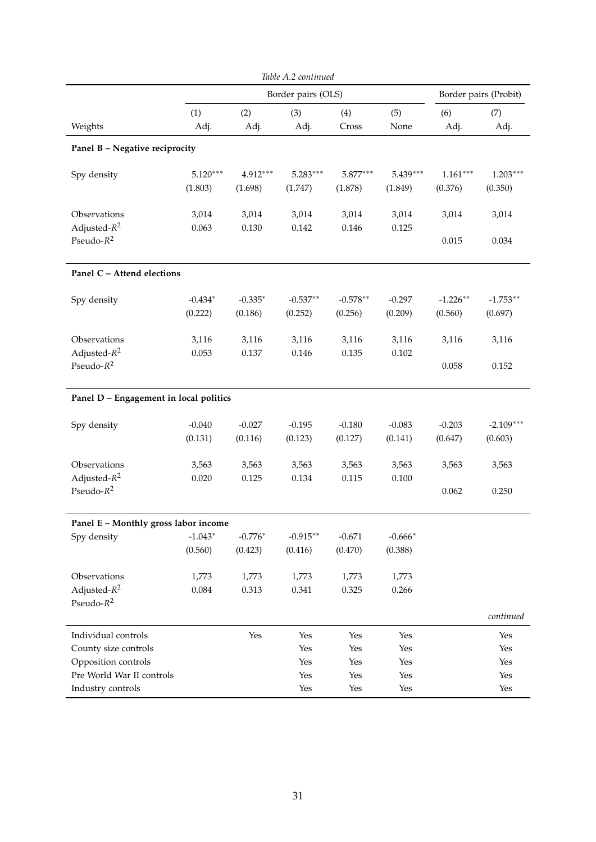|                                        | Table A.2 continued |           |                    |            |           |            |                       |  |  |  |
|----------------------------------------|---------------------|-----------|--------------------|------------|-----------|------------|-----------------------|--|--|--|
|                                        |                     |           | Border pairs (OLS) |            |           |            | Border pairs (Probit) |  |  |  |
|                                        | (1)                 | (2)       | (3)                | (4)        | (5)       | (6)        | (7)                   |  |  |  |
| Weights                                | Adj.                | Adj.      | Adj.               | Cross      | None      | Adj.       | Adj.                  |  |  |  |
| Panel B - Negative reciprocity         |                     |           |                    |            |           |            |                       |  |  |  |
| Spy density                            | $5.120***$          | 4.912***  | $5.283***$         | $5.877***$ | 5.439***  | $1.161***$ | $1.203***$            |  |  |  |
|                                        | (1.803)             | (1.698)   | (1.747)            | (1.878)    | (1.849)   | (0.376)    | (0.350)               |  |  |  |
| Observations                           | 3,014               | 3,014     | 3,014              | 3,014      | 3,014     | 3,014      | 3,014                 |  |  |  |
| Adjusted- $R^2$                        | 0.063               | 0.130     | 0.142              | 0.146      | 0.125     |            |                       |  |  |  |
| Pseudo- $R^2$                          |                     |           |                    |            |           | 0.015      | 0.034                 |  |  |  |
| Panel C - Attend elections             |                     |           |                    |            |           |            |                       |  |  |  |
| Spy density                            | $-0.434*$           | $-0.335*$ | $-0.537**$         | $-0.578**$ | $-0.297$  | $-1.226**$ | $-1.753**$            |  |  |  |
|                                        | (0.222)             | (0.186)   | (0.252)            | (0.256)    | (0.209)   | (0.560)    | (0.697)               |  |  |  |
| Observations                           | 3,116               | 3,116     | 3,116              | 3,116      | 3,116     | 3,116      | 3,116                 |  |  |  |
| Adjusted- $R^2$                        | 0.053               | 0.137     | 0.146              | 0.135      | 0.102     |            |                       |  |  |  |
| Pseudo- $R^2$                          |                     |           |                    |            |           | 0.058      | 0.152                 |  |  |  |
| Panel D - Engagement in local politics |                     |           |                    |            |           |            |                       |  |  |  |
| Spy density                            | $-0.040$            | $-0.027$  | $-0.195$           | $-0.180$   | $-0.083$  | $-0.203$   | $-2.109***$           |  |  |  |
|                                        | (0.131)             | (0.116)   | (0.123)            | (0.127)    | (0.141)   | (0.647)    | (0.603)               |  |  |  |
| Observations                           | 3,563               | 3,563     | 3,563              | 3,563      | 3,563     | 3,563      | 3,563                 |  |  |  |
| Adjusted- $R^2$                        | 0.020               | 0.125     | 0.134              | 0.115      | $0.100\,$ |            |                       |  |  |  |
| Pseudo- $R^2$                          |                     |           |                    |            |           | 0.062      | 0.250                 |  |  |  |
| Panel E - Monthly gross labor income   |                     |           |                    |            |           |            |                       |  |  |  |
| Spy density                            | $-1.043*$           | $-0.776*$ | $-0.915**$         | $-0.671$   | $-0.666*$ |            |                       |  |  |  |
|                                        | (0.560)             | (0.423)   | (0.416)            | (0.470)    | (0.388)   |            |                       |  |  |  |
| Observations                           | 1,773               | 1,773     | 1,773              | 1,773      | 1,773     |            |                       |  |  |  |
| Adjusted- $R^2$                        | 0.084               | 0.313     | 0.341              | 0.325      | 0.266     |            |                       |  |  |  |
| Pseudo- $R^2$                          |                     |           |                    |            |           |            | continued             |  |  |  |
| Individual controls                    |                     | Yes       | Yes                | Yes        | Yes       |            | Yes                   |  |  |  |
| County size controls                   |                     |           | Yes                | Yes        | Yes       |            | Yes                   |  |  |  |
| Opposition controls                    |                     |           | Yes                | Yes        | Yes       |            | Yes                   |  |  |  |
| Pre World War II controls              |                     |           | Yes                | Yes        | Yes       |            | Yes                   |  |  |  |
| Industry controls                      |                     |           | Yes                | Yes        | Yes       |            | Yes                   |  |  |  |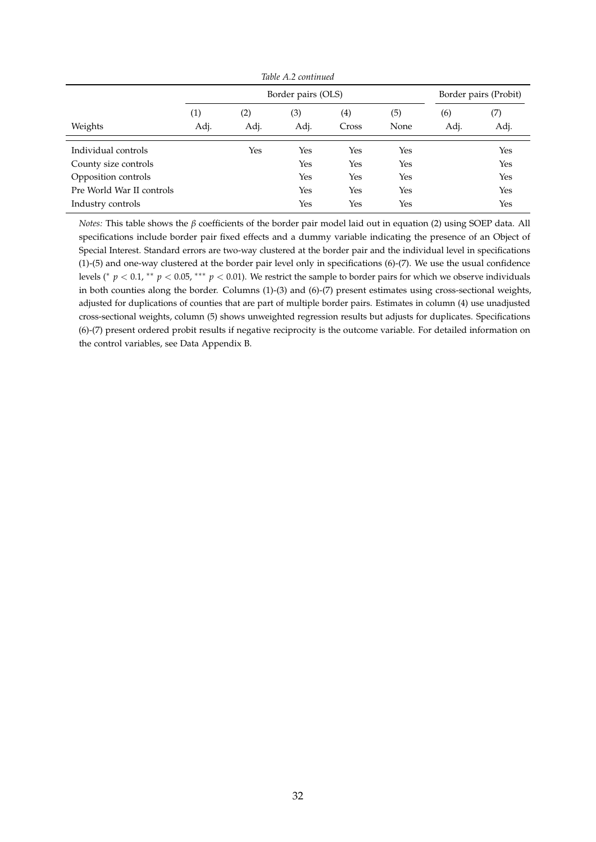| Table A.2 continued       |                   |                    |      |                       |      |      |      |  |  |
|---------------------------|-------------------|--------------------|------|-----------------------|------|------|------|--|--|
|                           |                   | Border pairs (OLS) |      | Border pairs (Probit) |      |      |      |  |  |
|                           | $\left( 1\right)$ | (2)                | (3)  | (4)                   | (5)  | (6)  | (7)  |  |  |
| Weights                   | Adj.              | Adj.               | Adj. | Cross                 | None | Adj. | Adj. |  |  |
| Individual controls       |                   | Yes                | Yes  | Yes                   | Yes  |      | Yes  |  |  |
| County size controls      |                   |                    | Yes  | Yes                   | Yes  |      | Yes  |  |  |
| Opposition controls       |                   |                    | Yes  | Yes                   | Yes  |      | Yes  |  |  |
| Pre World War II controls |                   |                    | Yes  | Yes                   | Yes  |      | Yes  |  |  |
| Industry controls         |                   |                    | Yes  | Yes                   | Yes  |      | Yes  |  |  |

*Notes:* This table shows the *β* coefficients of the border pair model laid out in equation [\(2\)](#page-14-2) using SOEP data. All specifications include border pair fixed effects and a dummy variable indicating the presence of an Object of Special Interest. Standard errors are two-way clustered at the border pair and the individual level in specifications (1)-(5) and one-way clustered at the border pair level only in specifications (6)-(7). We use the usual confidence levels ( $\gamma$  *p* < 0.1, \*\* *p* < 0.05, \*\*\* *p* < 0.01). We restrict the sample to border pairs for which we observe individuals in both counties along the border. Columns (1)-(3) and (6)-(7) present estimates using cross-sectional weights, adjusted for duplications of counties that are part of multiple border pairs. Estimates in column (4) use unadjusted cross-sectional weights, column (5) shows unweighted regression results but adjusts for duplicates. Specifications (6)-(7) present ordered probit results if negative reciprocity is the outcome variable. For detailed information on the control variables, see Data Appendix [B.](#page-40-0)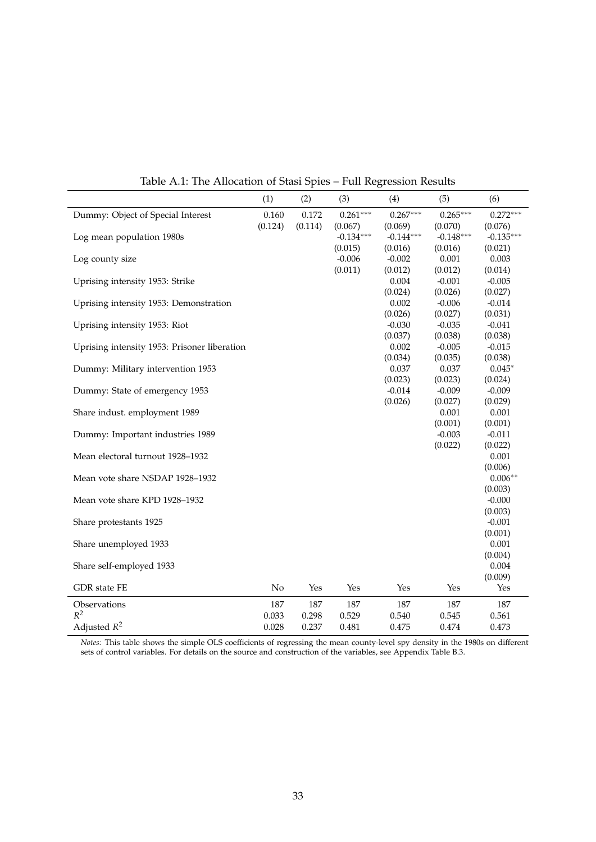|                                              | (1)     | (2)     | (3)         | (4)                 | (5)                 | (6)                 |
|----------------------------------------------|---------|---------|-------------|---------------------|---------------------|---------------------|
| Dummy: Object of Special Interest            | 0.160   | 0.172   | $0.261***$  | $0.267***$          | $0.265***$          | $0.272***$          |
|                                              | (0.124) | (0.114) | (0.067)     | (0.069)             | (0.070)             | (0.076)             |
| Log mean population 1980s                    |         |         | $-0.134***$ | $-0.144***$         | $-0.148***$         | $-0.135***$         |
|                                              |         |         | (0.015)     | (0.016)             | (0.016)             | (0.021)             |
| Log county size                              |         |         | $-0.006$    | $-0.002$            | 0.001               | 0.003               |
|                                              |         |         | (0.011)     | (0.012)             | (0.012)             | (0.014)             |
| Uprising intensity 1953: Strike              |         |         |             | 0.004               | $-0.001$            | $-0.005$            |
|                                              |         |         |             | (0.024)             | (0.026)             | (0.027)             |
| Uprising intensity 1953: Demonstration       |         |         |             | 0.002               | $-0.006$            | $-0.014$            |
| Uprising intensity 1953: Riot                |         |         |             | (0.026)<br>$-0.030$ | (0.027)<br>$-0.035$ | (0.031)<br>$-0.041$ |
|                                              |         |         |             | (0.037)             | (0.038)             | (0.038)             |
| Uprising intensity 1953: Prisoner liberation |         |         |             | 0.002               | $-0.005$            | $-0.015$            |
|                                              |         |         |             | (0.034)             | (0.035)             | (0.038)             |
| Dummy: Military intervention 1953            |         |         |             | 0.037               | 0.037               | $0.045*$            |
|                                              |         |         |             | (0.023)             | (0.023)             | (0.024)             |
| Dummy: State of emergency 1953               |         |         |             | $-0.014$            | $-0.009$            | $-0.009$            |
|                                              |         |         |             | (0.026)             | (0.027)             | (0.029)             |
| Share indust. employment 1989                |         |         |             |                     | 0.001               | 0.001               |
|                                              |         |         |             |                     | (0.001)             | (0.001)             |
| Dummy: Important industries 1989             |         |         |             |                     | $-0.003$            | $-0.011$            |
|                                              |         |         |             |                     | (0.022)             | (0.022)             |
| Mean electoral turnout 1928-1932             |         |         |             |                     |                     | 0.001               |
|                                              |         |         |             |                     |                     | (0.006)             |
| Mean vote share NSDAP 1928-1932              |         |         |             |                     |                     | $0.006**$           |
|                                              |         |         |             |                     |                     | (0.003)             |
| Mean vote share KPD 1928-1932                |         |         |             |                     |                     | $-0.000$            |
|                                              |         |         |             |                     |                     | (0.003)             |
| Share protestants 1925                       |         |         |             |                     |                     | $-0.001$            |
|                                              |         |         |             |                     |                     | (0.001)             |
| Share unemployed 1933                        |         |         |             |                     |                     | 0.001               |
|                                              |         |         |             |                     |                     | (0.004)<br>0.004    |
| Share self-employed 1933                     |         |         |             |                     |                     | (0.009)             |
| GDR state FE                                 | No      | Yes     | Yes         | Yes                 | Yes                 | Yes                 |
|                                              |         |         |             |                     |                     |                     |
| Observations                                 | 187     | 187     | 187         | 187                 | 187                 | 187                 |
| $R^2$                                        | 0.033   | 0.298   | 0.529       | 0.540               | 0.545               | 0.561               |
| Adjusted $R^2$                               | 0.028   | 0.237   | 0.481       | 0.475               | 0.474               | 0.473               |

<span id="page-34-0"></span>Table A.1: The Allocation of Stasi Spies – Full Regression Results

*Notes:* This table shows the simple OLS coefficients of regressing the mean county-level spy density in the 1980s on different sets of control variables. For details on the source and construction of the variables, see Appendix Table [B.3.](#page-41-0)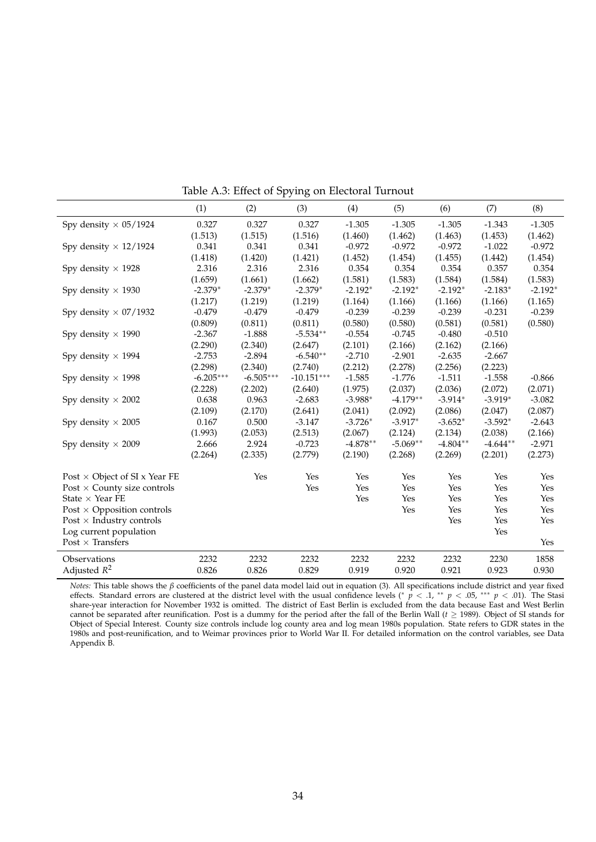|                                      | (1)         | (2)         | (3)          | (4)        | (5)        | (6)        | (7)        | (8)       |
|--------------------------------------|-------------|-------------|--------------|------------|------------|------------|------------|-----------|
| Spy density $\times 05/1924$         | 0.327       | 0.327       | 0.327        | $-1.305$   | $-1.305$   | $-1.305$   | $-1.343$   | $-1.305$  |
|                                      | (1.513)     | (1.515)     | (1.516)      | (1.460)    | (1.462)    | (1.463)    | (1.453)    | (1.462)   |
| Spy density $\times$ 12/1924         | 0.341       | 0.341       | 0.341        | $-0.972$   | $-0.972$   | $-0.972$   | $-1.022$   | $-0.972$  |
|                                      | (1.418)     | (1.420)     | (1.421)      | (1.452)    | (1.454)    | (1.455)    | (1.442)    | (1.454)   |
| Spy density $\times$ 1928            | 2.316       | 2.316       | 2.316        | 0.354      | 0.354      | 0.354      | 0.357      | 0.354     |
|                                      | (1.659)     | (1.661)     | (1.662)      | (1.581)    | (1.583)    | (1.584)    | (1.584)    | (1.583)   |
| Spy density $\times$ 1930            | $-2.379*$   | $-2.379*$   | $-2.379*$    | $-2.192*$  | $-2.192*$  | $-2.192*$  | $-2.183*$  | $-2.192*$ |
|                                      | (1.217)     | (1.219)     | (1.219)      | (1.164)    | (1.166)    | (1.166)    | (1.166)    | (1.165)   |
| Spy density $\times$ 07/1932         | $-0.479$    | $-0.479$    | $-0.479$     | $-0.239$   | $-0.239$   | $-0.239$   | $-0.231$   | $-0.239$  |
|                                      | (0.809)     | (0.811)     | (0.811)      | (0.580)    | (0.580)    | (0.581)    | (0.581)    | (0.580)   |
| Spy density $\times$ 1990            | $-2.367$    | $-1.888$    | $-5.534**$   | $-0.554$   | $-0.745$   | $-0.480$   | $-0.510$   |           |
|                                      | (2.290)     | (2.340)     | (2.647)      | (2.101)    | (2.166)    | (2.162)    | (2.166)    |           |
| Spy density $\times$ 1994            | $-2.753$    | $-2.894$    | $-6.540**$   | $-2.710$   | $-2.901$   | $-2.635$   | $-2.667$   |           |
|                                      | (2.298)     | (2.340)     | (2.740)      | (2.212)    | (2.278)    | (2.256)    | (2.223)    |           |
| Spy density $\times$ 1998            | $-6.205***$ | $-6.505***$ | $-10.151***$ | $-1.585$   | $-1.776$   | $-1.511$   | $-1.558$   | $-0.866$  |
|                                      | (2.228)     | (2.202)     | (2.640)      | (1.975)    | (2.037)    | (2.036)    | (2.072)    | (2.071)   |
| Spy density $\times$ 2002            | 0.638       | 0.963       | $-2.683$     | $-3.988*$  | $-4.179**$ | $-3.914*$  | $-3.919*$  | $-3.082$  |
|                                      | (2.109)     | (2.170)     | (2.641)      | (2.041)    | (2.092)    | (2.086)    | (2.047)    | (2.087)   |
| Spy density $\times$ 2005            | 0.167       | 0.500       | $-3.147$     | $-3.726*$  | $-3.917*$  | $-3.652*$  | $-3.592*$  | $-2.643$  |
|                                      | (1.993)     | (2.053)     | (2.513)      | (2.067)    | (2.124)    | (2.134)    | (2.038)    | (2.166)   |
| Spy density $\times$ 2009            | 2.666       | 2.924       | $-0.723$     | $-4.878**$ | $-5.069**$ | $-4.804**$ | $-4.644**$ | $-2.971$  |
|                                      | (2.264)     | (2.335)     | (2.779)      | (2.190)    | (2.268)    | (2.269)    | (2.201)    | (2.273)   |
| Post $\times$ Object of SI x Year FE |             | Yes         | Yes          | Yes        | Yes        | Yes        | Yes        | Yes       |
| Post $\times$ County size controls   |             |             | Yes          | Yes        | Yes        | Yes        | Yes        | Yes       |
| State $\times$ Year FE               |             |             |              | Yes        | Yes        | Yes        | Yes        | Yes       |
| Post $\times$ Opposition controls    |             |             |              |            | Yes        | Yes        | Yes        | Yes       |
| Post $\times$ Industry controls      |             |             |              |            |            | Yes        | Yes        | Yes       |
| Log current population               |             |             |              |            |            |            | Yes        |           |
| Post $\times$ Transfers              |             |             |              |            |            |            |            | Yes       |
| Observations                         | 2232        | 2232        | 2232         | 2232       | 2232       | 2232       | 2230       | 1858      |
| Adjusted $R^2$                       | 0.826       | 0.826       | 0.829        | 0.919      | 0.920      | 0.921      | 0.923      | 0.930     |

<span id="page-35-0"></span>Table A.3: Effect of Spying on Electoral Turnout

*Notes:* This table shows the *β* coefficients of the panel data model laid out in equation [\(3\)](#page-16-1). All specifications include district and year fixed effects. Standard errors are clustered at the district level with the usual confidence levels (<sup>∗</sup> *p* < .1, ∗∗ *p* < .05, ∗∗∗ *p* < .01). The Stasi share-year interaction for November 1932 is omitted. The district of East Berlin is excluded from the data because East and West Berlin cannot be separated after reunification. Post is a dummy for the period after the fall of the Berlin Wall ( $t \geq 1989$ ). Object of SI stands for Object of Special Interest. County size controls include log county area and log mean 1980s population. State refers to GDR states in the 1980s and post-reunification, and to Weimar provinces prior to World War II. For detailed information on the control variables, see Data Appendix [B.](#page-40-0)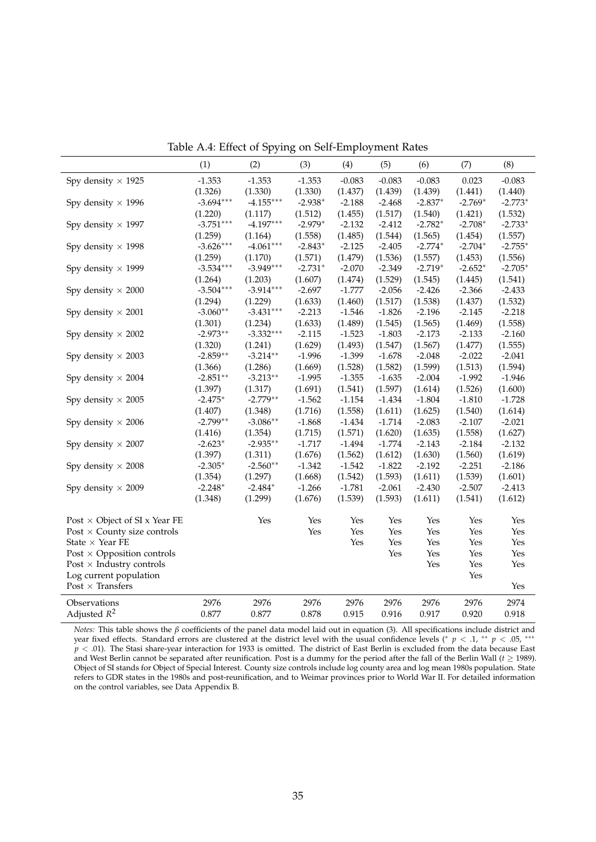|                                      | (1)         | (2)         | (3)       | (4)      | (5)      | (6)       | (7)       | (8)       |
|--------------------------------------|-------------|-------------|-----------|----------|----------|-----------|-----------|-----------|
| Spy density $\times$ 1925            | $-1.353$    | $-1.353$    | $-1.353$  | $-0.083$ | $-0.083$ | $-0.083$  | 0.023     | $-0.083$  |
|                                      | (1.326)     | (1.330)     | (1.330)   | (1.437)  | (1.439)  | (1.439)   | (1.441)   | (1.440)   |
| Spy density $\times$ 1996            | $-3.694***$ | $-4.155***$ | $-2.938*$ | $-2.188$ | $-2.468$ | $-2.837*$ | $-2.769*$ | $-2.773*$ |
|                                      | (1.220)     | (1.117)     | (1.512)   | (1.455)  | (1.517)  | (1.540)   | (1.421)   | (1.532)   |
| Spy density $\times$ 1997            | $-3.751***$ | $-4.197***$ | $-2.979*$ | $-2.132$ | $-2.412$ | $-2.782*$ | $-2.708*$ | $-2.733*$ |
|                                      | (1.259)     | (1.164)     | (1.558)   | (1.485)  | (1.544)  | (1.565)   | (1.454)   | (1.557)   |
| Spy density $\times$ 1998            | $-3.626***$ | $-4.061***$ | $-2.843*$ | $-2.125$ | $-2.405$ | $-2.774*$ | $-2.704*$ | $-2.755*$ |
|                                      | (1.259)     | (1.170)     | (1.571)   | (1.479)  | (1.536)  | (1.557)   | (1.453)   | (1.556)   |
| Spy density $\times$ 1999            | $-3.534***$ | $-3.949***$ | $-2.731*$ | $-2.070$ | $-2.349$ | $-2.719*$ | $-2.652*$ | $-2.705*$ |
|                                      | (1.264)     | (1.203)     | (1.607)   | (1.474)  | (1.529)  | (1.545)   | (1.445)   | (1.541)   |
| Spy density $\times$ 2000            | $-3.504***$ | $-3.914***$ | $-2.697$  | $-1.777$ | $-2.056$ | $-2.426$  | $-2.366$  | $-2.433$  |
|                                      | (1.294)     | (1.229)     | (1.633)   | (1.460)  | (1.517)  | (1.538)   | (1.437)   | (1.532)   |
| Spy density $\times$ 2001            | $-3.060**$  | $-3.431***$ | $-2.213$  | $-1.546$ | $-1.826$ | $-2.196$  | $-2.145$  | $-2.218$  |
|                                      | (1.301)     | (1.234)     | (1.633)   | (1.489)  | (1.545)  | (1.565)   | (1.469)   | (1.558)   |
| Spy density $\times$ 2002            | $-2.973**$  | $-3.332***$ | $-2.115$  | $-1.523$ | $-1.803$ | $-2.173$  | $-2.133$  | $-2.160$  |
|                                      | (1.320)     | (1.241)     | (1.629)   | (1.493)  | (1.547)  | (1.567)   | (1.477)   | (1.555)   |
| Spy density $\times$ 2003            | $-2.859**$  | $-3.214**$  | $-1.996$  | $-1.399$ | $-1.678$ | $-2.048$  | $-2.022$  | $-2.041$  |
|                                      | (1.366)     | (1.286)     | (1.669)   | (1.528)  | (1.582)  | (1.599)   | (1.513)   | (1.594)   |
| Spy density $\times$ 2004            | $-2.851**$  | $-3.213**$  | $-1.995$  | $-1.355$ | $-1.635$ | $-2.004$  | $-1.992$  | $-1.946$  |
|                                      | (1.397)     | (1.317)     | (1.691)   | (1.541)  | (1.597)  | (1.614)   | (1.526)   | (1.600)   |
| Spy density $\times$ 2005            | $-2.475*$   | $-2.779**$  | $-1.562$  | $-1.154$ | $-1.434$ | $-1.804$  | $-1.810$  | $-1.728$  |
|                                      | (1.407)     | (1.348)     | (1.716)   | (1.558)  | (1.611)  | (1.625)   | (1.540)   | (1.614)   |
| Spy density $\times$ 2006            | $-2.799**$  | $-3.086**$  | $-1.868$  | $-1.434$ | $-1.714$ | $-2.083$  | $-2.107$  | $-2.021$  |
|                                      | (1.416)     | (1.354)     | (1.715)   | (1.571)  | (1.620)  | (1.635)   | (1.558)   | (1.627)   |
| Spy density $\times$ 2007            | $-2.623*$   | $-2.935**$  | $-1.717$  | $-1.494$ | $-1.774$ | $-2.143$  | $-2.184$  | $-2.132$  |
|                                      | (1.397)     | (1.311)     | (1.676)   | (1.562)  | (1.612)  | (1.630)   | (1.560)   | (1.619)   |
| Spy density $\times$ 2008            | $-2.305*$   | $-2.560**$  | $-1.342$  | $-1.542$ | $-1.822$ | $-2.192$  | $-2.251$  | $-2.186$  |
|                                      | (1.354)     | (1.297)     | (1.668)   | (1.542)  | (1.593)  | (1.611)   | (1.539)   | (1.601)   |
| Spy density $\times$ 2009            | $-2.248*$   | $-2.484*$   | $-1.266$  | $-1.781$ | $-2.061$ | $-2.430$  | $-2.507$  | $-2.413$  |
|                                      | (1.348)     | (1.299)     | (1.676)   | (1.539)  | (1.593)  | (1.611)   | (1.541)   | (1.612)   |
| Post $\times$ Object of SI x Year FE |             | Yes         | Yes       | Yes      | Yes      | Yes       | Yes       | Yes       |
| Post $\times$ County size controls   |             |             | Yes       | Yes      | Yes      | Yes       | Yes       | Yes       |
| State $\times$ Year FE               |             |             |           | Yes      | Yes      | Yes       | Yes       | Yes       |
| Post $\times$ Opposition controls    |             |             |           |          | Yes      | Yes       | Yes       | Yes       |
| Post $\times$ Industry controls      |             |             |           |          |          | Yes       | Yes       | Yes       |
| Log current population               |             |             |           |          |          |           | Yes       |           |
| Post $\times$ Transfers              |             |             |           |          |          |           |           | Yes       |
| Observations                         | 2976        | 2976        | 2976      | 2976     | 2976     | 2976      | 2976      | 2974      |
| Adjusted $R^2$                       | 0.877       | 0.877       | 0.878     | 0.915    | 0.916    | 0.917     | 0.920     | 0.918     |

<span id="page-36-0"></span>Table A.4: Effect of Spying on Self-Employment Rates

*Notes:* This table shows the  $\beta$  coefficients of the panel data model laid out in equation [\(3\)](#page-16-1). All specifications include district and year fixed effects. Standard errors are clustered at the district level with the us  $p < .01$ ). The Stasi share-year interaction for 1933 is omitted. The district of East Berlin is excluded from the data because East and West Berlin cannot be separated after reunification. Post is a dummy for the period after the fall of the Berlin Wall (*t* ≥ 1989). Object of SI stands for Object of Special Interest. County size controls include log county area and log mean 1980s population. State refers to GDR states in the 1980s and post-reunification, and to Weimar provinces prior to World War II. For detailed information on the control variables, see Data Appendix [B.](#page-40-0)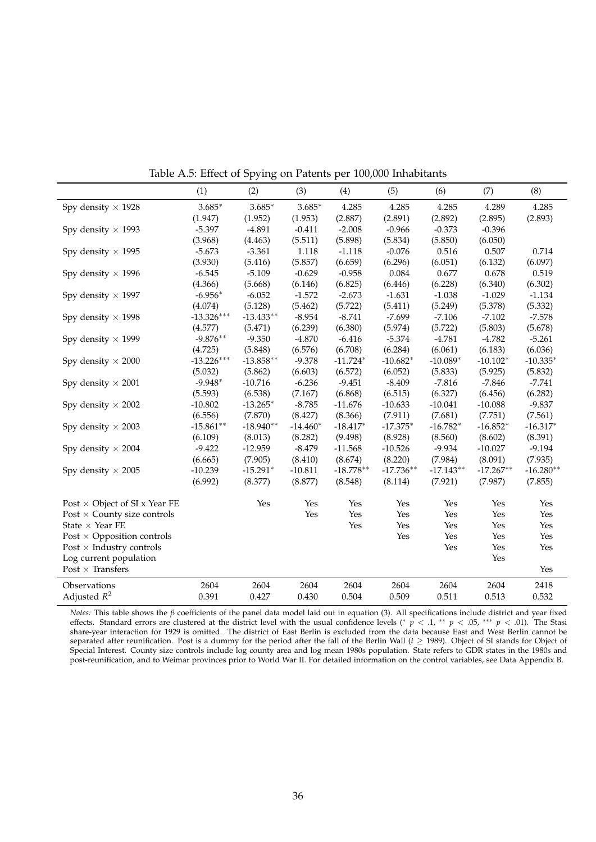|                                      | (1)          | (2)          | (3)        | (4)         | (5)         | (6)         | (7)         | (8)         |
|--------------------------------------|--------------|--------------|------------|-------------|-------------|-------------|-------------|-------------|
| Spy density $\times$ 1928            | $3.685*$     | $3.685*$     | $3.685*$   | 4.285       | 4.285       | 4.285       | 4.289       | 4.285       |
|                                      | (1.947)      | (1.952)      | (1.953)    | (2.887)     | (2.891)     | (2.892)     | (2.895)     | (2.893)     |
| Spy density $\times$ 1993            | $-5.397$     | $-4.891$     | $-0.411$   | $-2.008$    | $-0.966$    | $-0.373$    | $-0.396$    |             |
|                                      | (3.968)      | (4.463)      | (5.511)    | (5.898)     | (5.834)     | (5.850)     | (6.050)     |             |
| Spy density $\times$ 1995            | $-5.673$     | $-3.361$     | 1.118      | $-1.118$    | $-0.076$    | 0.516       | 0.507       | 0.714       |
|                                      | (3.930)      | (5.416)      | (5.857)    | (6.659)     | (6.296)     | (6.051)     | (6.132)     | (6.097)     |
| Spy density $\times$ 1996            | $-6.545$     | $-5.109$     | $-0.629$   | $-0.958$    | 0.084       | 0.677       | 0.678       | 0.519       |
|                                      | (4.366)      | (5.668)      | (6.146)    | (6.825)     | (6.446)     | (6.228)     | (6.340)     | (6.302)     |
| Spy density $\times$ 1997            | $-6.956*$    | $-6.052$     | $-1.572$   | $-2.673$    | $-1.631$    | $-1.038$    | $-1.029$    | $-1.134$    |
|                                      | (4.074)      | (5.128)      | (5.462)    | (5.722)     | (5.411)     | (5.249)     | (5.378)     | (5.332)     |
| Spy density $\times$ 1998            | $-13.326***$ | $-13.433**$  | $-8.954$   | $-8.741$    | $-7.699$    | $-7.106$    | $-7.102$    | $-7.578$    |
|                                      | (4.577)      | (5.471)      | (6.239)    | (6.380)     | (5.974)     | (5.722)     | (5.803)     | (5.678)     |
| Spy density $\times$ 1999            | $-9.876**$   | $-9.350$     | $-4.870$   | $-6.416$    | $-5.374$    | $-4.781$    | $-4.782$    | $-5.261$    |
|                                      | (4.725)      | (5.848)      | (6.576)    | (6.708)     | (6.284)     | (6.061)     | (6.183)     | (6.036)     |
| Spy density $\times$ 2000            | $-13.226***$ | $-13.858***$ | $-9.378$   | $-11.724*$  | $-10.682*$  | $-10.089*$  | $-10.102*$  | $-10.335*$  |
|                                      | (5.032)      | (5.862)      | (6.603)    | (6.572)     | (6.052)     | (5.833)     | (5.925)     | (5.832)     |
| Spy density $\times$ 2001            | $-9.948*$    | $-10.716$    | $-6.236$   | $-9.451$    | $-8.409$    | $-7.816$    | $-7.846$    | $-7.741$    |
|                                      | (5.593)      | (6.538)      | (7.167)    | (6.868)     | (6.515)     | (6.327)     | (6.456)     | (6.282)     |
| Spy density $\times$ 2002            | $-10.802$    | $-13.265*$   | $-8.785$   | $-11.676$   | $-10.633$   | $-10.041$   | $-10.088$   | $-9.837$    |
|                                      | (6.556)      | (7.870)      | (8.427)    | (8.366)     | (7.911)     | (7.681)     | (7.751)     | (7.561)     |
| Spy density $\times$ 2003            | $-15.861**$  | $-18.940**$  | $-14.460*$ | $-18.417*$  | $-17.375*$  | $-16.782*$  | $-16.852*$  | $-16.317*$  |
|                                      | (6.109)      | (8.013)      | (8.282)    | (9.498)     | (8.928)     | (8.560)     | (8.602)     | (8.391)     |
| Spy density $\times$ 2004            | $-9.422$     | $-12.959$    | $-8.479$   | $-11.568$   | $-10.526$   | $-9.934$    | $-10.027$   | $-9.194$    |
|                                      | (6.665)      | (7.905)      | (8.410)    | (8.674)     | (8.220)     | (7.984)     | (8.091)     | (7.935)     |
| Spy density $\times$ 2005            | $-10.239$    | $-15.291*$   | $-10.811$  | $-18.778**$ | $-17.736**$ | $-17.143**$ | $-17.267**$ | $-16.280**$ |
|                                      | (6.992)      | (8.377)      | (8.877)    | (8.548)     | (8.114)     | (7.921)     | (7.987)     | (7.855)     |
| Post $\times$ Object of SI x Year FE |              | Yes          | Yes        | Yes         | Yes         | <b>Yes</b>  | Yes         | Yes         |
| Post $\times$ County size controls   |              |              | Yes        | Yes         | Yes         | Yes         | Yes         | Yes         |
| State $\times$ Year FE               |              |              |            | Yes         | Yes         | Yes         | Yes         | Yes         |
| Post $\times$ Opposition controls    |              |              |            |             | Yes         | Yes         | Yes         | Yes         |
| Post $\times$ Industry controls      |              |              |            |             |             | Yes         | Yes         | Yes         |
| Log current population               |              |              |            |             |             |             | Yes         |             |
| Post $\times$ Transfers              |              |              |            |             |             |             |             | Yes         |
| Observations                         | 2604         | 2604         | 2604       | 2604        | 2604        | 2604        | 2604        | 2418        |
| Adjusted $R^2$                       | 0.391        | 0.427        | 0.430      | 0.504       | 0.509       | 0.511       | 0.513       | 0.532       |

<span id="page-37-0"></span>Table A.5: Effect of Spying on Patents per 100,000 Inhabitants

*Notes:* This table shows the  $\beta$  coefficients of the panel data model laid out in equation [\(3\)](#page-16-1). All specifications include district and year fixed effects. Standard errors are clustered at the district level with the us share-year interaction for 1929 is omitted. The district of East Berlin is excluded from the data because East and West Berlin cannot be separated after reunification. Post is a dummy for the period after the fall of the Berlin Wall (*t* ≥ 1989). Object of SI stands for Object of Special Interest. County size controls include log county area and log mean 1980s population. State refers to GDR states in the 1980s and post-reunification, and to Weimar provinces prior to World War II. For detailed information on the control variables, see Data Appendix [B.](#page-40-0)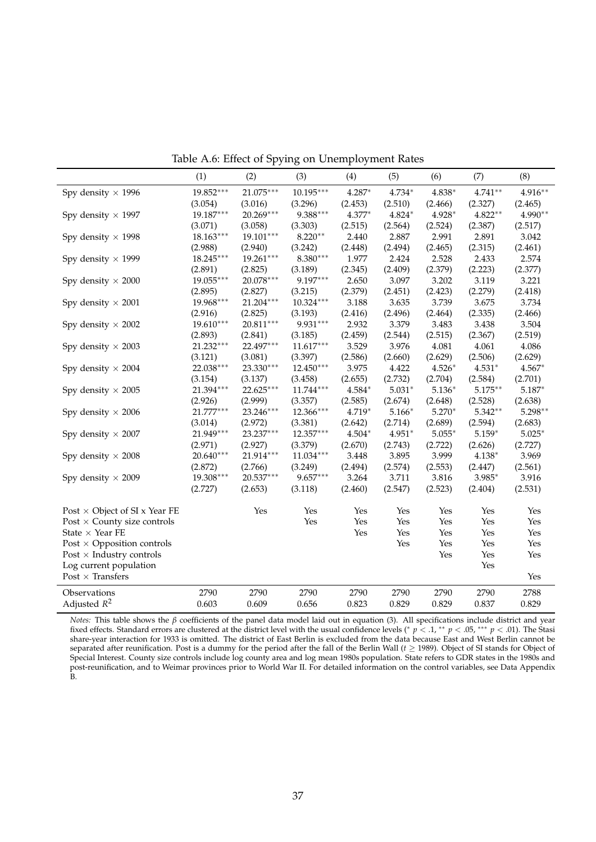|                                      | (1)         | (2)       | (3)         | (4)      | (5)      | (6)      | (7)        | (8)      |
|--------------------------------------|-------------|-----------|-------------|----------|----------|----------|------------|----------|
| Spy density $\times$ 1996            | 19.852***   | 21.075*** | $10.195***$ | 4.287*   | 4.734*   | 4.838*   | $4.741**$  | 4.916**  |
|                                      | (3.054)     | (3.016)   | (3.296)     | (2.453)  | (2.510)  | (2.466)  | (2.327)    | (2.465)  |
| Spy density $\times$ 1997            | 19.187***   | 20.269*** | 9.388***    | 4.377*   | 4.824*   | $4.928*$ | $4.822**$  | 4.990**  |
|                                      | (3.071)     | (3.058)   | (3.303)     | (2.515)  | (2.564)  | (2.524)  | (2.387)    | (2.517)  |
| Spy density $\times$ 1998            | $18.163***$ | 19.101*** | $8.220**$   | 2.440    | 2.887    | 2.991    | 2.891      | 3.042    |
|                                      | (2.988)     | (2.940)   | (3.242)     | (2.448)  | (2.494)  | (2.465)  | (2.315)    | (2.461)  |
| Spy density $\times$ 1999            | 18.245***   | 19.261*** | $8.380***$  | 1.977    | 2.424    | 2.528    | 2.433      | 2.574    |
|                                      | (2.891)     | (2.825)   | (3.189)     | (2.345)  | (2.409)  | (2.379)  | (2.223)    | (2.377)  |
| Spy density $\times$ 2000            | 19.055***   | 20.078*** | 9.197***    | 2.650    | 3.097    | 3.202    | 3.119      | 3.221    |
|                                      | (2.895)     | (2.827)   | (3.215)     | (2.379)  | (2.451)  | (2.423)  | (2.279)    | (2.418)  |
| Spy density $\times$ 2001            | 19.968***   | 21.204*** | $10.324***$ | 3.188    | 3.635    | 3.739    | 3.675      | 3.734    |
|                                      | (2.916)     | (2.825)   | (3.193)     | (2.416)  | (2.496)  | (2.464)  | (2.335)    | (2.466)  |
| Spy density $\times$ 2002            | 19.610***   | 20.811*** | 9.931***    | 2.932    | 3.379    | 3.483    | 3.438      | 3.504    |
|                                      | (2.893)     | (2.841)   | (3.185)     | (2.459)  | (2.544)  | (2.515)  | (2.367)    | (2.519)  |
| Spy density $\times$ 2003            | 21.232***   | 22.497*** | $11.617***$ | 3.529    | 3.976    | 4.081    | 4.061      | 4.086    |
|                                      | (3.121)     | (3.081)   | (3.397)     | (2.586)  | (2.660)  | (2.629)  | (2.506)    | (2.629)  |
| Spy density $\times$ 2004            | 22.038***   | 23.330*** | $12.450***$ | 3.975    | 4.422    | $4.526*$ | $4.531*$   | 4.567*   |
|                                      | (3.154)     | (3.137)   | (3.458)     | (2.655)  | (2.732)  | (2.704)  | (2.584)    | (2.701)  |
| Spy density $\times$ 2005            | 21.394***   | 22.625*** | $11.744***$ | 4.584*   | $5.031*$ | $5.136*$ | $5.175***$ | $5.187*$ |
|                                      | (2.926)     | (2.999)   | (3.357)     | (2.585)  | (2.674)  | (2.648)  | (2.528)    | (2.638)  |
| Spy density $\times$ 2006            | 21.777***   | 23.246*** | 12.366***   | 4.719*   | 5.166*   | $5.270*$ | $5.342**$  | 5.298**  |
|                                      | (3.014)     | (2.972)   | (3.381)     | (2.642)  | (2.714)  | (2.689)  | (2.594)    | (2.683)  |
| Spy density $\times$ 2007            | 21.949***   | 23.237*** | 12.357***   | $4.504*$ | 4.951*   | $5.055*$ | $5.159*$   | $5.025*$ |
|                                      | (2.971)     | (2.927)   | (3.379)     | (2.670)  | (2.743)  | (2.722)  | (2.626)    | (2.727)  |
| Spy density $\times$ 2008            | $20.640***$ | 21.914*** | $11.034***$ | 3.448    | 3.895    | 3.999    | 4.138*     | 3.969    |
|                                      | (2.872)     | (2.766)   | (3.249)     | (2.494)  | (2.574)  | (2.553)  | (2.447)    | (2.561)  |
| Spy density $\times$ 2009            | 19.308***   | 20.537*** | 9.657***    | 3.264    | 3.711    | 3.816    | 3.985*     | 3.916    |
|                                      | (2.727)     | (2.653)   | (3.118)     | (2.460)  | (2.547)  | (2.523)  | (2.404)    | (2.531)  |
| Post $\times$ Object of SI x Year FE |             | Yes       | Yes         | Yes      | Yes      | Yes      | Yes        | Yes      |
| Post $\times$ County size controls   |             |           | Yes         | Yes      | Yes      | Yes      | Yes        | Yes      |
| State $\times$ Year FE               |             |           |             | Yes      | Yes      | Yes      | Yes        | Yes      |
| Post $\times$ Opposition controls    |             |           |             |          | Yes      | Yes      | Yes        | Yes      |
| Post $\times$ Industry controls      |             |           |             |          |          | Yes      | Yes        | Yes      |
| Log current population               |             |           |             |          |          |          | Yes        |          |
| Post $\times$ Transfers              |             |           |             |          |          |          |            | Yes      |
| Observations                         | 2790        | 2790      | 2790        | 2790     | 2790     | 2790     | 2790       | 2788     |
| Adjusted $R^2$                       | 0.603       | 0.609     | 0.656       | 0.823    | 0.829    | 0.829    | 0.837      | 0.829    |

<span id="page-38-0"></span>Table A.6: Effect of Spying on Unemployment Rates

*Notes:* This table shows the  $\beta$  coefficients of the panel data model laid out in equation [\(3\)](#page-16-1). All specifications include district and year fixed effects. Standard errors are clustered at the district level with the us share-year interaction for 1933 is omitted. The district of East Berlin is excluded from the data because East and West Berlin cannot be separated after reunification. Post is a dummy for the period after the fall of the Berlin Wall  $(t \ge 1989)$ . Object of SI stands for Object of Special Interest. County size controls include log county area and log mean 1980s population. State refers to GDR states in the 1980s and post-reunification, and to Weimar provinces prior to World War II. For detailed information on the control variables, see Data Appendix [B.](#page-40-0)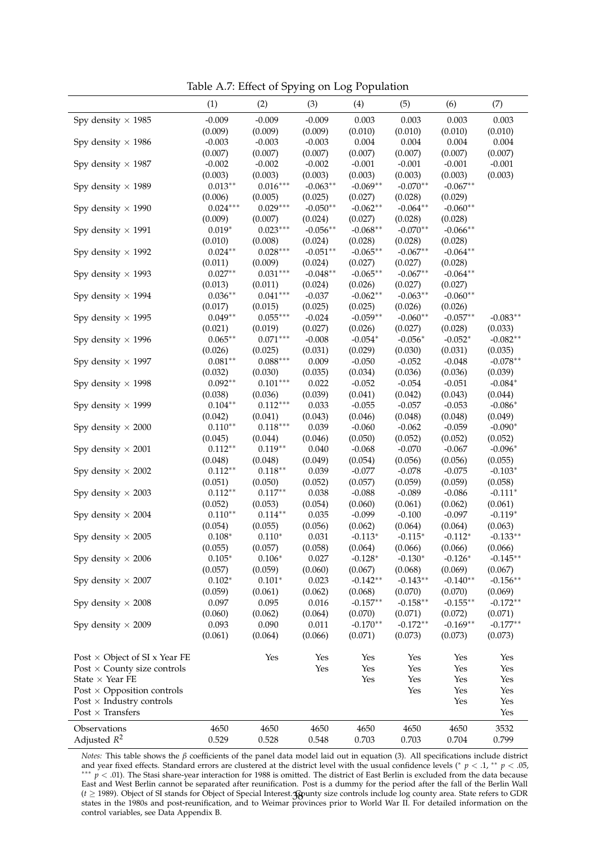<span id="page-39-0"></span>Table A.7: Effect of Spying on Log Population

|                                               | (1)        | (2)                    | (3)        | (4)        | (5)        | (6)         | (7)        |
|-----------------------------------------------|------------|------------------------|------------|------------|------------|-------------|------------|
| Spy density $\times$ 1985                     | $-0.009$   | $-0.009$               | $-0.009$   | 0.003      | 0.003      | 0.003       | 0.003      |
|                                               | (0.009)    | (0.009)                | (0.009)    | (0.010)    | (0.010)    | (0.010)     | (0.010)    |
| Spy density $\times$ 1986                     | $-0.003$   | $-0.003$               | $-0.003$   | 0.004      | 0.004      | 0.004       | 0.004      |
|                                               | (0.007)    | (0.007)                | (0.007)    | (0.007)    | (0.007)    | (0.007)     | (0.007)    |
| Spy density $\times$ 1987                     | $-0.002$   | $-0.002$               | $-0.002$   | $-0.001$   | $-0.001$   | $-0.001$    | $-0.001$   |
|                                               | (0.003)    | (0.003)                | (0.003)    | (0.003)    | (0.003)    | (0.003)     | (0.003)    |
| Spy density $\times$ 1989                     | $0.013**$  | $0.016***$             | $-0.063**$ | $-0.069**$ | $-0.070**$ | $-0.067**$  |            |
|                                               | (0.006)    | (0.005)                | (0.025)    | (0.027)    | (0.028)    | (0.029)     |            |
| Spy density $\times$ 1990                     | $0.024***$ | $0.029***$             | $-0.050**$ | $-0.062**$ | $-0.064**$ | $-0.060**$  |            |
|                                               | (0.009)    | (0.007)                | (0.024)    | (0.027)    | (0.028)    | (0.028)     |            |
| Spy density $\times$ 1991                     | $0.019*$   | $0.023***$             | $-0.056**$ | $-0.068**$ | $-0.070**$ | $-0.066**$  |            |
|                                               | (0.010)    | (0.008)                | (0.024)    | (0.028)    | (0.028)    | (0.028)     |            |
| Spy density $\times$ 1992                     | $0.024**$  | $0.028^{\ast\ast\ast}$ | $-0.051**$ | $-0.065**$ | $-0.067**$ | $-0.064**$  |            |
|                                               | (0.011)    | (0.009)                | (0.024)    | (0.027)    | (0.027)    | (0.028)     |            |
| Spy density $\times$ 1993                     | $0.027**$  | $0.031***$             | $-0.048**$ | $-0.065**$ | $-0.067**$ | $-0.064**$  |            |
|                                               | (0.013)    | (0.011)                | (0.024)    | (0.026)    | (0.027)    | (0.027)     |            |
| Spy density $\times$ 1994                     | $0.036**$  | $0.041***$             | $-0.037$   | $-0.062**$ | $-0.063**$ | $-0.060**$  |            |
|                                               | (0.017)    | (0.015)                | (0.025)    | (0.025)    | (0.026)    | (0.026)     |            |
| Spy density $\times$ 1995                     | $0.049**$  | $0.055***$             | $-0.024$   | $-0.059**$ | $-0.060**$ | $-0.057**$  | $-0.083**$ |
|                                               | (0.021)    | (0.019)                | (0.027)    | (0.026)    | (0.027)    | (0.028)     | (0.033)    |
| Spy density $\times$ 1996                     | $0.065**$  | $0.071***$             | $-0.008$   | $-0.054*$  | $-0.056*$  | $-0.052*$   | $-0.082**$ |
|                                               | (0.026)    | (0.025)                | (0.031)    | (0.029)    | (0.030)    | (0.031)     | (0.035)    |
| Spy density $\times$ 1997                     | $0.081**$  | $0.088***$             | 0.009      | $-0.050$   | $-0.052$   | $-0.048$    | $-0.078**$ |
|                                               | (0.032)    | (0.030)                | (0.035)    | (0.034)    | (0.036)    | (0.036)     | (0.039)    |
| Spy density $\times$ 1998                     | $0.092**$  | $0.101^{***}\,$        | 0.022      | $-0.052$   | $-0.054$   | $-0.051$    | $-0.084*$  |
|                                               | (0.038)    | (0.036)                | (0.039)    | (0.041)    | (0.042)    | (0.043)     | (0.044)    |
| Spy density $\times$ 1999                     | $0.104**$  | $0.112***$             | 0.033      | $-0.055$   | $-0.057$   | $-0.053$    | $-0.086*$  |
|                                               | (0.042)    | (0.041)                | (0.043)    | (0.046)    | (0.048)    | (0.048)     | (0.049)    |
| Spy density $\times$ 2000                     | $0.110**$  | $0.118***$             | 0.039      | $-0.060$   | $-0.062$   | $-0.059$    | $-0.090*$  |
|                                               | (0.045)    | (0.044)                | (0.046)    | (0.050)    | (0.052)    | (0.052)     | (0.052)    |
| Spy density $\times$ 2001                     | $0.112**$  | $0.119**$              | 0.040      | $-0.068$   | $-0.070$   | $-0.067$    | $-0.096*$  |
|                                               | (0.048)    | (0.048)                | (0.049)    | (0.054)    | (0.056)    | (0.056)     | (0.055)    |
| Spy density $\times$ 2002                     | $0.112**$  | $0.118**$              | 0.039      | $-0.077$   | $-0.078$   | $-0.075$    | $-0.103*$  |
|                                               | (0.051)    | (0.050)                | (0.052)    | (0.057)    | (0.059)    | (0.059)     | (0.058)    |
| Spy density $\times$ 2003                     | $0.112**$  | $0.117**$              | 0.038      | $-0.088$   | $-0.089$   | $-0.086$    | $-0.111*$  |
|                                               | (0.052)    | (0.053)                | (0.054)    | (0.060)    | (0.061)    | (0.062)     | (0.061)    |
| Spy density $\times$ 2004                     | $0.110**$  | $0.114***$             | 0.035      | $-0.099$   | $-0.100$   | $-0.097$    | $-0.119*$  |
|                                               | (0.054)    | (0.055)                | (0.056)    | (0.062)    | (0.064)    | (0.064)     | (0.063)    |
| Spy density $\times$ 2005                     | $0.108*$   | $0.110*$               | 0.031      | $-0.113*$  | $-0.115*$  | $-0.112*$   | $-0.133**$ |
|                                               | (0.055)    | (0.057)                | (0.058)    | (0.064)    | (0.066)    | (0.066)     | (0.066)    |
| Spy density $\times$ 2006                     | $0.105*$   | $0.106*$               | 0.027      | $-0.128*$  | $-0.130*$  | $-0.126*$   | $-0.145**$ |
|                                               | (0.057)    | (0.059)                | (0.060)    | (0.067)    | (0.068)    | (0.069)     | (0.067)    |
| Spy density $\times$ 2007                     | $0.102*$   | $0.101*$               | 0.023      | $-0.142**$ | $-0.143**$ | $-0.140**$  | $-0.156**$ |
|                                               | (0.059)    | (0.061)                | (0.062)    | (0.068)    | (0.070)    | (0.070)     | (0.069)    |
| Spy density $\times$ 2008                     | 0.097      | 0.095                  | 0.016      | $-0.157**$ | $-0.158**$ | $-0.155***$ | $-0.172**$ |
|                                               | (0.060)    | (0.062)                | (0.064)    | (0.070)    | (0.071)    | (0.072)     | (0.071)    |
| Spy density $\times$ 2009                     | 0.093      | 0.090                  | 0.011      | $-0.170**$ | $-0.172**$ | $-0.169**$  | $-0.177**$ |
|                                               | (0.061)    | (0.064)                | (0.066)    | (0.071)    | (0.073)    | (0.073)     | (0.073)    |
|                                               |            |                        |            |            |            |             |            |
| Post × Object of SI x Year FE                 |            | Yes                    | Yes        | Yes        | Yes        | Yes         | Yes        |
| Post $\times$ County size controls            |            |                        | Yes        | Yes        | Yes        | Yes         | Yes        |
| State $\times$ Year FE                        |            |                        |            | Yes        | Yes        | Yes         | Yes        |
| Post $\times$ Opposition controls             |            |                        |            |            | Yes        | Yes         | Yes        |
| $\text{Post} \times \text{Industry}$ controls |            |                        |            |            |            | Yes         | Yes        |
| Post $\times$ Transfers                       |            |                        |            |            |            |             | Yes        |
|                                               |            |                        |            |            |            |             |            |
| Observations                                  | 4650       | 4650                   | 4650       | 4650       | 4650       | 4650        | 3532       |
| Adjusted $R^2$                                | 0.529      | 0.528                  | 0.548      | 0.703      | 0.703      | 0.704       | 0.799      |

*Notes*: This table shows the *β* coefficients of the panel data model laid out in equation [\(3\)](#page-16-1). All specifications include district and year fixed effects. Standard errors are clustered at the district level with the usual confidence levels (\*  $p < .1$ , \*\*  $p < .05$ , <sup>\*\*\*</sup> *p* < .01). The Stasi share-year interaction for 1988 is omitted. The district of East Berlin is excluded from the data because East and West Berlin cannot be separated after reunification. Post is a dummy for the period after the fall of the Berlin Wall (*t* ≥ 1989). Object of SI stands for Object of Special Interest. Gounty size controls include log county area. State refers to GDR states in the 1980s and post-reunification, and to Weimar provinces prior to World War II. For detailed information on the control variables, see Data Appendix [B.](#page-40-0) 38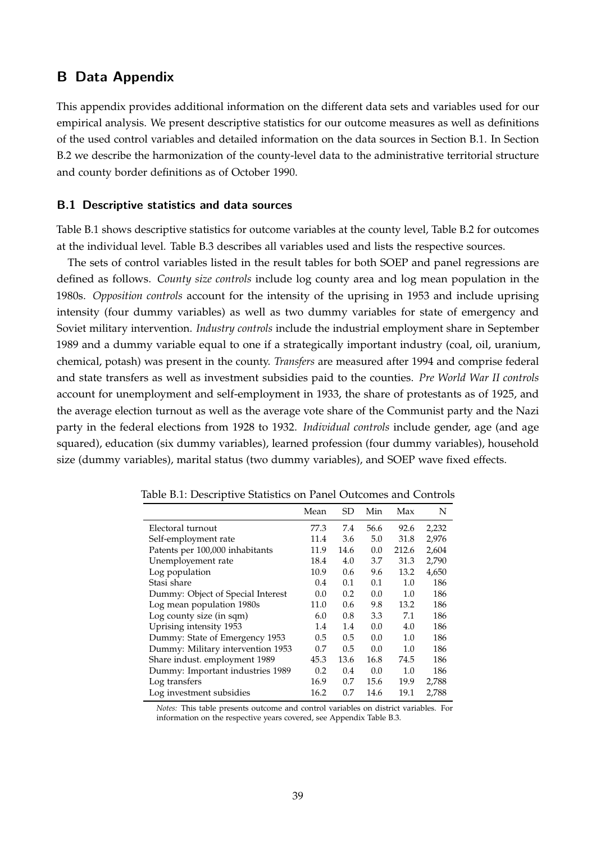### <span id="page-40-0"></span>**B Data Appendix**

This appendix provides additional information on the different data sets and variables used for our empirical analysis. We present descriptive statistics for our outcome measures as well as definitions of the used control variables and detailed information on the data sources in Section [B.1.](#page-40-1) In Section [B.2](#page-44-0) we describe the harmonization of the county-level data to the administrative territorial structure and county border definitions as of October 1990.

#### <span id="page-40-1"></span>**B.1 Descriptive statistics and data sources**

Table [B.1](#page-40-2) shows descriptive statistics for outcome variables at the county level, Table [B.2](#page-41-1) for outcomes at the individual level. Table [B.3](#page-41-0) describes all variables used and lists the respective sources.

The sets of control variables listed in the result tables for both SOEP and panel regressions are defined as follows. *County size controls* include log county area and log mean population in the 1980s. *Opposition controls* account for the intensity of the uprising in 1953 and include uprising intensity (four dummy variables) as well as two dummy variables for state of emergency and Soviet military intervention. *Industry controls* include the industrial employment share in September 1989 and a dummy variable equal to one if a strategically important industry (coal, oil, uranium, chemical, potash) was present in the county. *Transfers* are measured after 1994 and comprise federal and state transfers as well as investment subsidies paid to the counties. *Pre World War II controls* account for unemployment and self-employment in 1933, the share of protestants as of 1925, and the average election turnout as well as the average vote share of the Communist party and the Nazi party in the federal elections from 1928 to 1932. *Individual controls* include gender, age (and age squared), education (six dummy variables), learned profession (four dummy variables), household size (dummy variables), marital status (two dummy variables), and SOEP wave fixed effects.

<span id="page-40-2"></span>

|                                   | Mean | SD   | Min  | Max   | N     |
|-----------------------------------|------|------|------|-------|-------|
| Electoral turnout                 | 77.3 | 7.4  | 56.6 | 92.6  | 2,232 |
| Self-employment rate              | 11.4 | 3.6  | 5.0  | 31.8  | 2,976 |
| Patents per 100,000 inhabitants   | 11.9 | 14.6 | 0.0  | 212.6 | 2,604 |
| Unemployement rate                | 18.4 | 4.0  | 3.7  | 31.3  | 2,790 |
| Log population                    | 10.9 | 0.6  | 9.6  | 13.2  | 4,650 |
| Stasi share                       | 0.4  | 0.1  | 0.1  | 1.0   | 186   |
| Dummy: Object of Special Interest | 0.0  | 0.2  | 0.0  | 1.0   | 186   |
| Log mean population 1980s         | 11.0 | 0.6  | 9.8  | 13.2  | 186   |
| Log county size (in sqm)          | 6.0  | 0.8  | 3.3  | 7.1   | 186   |
| Uprising intensity 1953           | 1.4  | 1.4  | 0.0  | 4.0   | 186   |
| Dummy: State of Emergency 1953    | 0.5  | 0.5  | 0.0  | 1.0   | 186   |
| Dummy: Military intervention 1953 | 0.7  | 0.5  | 0.0  | 1.0   | 186   |
| Share indust. employment 1989     | 45.3 | 13.6 | 16.8 | 74.5  | 186   |
| Dummy: Important industries 1989  | 0.2  | 0.4  | 0.0  | 1.0   | 186   |
| Log transfers                     | 16.9 | 0.7  | 15.6 | 19.9  | 2,788 |
| Log investment subsidies          | 16.2 | 0.7  | 14.6 | 19.1  | 2,788 |

Table B.1: Descriptive Statistics on Panel Outcomes and Controls

*Notes:* This table presents outcome and control variables on district variables. For information on the respective years covered, see Appendix Table [B.3.](#page-41-0)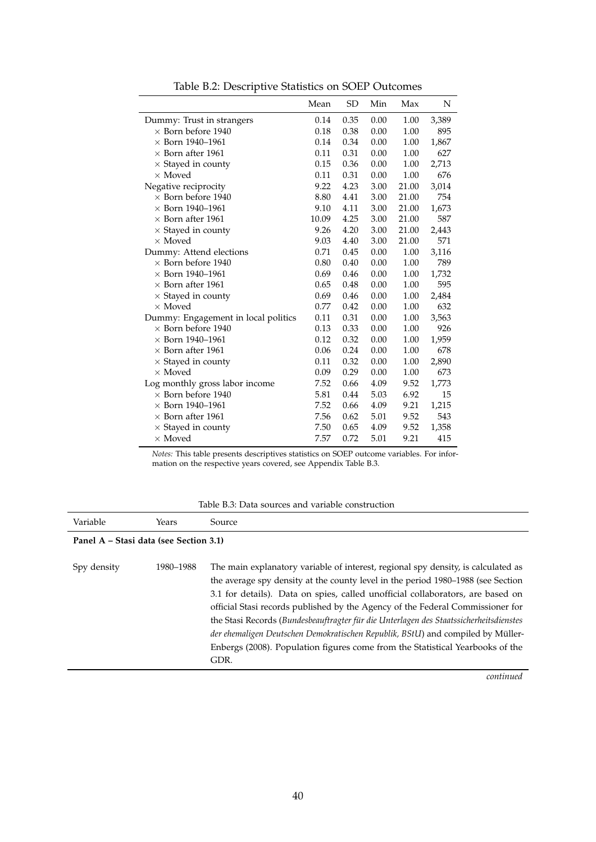|                                     | Mean  | SD   | Min  | Max   | N     |
|-------------------------------------|-------|------|------|-------|-------|
| Dummy: Trust in strangers           | 0.14  | 0.35 | 0.00 | 1.00  | 3,389 |
| $\times$ Born before 1940           | 0.18  | 0.38 | 0.00 | 1.00  | 895   |
| $\times$ Born 1940–1961             | 0.14  | 0.34 | 0.00 | 1.00  | 1,867 |
| $\times$ Born after 1961            | 0.11  | 0.31 | 0.00 | 1.00  | 627   |
| $\times$ Stayed in county           | 0.15  | 0.36 | 0.00 | 1.00  | 2,713 |
| $\times$ Moved                      | 0.11  | 0.31 | 0.00 | 1.00  | 676   |
| Negative reciprocity                | 9.22  | 4.23 | 3.00 | 21.00 | 3,014 |
| $\times$ Born before 1940           | 8.80  | 4.41 | 3.00 | 21.00 | 754   |
| $\times$ Born 1940–1961             | 9.10  | 4.11 | 3.00 | 21.00 | 1,673 |
| $\times$ Born after 1961            | 10.09 | 4.25 | 3.00 | 21.00 | 587   |
| $\times$ Stayed in county           | 9.26  | 4.20 | 3.00 | 21.00 | 2,443 |
| $\times$ Moved                      | 9.03  | 4.40 | 3.00 | 21.00 | 571   |
| Dummy: Attend elections             | 0.71  | 0.45 | 0.00 | 1.00  | 3,116 |
| $\times$ Born before 1940           | 0.80  | 0.40 | 0.00 | 1.00  | 789   |
| $\times$ Born 1940–1961             | 0.69  | 0.46 | 0.00 | 1.00  | 1,732 |
| $\times$ Born after 1961            | 0.65  | 0.48 | 0.00 | 1.00  | 595   |
| $\times$ Stayed in county           | 0.69  | 0.46 | 0.00 | 1.00  | 2,484 |
| $\times$ Moved                      | 0.77  | 0.42 | 0.00 | 1.00  | 632   |
| Dummy: Engagement in local politics | 0.11  | 0.31 | 0.00 | 1.00  | 3,563 |
| $\times$ Born before 1940           | 0.13  | 0.33 | 0.00 | 1.00  | 926   |
| $\times$ Born 1940–1961             | 0.12  | 0.32 | 0.00 | 1.00  | 1,959 |
| $\times$ Born after 1961            | 0.06  | 0.24 | 0.00 | 1.00  | 678   |
| $\times$ Stayed in county           | 0.11  | 0.32 | 0.00 | 1.00  | 2,890 |
| $\times$ Moved                      | 0.09  | 0.29 | 0.00 | 1.00  | 673   |
| Log monthly gross labor income      | 7.52  | 0.66 | 4.09 | 9.52  | 1,773 |
| $\times$ Born before 1940           | 5.81  | 0.44 | 5.03 | 6.92  | 15    |
| $\times$ Born 1940–1961             | 7.52  | 0.66 | 4.09 | 9.21  | 1,215 |
| $\times$ Born after 1961            | 7.56  | 0.62 | 5.01 | 9.52  | 543   |
| $\times$ Stayed in county           | 7.50  | 0.65 | 4.09 | 9.52  | 1,358 |
| $\times$ Moved                      | 7.57  | 0.72 | 5.01 | 9.21  | 415   |

<span id="page-41-1"></span>Table B.2: Descriptive Statistics on SOEP Outcomes

*Notes:* This table presents descriptives statistics on SOEP outcome variables. For information on the respective years covered, see Appendix Table [B.3.](#page-41-0)

#### Table B.3: Data sources and variable construction

<span id="page-41-0"></span>

| Variable                               | Years     | Source                                                                                                                                                                                                                                                                                                                                                                                                                                                                                                                                                                                                          |
|----------------------------------------|-----------|-----------------------------------------------------------------------------------------------------------------------------------------------------------------------------------------------------------------------------------------------------------------------------------------------------------------------------------------------------------------------------------------------------------------------------------------------------------------------------------------------------------------------------------------------------------------------------------------------------------------|
| Panel A – Stasi data (see Section 3.1) |           |                                                                                                                                                                                                                                                                                                                                                                                                                                                                                                                                                                                                                 |
| Spy density                            | 1980-1988 | The main explanatory variable of interest, regional spy density, is calculated as<br>the average spy density at the county level in the period 1980-1988 (see Section<br>3.1 for details). Data on spies, called unofficial collaborators, are based on<br>official Stasi records published by the Agency of the Federal Commissioner for<br>the Stasi Records (Bundesbeauftragter für die Unterlagen des Staatssicherheitsdienstes<br>der ehemaligen Deutschen Demokratischen Republik, BStU) and compiled by Müller-<br>Enbergs (2008). Population figures come from the Statistical Yearbooks of the<br>GDR. |

*continued*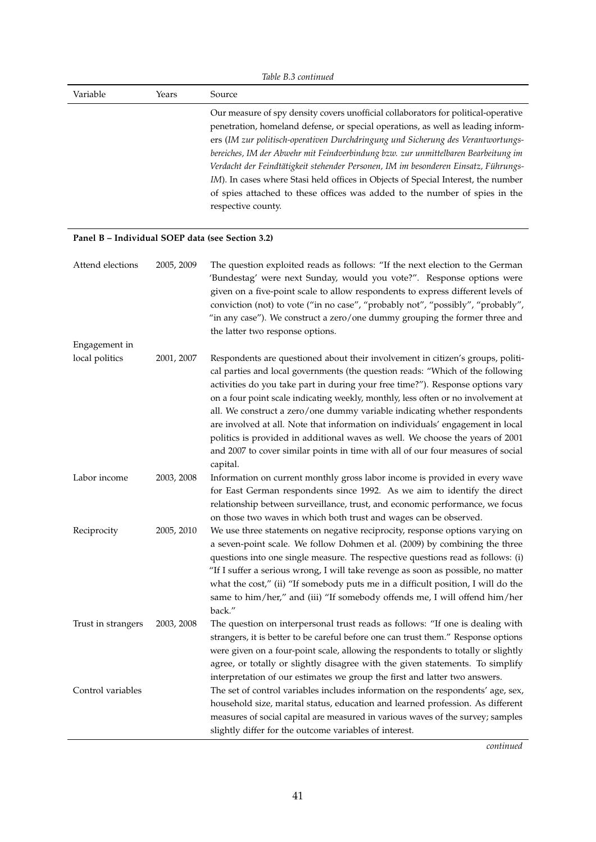|                                                  | Table B.3 continued |                                                                                                                                                                                                                                                                                                                                                                                                                                                                                                                                                                                                                                                                                           |  |  |
|--------------------------------------------------|---------------------|-------------------------------------------------------------------------------------------------------------------------------------------------------------------------------------------------------------------------------------------------------------------------------------------------------------------------------------------------------------------------------------------------------------------------------------------------------------------------------------------------------------------------------------------------------------------------------------------------------------------------------------------------------------------------------------------|--|--|
| Variable                                         | Years               | Source                                                                                                                                                                                                                                                                                                                                                                                                                                                                                                                                                                                                                                                                                    |  |  |
|                                                  |                     | Our measure of spy density covers unofficial collaborators for political-operative<br>penetration, homeland defense, or special operations, as well as leading inform-<br>ers (IM zur politisch-operativen Durchdringung und Sicherung des Verantwortungs-<br>bereiches, IM der Abwehr mit Feindverbindung bzw. zur unmittelbaren Bearbeitung im<br>Verdacht der Feindtätigkeit stehender Personen, IM im besonderen Einsatz, Führungs-<br>IM). In cases where Stasi held offices in Objects of Special Interest, the number<br>of spies attached to these offices was added to the number of spies in the<br>respective county.                                                          |  |  |
| Panel B - Individual SOEP data (see Section 3.2) |                     |                                                                                                                                                                                                                                                                                                                                                                                                                                                                                                                                                                                                                                                                                           |  |  |
| Attend elections                                 | 2005, 2009          | The question exploited reads as follows: "If the next election to the German<br>'Bundestag' were next Sunday, would you vote?". Response options were<br>given on a five-point scale to allow respondents to express different levels of<br>conviction (not) to vote ("in no case", "probably not", "possibly", "probably",<br>"in any case"). We construct a zero/one dummy grouping the former three and<br>the latter two response options.                                                                                                                                                                                                                                            |  |  |
| Engagement in                                    |                     |                                                                                                                                                                                                                                                                                                                                                                                                                                                                                                                                                                                                                                                                                           |  |  |
| local politics                                   | 2001, 2007          | Respondents are questioned about their involvement in citizen's groups, politi-<br>cal parties and local governments (the question reads: "Which of the following<br>activities do you take part in during your free time?"). Response options vary<br>on a four point scale indicating weekly, monthly, less often or no involvement at<br>all. We construct a zero/one dummy variable indicating whether respondents<br>are involved at all. Note that information on individuals' engagement in local<br>politics is provided in additional waves as well. We choose the years of 2001<br>and 2007 to cover similar points in time with all of our four measures of social<br>capital. |  |  |
| Labor income                                     | 2003, 2008          | Information on current monthly gross labor income is provided in every wave<br>for East German respondents since 1992. As we aim to identify the direct<br>relationship between surveillance, trust, and economic performance, we focus<br>on those two waves in which both trust and wages can be observed.                                                                                                                                                                                                                                                                                                                                                                              |  |  |
| Reciprocity                                      | 2005, 2010          | We use three statements on negative reciprocity, response options varying on<br>a seven-point scale. We follow Dohmen et al. (2009) by combining the three<br>questions into one single measure. The respective questions read as follows: (i)<br>"If I suffer a serious wrong, I will take revenge as soon as possible, no matter<br>what the cost," (ii) "If somebody puts me in a difficult position, I will do the<br>same to him/her," and (iii) "If somebody offends me, I will offend him/her<br>back."                                                                                                                                                                            |  |  |
| Trust in strangers                               | 2003, 2008          | The question on interpersonal trust reads as follows: "If one is dealing with<br>strangers, it is better to be careful before one can trust them." Response options<br>were given on a four-point scale, allowing the respondents to totally or slightly<br>agree, or totally or slightly disagree with the given statements. To simplify<br>interpretation of our estimates we group the first and latter two answers.                                                                                                                                                                                                                                                                   |  |  |
| Control variables                                |                     | The set of control variables includes information on the respondents' age, sex,<br>household size, marital status, education and learned profession. As different<br>measures of social capital are measured in various waves of the survey; samples<br>slightly differ for the outcome variables of interest.                                                                                                                                                                                                                                                                                                                                                                            |  |  |

*continued*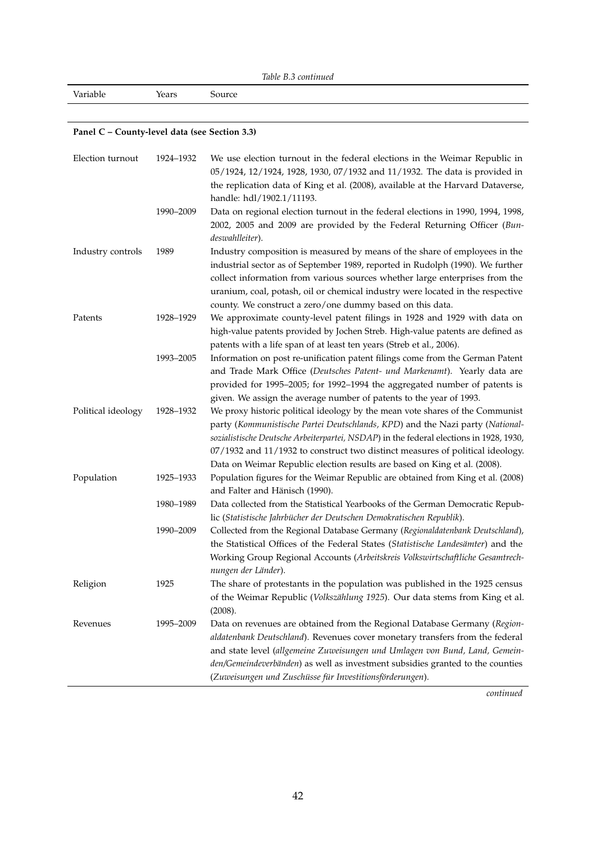*Table [B.3](#page-41-0) continued*

Variable Years Source

#### **Panel C – County-level data (see Section [3.3\)](#page-10-0)**

| Election turnout   | 1924-1932 | We use election turnout in the federal elections in the Weimar Republic in<br>05/1924, 12/1924, 1928, 1930, 07/1932 and 11/1932. The data is provided in                                                                                                                                                                                                                                                               |
|--------------------|-----------|------------------------------------------------------------------------------------------------------------------------------------------------------------------------------------------------------------------------------------------------------------------------------------------------------------------------------------------------------------------------------------------------------------------------|
|                    |           | the replication data of King et al. (2008), available at the Harvard Dataverse,<br>handle: hdl/1902.1/11193.                                                                                                                                                                                                                                                                                                           |
|                    | 1990-2009 | Data on regional election turnout in the federal elections in 1990, 1994, 1998,<br>2002, 2005 and 2009 are provided by the Federal Returning Officer (Bun-<br>deswahlleiter).                                                                                                                                                                                                                                          |
| Industry controls  | 1989      | Industry composition is measured by means of the share of employees in the<br>industrial sector as of September 1989, reported in Rudolph (1990). We further<br>collect information from various sources whether large enterprises from the<br>uranium, coal, potash, oil or chemical industry were located in the respective<br>county. We construct a zero/one dummy based on this data.                             |
| Patents            | 1928-1929 | We approximate county-level patent filings in 1928 and 1929 with data on<br>high-value patents provided by Jochen Streb. High-value patents are defined as<br>patents with a life span of at least ten years (Streb et al., 2006).                                                                                                                                                                                     |
|                    | 1993-2005 | Information on post re-unification patent filings come from the German Patent<br>and Trade Mark Office (Deutsches Patent- und Markenamt). Yearly data are<br>provided for 1995-2005; for 1992-1994 the aggregated number of patents is<br>given. We assign the average number of patents to the year of 1993.                                                                                                          |
| Political ideology | 1928-1932 | We proxy historic political ideology by the mean vote shares of the Communist<br>party (Kommunistische Partei Deutschlands, KPD) and the Nazi party (National-<br>sozialistische Deutsche Arbeiterpartei, NSDAP) in the federal elections in 1928, 1930,<br>07/1932 and 11/1932 to construct two distinct measures of political ideology.<br>Data on Weimar Republic election results are based on King et al. (2008). |
| Population         | 1925-1933 | Population figures for the Weimar Republic are obtained from King et al. (2008)<br>and Falter and Hänisch (1990).                                                                                                                                                                                                                                                                                                      |
|                    | 1980-1989 | Data collected from the Statistical Yearbooks of the German Democratic Repub-<br>lic (Statistische Jahrbücher der Deutschen Demokratischen Republik).                                                                                                                                                                                                                                                                  |
|                    | 1990-2009 | Collected from the Regional Database Germany (Regionaldatenbank Deutschland),<br>the Statistical Offices of the Federal States (Statistische Landesämter) and the<br>Working Group Regional Accounts (Arbeitskreis Volkswirtschaftliche Gesamtrech-<br>nungen der Länder).                                                                                                                                             |
| Religion           | 1925      | The share of protestants in the population was published in the 1925 census<br>of the Weimar Republic (Volkszählung 1925). Our data stems from King et al.<br>(2008).                                                                                                                                                                                                                                                  |
| Revenues           | 1995-2009 | Data on revenues are obtained from the Regional Database Germany (Region-<br>aldatenbank Deutschland). Revenues cover monetary transfers from the federal<br>and state level (allgemeine Zuweisungen und Umlagen von Bund, Land, Gemein-<br>den/Gemeindeverbänden) as well as investment subsidies granted to the counties<br>(Zuweisungen und Zuschüsse für Investitionsförderungen).                                 |

*continued*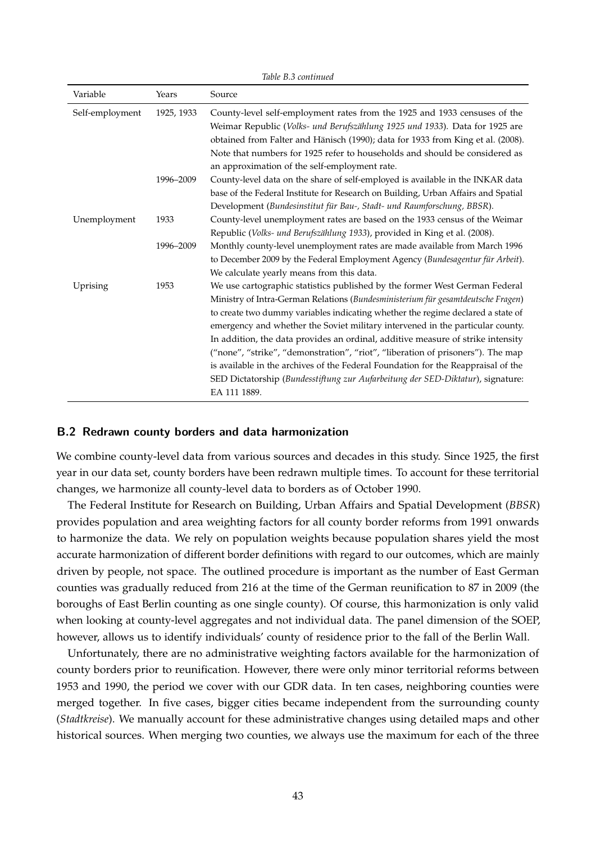|                 |            | Table B.3 continued                                                                                                                                                                                                                                                                                                                                                                                                                                                                                                                                                                                                                                                                               |
|-----------------|------------|---------------------------------------------------------------------------------------------------------------------------------------------------------------------------------------------------------------------------------------------------------------------------------------------------------------------------------------------------------------------------------------------------------------------------------------------------------------------------------------------------------------------------------------------------------------------------------------------------------------------------------------------------------------------------------------------------|
| Variable        | Years      | Source                                                                                                                                                                                                                                                                                                                                                                                                                                                                                                                                                                                                                                                                                            |
| Self-employment | 1925, 1933 | County-level self-employment rates from the 1925 and 1933 censuses of the<br>Weimar Republic (Volks- und Berufszählung 1925 und 1933). Data for 1925 are<br>obtained from Falter and Hänisch (1990); data for 1933 from King et al. (2008).<br>Note that numbers for 1925 refer to households and should be considered as<br>an approximation of the self-employment rate.                                                                                                                                                                                                                                                                                                                        |
|                 | 1996-2009  | County-level data on the share of self-employed is available in the INKAR data<br>base of the Federal Institute for Research on Building, Urban Affairs and Spatial<br>Development (Bundesinstitut für Bau-, Stadt- und Raumforschung, BBSR).                                                                                                                                                                                                                                                                                                                                                                                                                                                     |
| Unemployment    | 1933       | County-level unemployment rates are based on the 1933 census of the Weimar<br>Republic (Volks- und Berufszählung 1933), provided in King et al. (2008).                                                                                                                                                                                                                                                                                                                                                                                                                                                                                                                                           |
|                 | 1996-2009  | Monthly county-level unemployment rates are made available from March 1996<br>to December 2009 by the Federal Employment Agency (Bundesagentur für Arbeit).<br>We calculate yearly means from this data.                                                                                                                                                                                                                                                                                                                                                                                                                                                                                          |
| Uprising        | 1953       | We use cartographic statistics published by the former West German Federal<br>Ministry of Intra-German Relations (Bundesministerium für gesamtdeutsche Fragen)<br>to create two dummy variables indicating whether the regime declared a state of<br>emergency and whether the Soviet military intervened in the particular county.<br>In addition, the data provides an ordinal, additive measure of strike intensity<br>("none", "strike", "demonstration", "riot", "liberation of prisoners"). The map<br>is available in the archives of the Federal Foundation for the Reappraisal of the<br>SED Dictatorship (Bundesstiftung zur Aufarbeitung der SED-Diktatur), signature:<br>EA 111 1889. |

#### <span id="page-44-0"></span>**B.2 Redrawn county borders and data harmonization**

We combine county-level data from various sources and decades in this study. Since 1925, the first year in our data set, county borders have been redrawn multiple times. To account for these territorial changes, we harmonize all county-level data to borders as of October 1990.

The Federal Institute for Research on Building, Urban Affairs and Spatial Development (*BBSR*) provides population and area weighting factors for all county border reforms from 1991 onwards to harmonize the data. We rely on population weights because population shares yield the most accurate harmonization of different border definitions with regard to our outcomes, which are mainly driven by people, not space. The outlined procedure is important as the number of East German counties was gradually reduced from 216 at the time of the German reunification to 87 in 2009 (the boroughs of East Berlin counting as one single county). Of course, this harmonization is only valid when looking at county-level aggregates and not individual data. The panel dimension of the SOEP, however, allows us to identify individuals' county of residence prior to the fall of the Berlin Wall.

Unfortunately, there are no administrative weighting factors available for the harmonization of county borders prior to reunification. However, there were only minor territorial reforms between 1953 and 1990, the period we cover with our GDR data. In ten cases, neighboring counties were merged together. In five cases, bigger cities became independent from the surrounding county (*Stadtkreise*). We manually account for these administrative changes using detailed maps and other historical sources. When merging two counties, we always use the maximum for each of the three